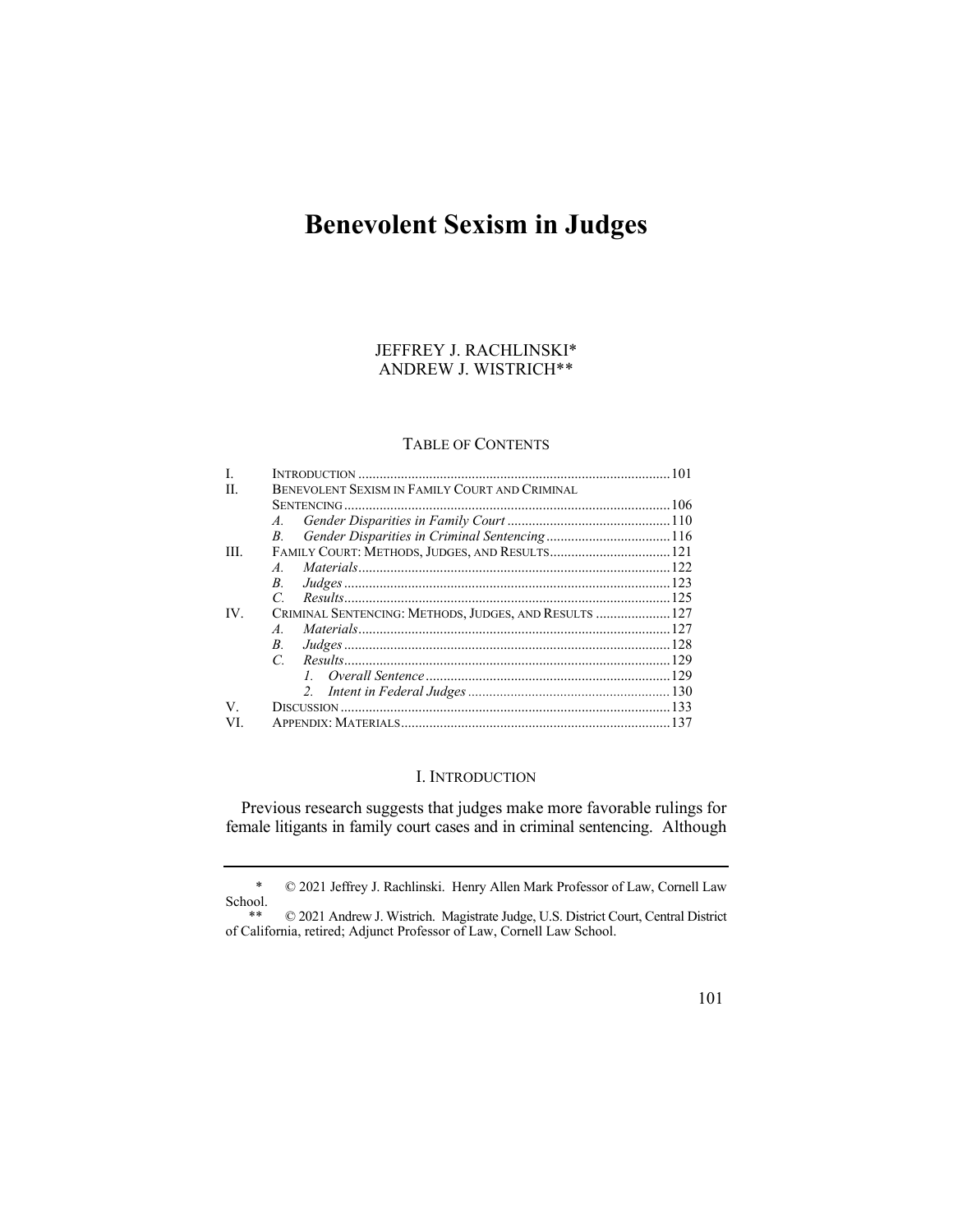# **Benevolent Sexism in Judges**

# JEFFREY J. RACHLINSKI\* ANDREW J. WISTRICH\*\*

## TABLE OF CONTENTS

| L    |                                                        |  |
|------|--------------------------------------------------------|--|
| H.   | BENEVOLENT SEXISM IN FAMILY COURT AND CRIMINAL         |  |
|      |                                                        |  |
|      |                                                        |  |
|      | $B_{\cdot}$                                            |  |
| III. | FAMILY COURT: METHODS, JUDGES, AND RESULTS 121         |  |
|      | $\overline{A}$                                         |  |
|      | $B_{\cdot}$                                            |  |
|      |                                                        |  |
| IV.  | CRIMINAL SENTENCING: METHODS, JUDGES, AND RESULTS  127 |  |
|      | $\overline{A}$                                         |  |
|      | $B_{\cdot}$                                            |  |
|      |                                                        |  |
|      |                                                        |  |
|      |                                                        |  |
| V.   |                                                        |  |
| VI.  |                                                        |  |

#### I. INTRODUCTION

Previous research suggests that judges make more favorable rulings for female litigants in family court cases and in criminal sentencing. Although

<sup>\* © 2021</sup> Jeffrey J. Rachlinski. Henry Allen Mark Professor of Law, Cornell Law School.<br>\*\*

 $@$  2021 Andrew J. Wistrich. Magistrate Judge, U.S. District Court, Central District of California, retired; Adjunct Professor of Law, Cornell Law School.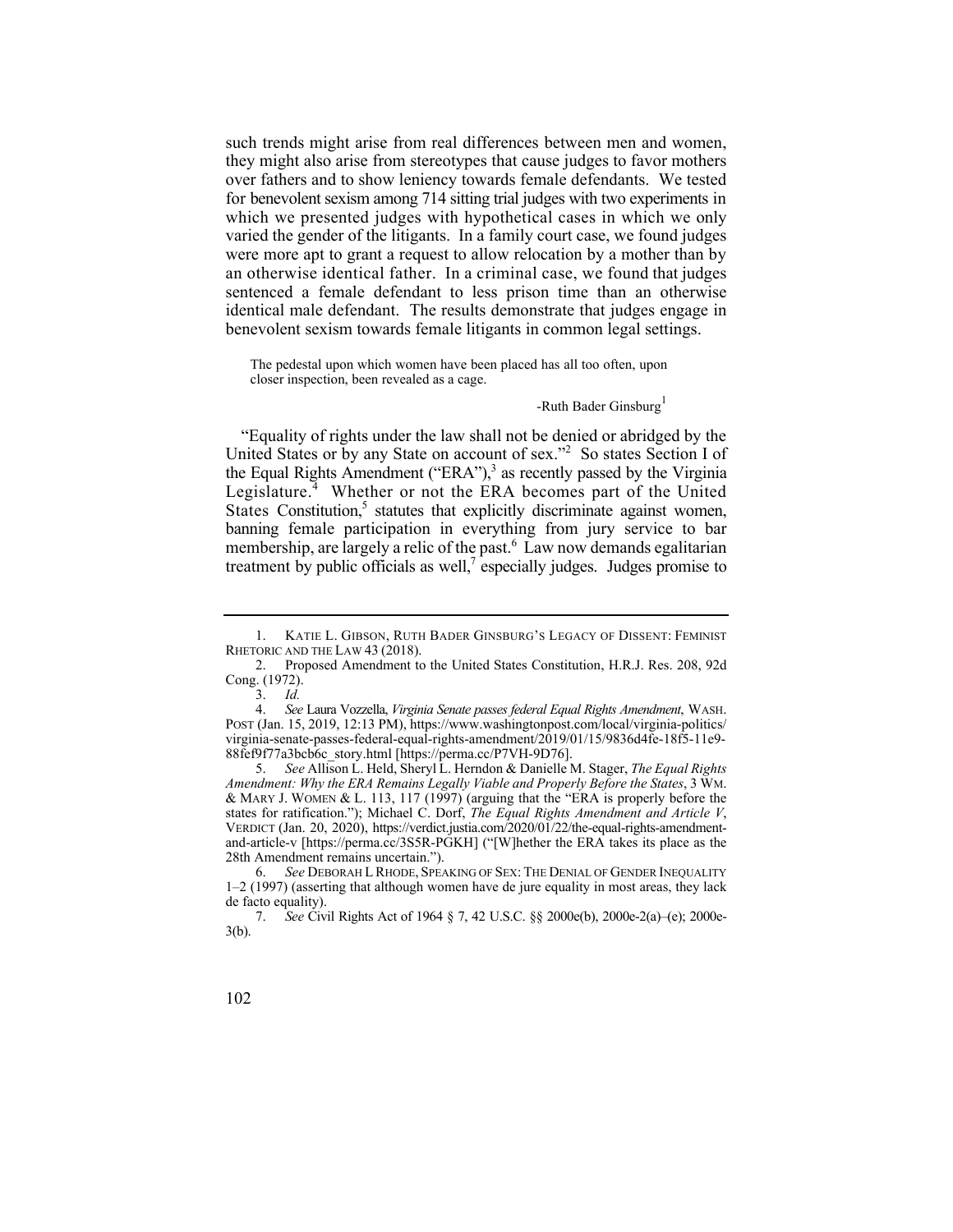an otherwise identical father. In a criminal case, we found that judges such trends might arise from real differences between men and women, they might also arise from stereotypes that cause judges to favor mothers over fathers and to show leniency towards female defendants. We tested for benevolent sexism among 714 sitting trial judges with two experiments in which we presented judges with hypothetical cases in which we only varied the gender of the litigants. In a family court case, we found judges were more apt to grant a request to allow relocation by a mother than by sentenced a female defendant to less prison time than an otherwise identical male defendant. The results demonstrate that judges engage in benevolent sexism towards female litigants in common legal settings.

The pedestal upon which women have been placed has all too often, upon closer inspection, been revealed as a cage.

#### -Ruth Bader Ginsburg<sup>1</sup>

the Equal Rights Amendment ("ERA"), $3$  as recently passed by the Virginia treatment by public officials as well, $\overline{7}$  especially judges. Judges promise to "Equality of rights under the law shall not be denied or abridged by the United States or by any State on account of sex."<sup>2</sup> So states Section I of Legislature.<sup>4</sup> Whether or not the ERA becomes part of the United States Constitution,<sup>5</sup> statutes that explicitly discriminate against women, banning female participation in everything from jury service to bar membership, are largely a relic of the past.<sup>6</sup> Law now demands egalitarian

 1. KATIE L. GIBSON, RUTH BADER GINSBURG'S LEGACY OF DISSENT: FEMINIST RHETORIC AND THE LAW 43 (2018).

<sup>2.</sup> Proposed Amendment to the United States Constitution, H.R.J. Res. 208, 92d Cong. (1972).

<sup>3.</sup> *Id.*

 <sup>4.</sup> *See* Laura Vozzella, *Virginia Senate passes federal Equal Rights Amendment*, WASH. POST (Jan. 15, 2019, 12:13 PM), [https://www.washingtonpost.com/local/virginia-politics/](https://www.washingtonpost.com/local/virginia-politics) virginia-senate-passes-federal-equal-rights-amendment/2019/01/15/9836d4fe-18f5-11e9- 88fef9f77a3bcb6c\_story.html [\[https://perma.cc/P7VH-9D76\]](https://perma.cc/P7VH-9D76).

<sup>5.</sup> *See* Allison L. Held, Sheryl L. Herndon & Danielle M. Stager, *The Equal Rights Amendment: Why the ERA Remains Legally Viable and Properly Before the States*, 3 WM. & MARY J. WOMEN & L. 113, 117 (1997) (arguing that the "ERA is properly before the states for ratification."); Michael C. Dorf, *The Equal Rights Amendment and Article V*, VERDICT (Jan. 20, 2020), <https://verdict.justia.com/2020/01/22/the-equal-rights-amendment>and-article-v [<https://perma.cc/3S5R-PGKH>] ("[W]hether the ERA takes its place as the 28th Amendment remains uncertain.").

 6. *See* DEBORAH L RHODE, SPEAKING OF SEX: THE DENIAL OF GENDER INEQUALITY 1–2 (1997) (asserting that although women have de jure equality in most areas, they lack de facto equality).

<sup>7.</sup> *See* Civil Rights Act of 1964 § 7, 42 U.S.C. §§ 2000e(b), 2000e-2(a)–(e); 2000e-3(b).

<sup>102</sup>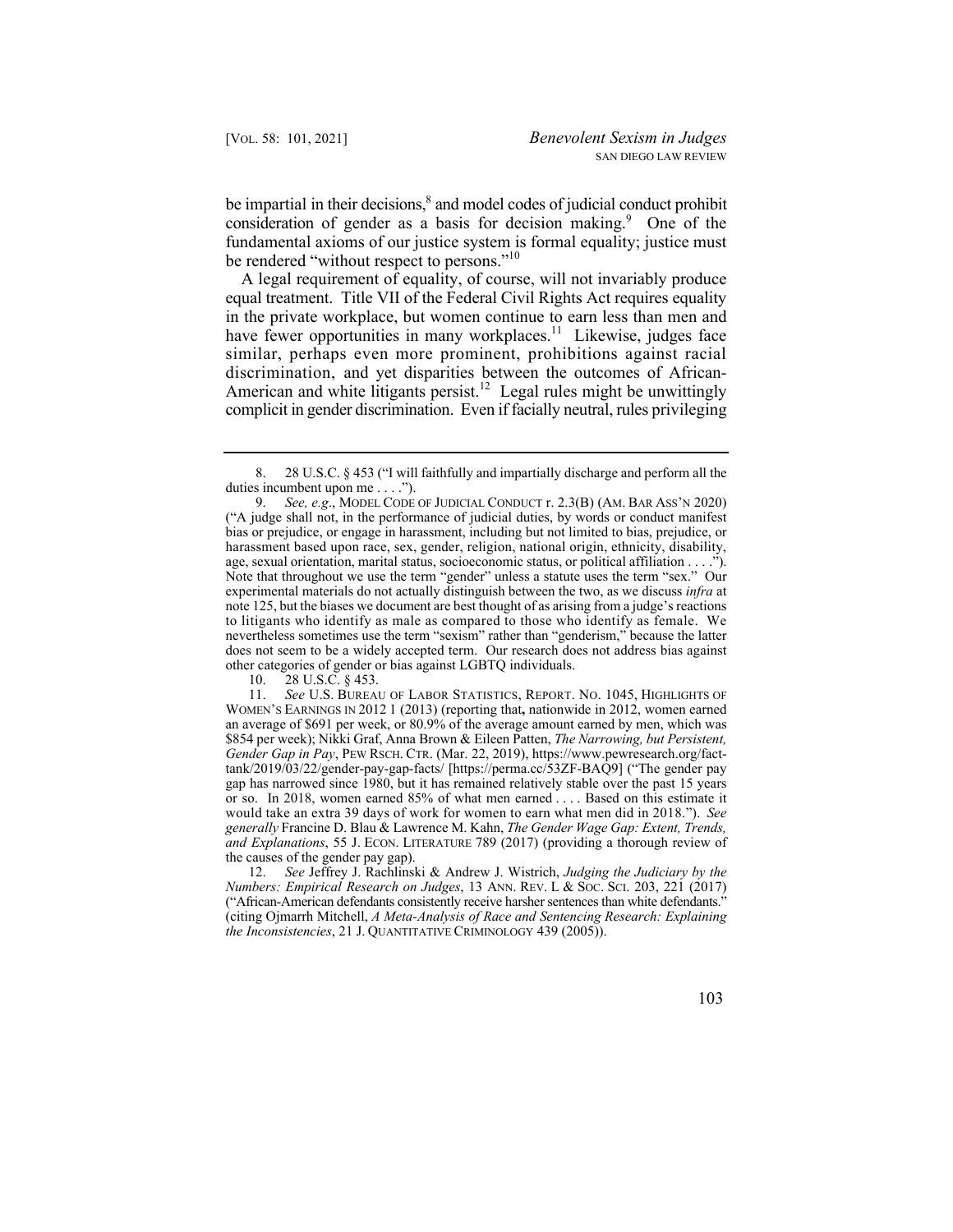be impartial in their decisions, $\delta$  and model codes of judicial conduct prohibit consideration of gender as a basis for decision making.<sup>9</sup> One of the fundamental axioms of our justice system is formal equality; justice must be rendered "without respect to persons."<sup>10</sup>

A legal requirement of equality, of course, will not invariably produce equal treatment. Title VII of the Federal Civil Rights Act requires equality in the private workplace, but women continue to earn less than men and have fewer opportunities in many [workplaces.](https://workplaces.11)<sup>11</sup> Likewise, judges face similar, perhaps even more prominent, prohibitions against racial discrimination, and yet disparities between the outcomes of African-American and white litigants persist.<sup>12</sup> Legal rules might be unwittingly complicit in gender discrimination. Even if facially neutral, rules privileging

10. 28 U.S.C. § 453.

 11. *See* U.S. BUREAU OF LABOR STATISTICS, REPORT. NO. 1045, HIGHLIGHTS OF or so. In 2018, women earned 85% of what men earned . . . . Based on this estimate it would take an extra 39 days of work for women to earn what men did in 2018."). *See and Explanations*, 55 J. ECON. LITERATURE 789 (2017) (providing a thorough review of WOMEN'S EARNINGS IN 2012 1 (2013) (reporting that**,** nationwide in 2012, women earned an average of \$691 per week, or 80.9% of the average amount earned by men, which was \$854 per week); Nikki Graf, Anna Brown & Eileen Patten, *The Narrowing, but Persistent, Gender Gap in Pay*, PEW RSCH. CTR. (Mar. 22, 2019),<https://www.pewresearch.org/fact>tank/2019/03/22/gender-pay-gap-facts/ [\[https://perma.cc/53ZF-BAQ9](https://perma.cc/53ZF-BAQ9)] ("The gender pay gap has narrowed since 1980, but it has remained relatively stable over the past 15 years *generally* Francine D. Blau & Lawrence M. Kahn, *The Gender Wage Gap: Extent, Trends,*  the causes of the gender pay gap).

12. *See* Jeffrey J. Rachlinski & Andrew J. Wistrich, *Judging the Judiciary by the Numbers: Empirical Research on Judges*, 13 ANN. REV. L & SOC. SCI. 203, 221 (2017) ("African-American defendants consistently receive harsher sentences than white defendants." (citing Ojmarrh Mitchell, *A Meta-Analysis of Race and Sentencing Research: Explaining the Inconsistencies*, 21 J. QUANTITATIVE CRIMINOLOGY 439 (2005)).

<sup>8. 28</sup> U.S.C. § 453 ("I will faithfully and impartially discharge and perform all the duties incumbent upon me . . . .").

<sup>9.</sup> *See, e.g*., MODEL CODE OF JUDICIAL CONDUCT r. 2.3(B) (AM. BAR ASS'N 2020) ("A judge shall not, in the performance of judicial duties, by words or conduct manifest bias or prejudice, or engage in harassment, including but not limited to bias, prejudice, or harassment based upon race, sex, gender, religion, national origin, ethnicity, disability, age, sexual orientation, marital status, socioeconomic status, or political affiliation . . . ."). Note that throughout we use the term "gender" unless a statute uses the term "sex." Our experimental materials do not actually distinguish between the two, as we discuss *infra* at note 125, but the biases we document are best thought of as arising from a judge's reactions to litigants who identify as male as compared to those who identify as female. We nevertheless sometimes use the term "sexism" rather than "genderism," because the latter does not seem to be a widely accepted term. Our research does not address bias against other categories of gender or bias against LGBTQ individuals.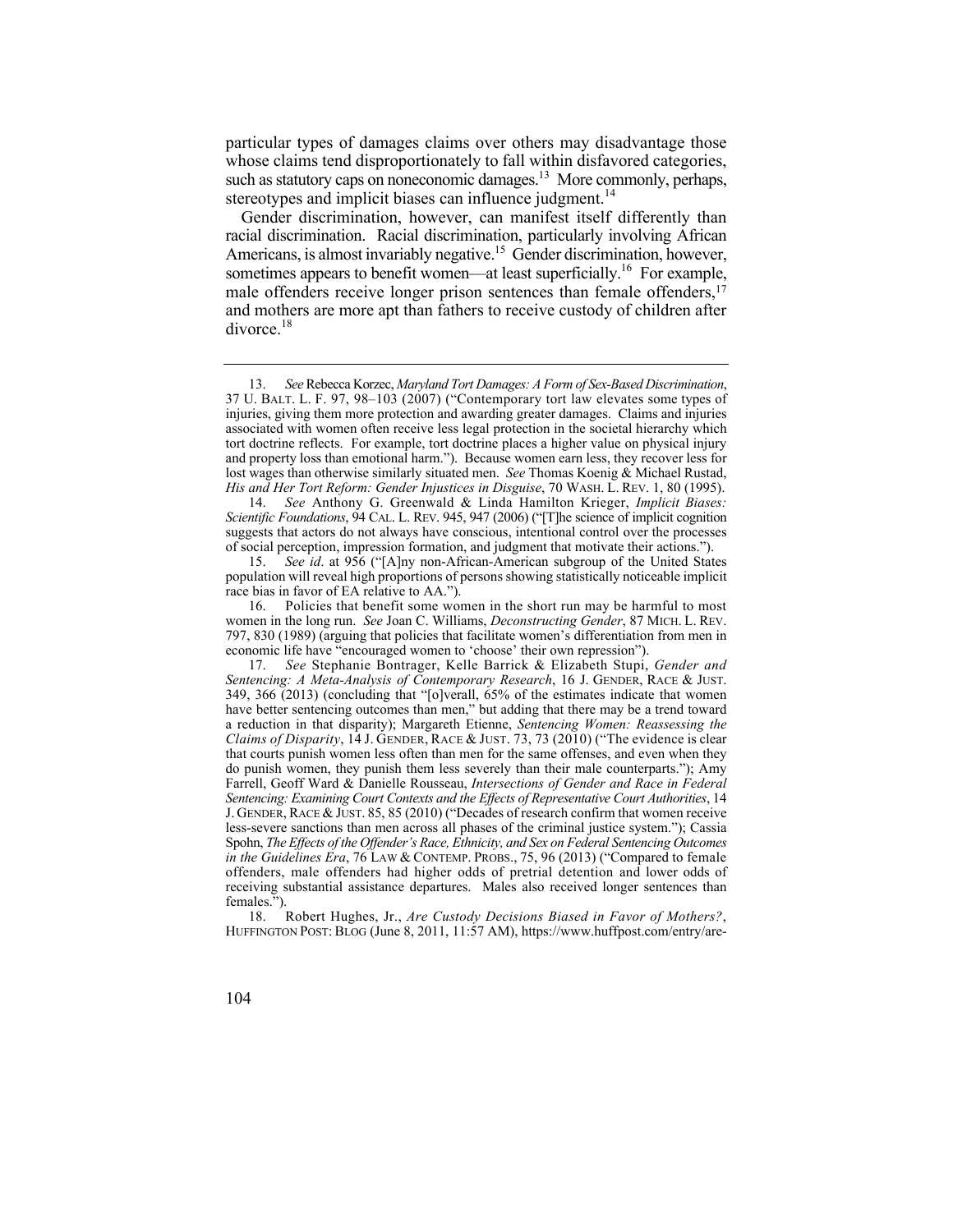particular types of damages claims over others may disadvantage those whose claims tend disproportionately to fall within disfavored categories, such as statutory caps on noneconomic damages.<sup>13</sup> More commonly, perhaps, stereotypes and implicit biases can influence judgment.<sup>14</sup>

sometimes appears to benefit women—at least superficially.<sup>16</sup> For example, Gender discrimination, however, can manifest itself differently than racial discrimination. Racial discrimination, particularly involving African Americans, is almost invariably negative.<sup>15</sup> Gender discrimination, however, male offenders receive longer prison sentences than female offenders,<sup>17</sup> and mothers are more apt than fathers to receive custody of children after [divorce.](https://divorce.18)<sup>18</sup>

14. *See* Anthony G. Greenwald & Linda Hamilton Krieger, *Implicit Biases: Scientific Foundations*, 94 CAL. L. REV. 945, 947 (2006) ("[T]he science of implicit cognition suggests that actors do not always have conscious, intentional control over the processes of social perception, impression formation, and judgment that motivate their actions.").

*See id.* at 956 ("[A]ny non-African-American subgroup of the United States population will reveal high proportions of persons showing statistically noticeable implicit race bias in favor of EA relative to AA.").

16. Policies that benefit some women in the short run may be harmful to most women in the long run. *See* Joan C. Williams, *Deconstructing Gender*, 87 MICH. L. REV. 797, 830 (1989) (arguing that policies that facilitate women's differentiation from men in economic life have "encouraged women to 'choose' their own repression").

 J. GENDER, RACE & JUST. 85, 85 (2010) ("Decades of research confirm that women receive 17. *See* Stephanie Bontrager, Kelle Barrick & Elizabeth Stupi, *Gender and Sentencing: A Meta-Analysis of Contemporary Research*, 16 J. GENDER, RACE & JUST. 349, 366 (2013) (concluding that "[o]verall, 65% of the estimates indicate that women have better sentencing outcomes than men," but adding that there may be a trend toward a reduction in that disparity); Margareth Etienne, *Sentencing Women: Reassessing the Claims of Disparity*, 14 J. GENDER, RACE & JUST. 73, 73 (2010) ("The evidence is clear that courts punish women less often than men for the same offenses, and even when they do punish women, they punish them less severely than their male counterparts."); Amy Farrell, Geoff Ward & Danielle Rousseau, *Intersections of Gender and Race in Federal Sentencing: Examining Court Contexts and the Effects of Representative Court Authorities*, 14 less-severe sanctions than men across all phases of the criminal justice system."); Cassia Spohn, *The Effects of the Offender's Race, Ethnicity, and Sex on Federal Sentencing Outcomes in the Guidelines Era*, 76 LAW & CONTEMP. PROBS., 75, 96 (2013) ("Compared to female offenders, male offenders had higher odds of pretrial detention and lower odds of receiving substantial assistance departures. Males also received longer sentences than females.").<br> $18.$  ]

 18. Robert Hughes, Jr., *Are Custody Decisions Biased in Favor of Mothers?*, HUFFINGTON POST: BLOG (June 8, 2011, 11:57 AM),<https://www.huffpost.com/entry/are>-

<sup>13.</sup> *See* Rebecca Korzec, *Maryland Tort Damages: A Form of Sex-Based Discrimination*, 37 U. BALT. L. F. 97, 98–103 (2007) ("Contemporary tort law elevates some types of injuries, giving them more protection and awarding greater damages. Claims and injuries associated with women often receive less legal protection in the societal hierarchy which tort doctrine reflects. For example, tort doctrine places a higher value on physical injury and property loss than emotional harm."). Because women earn less, they recover less for lost wages than otherwise similarly situated men. *See* Thomas Koenig & Michael Rustad, *His and Her Tort Reform: Gender Injustices in Disguise*, 70 WASH. L. REV. 1, 80 (1995).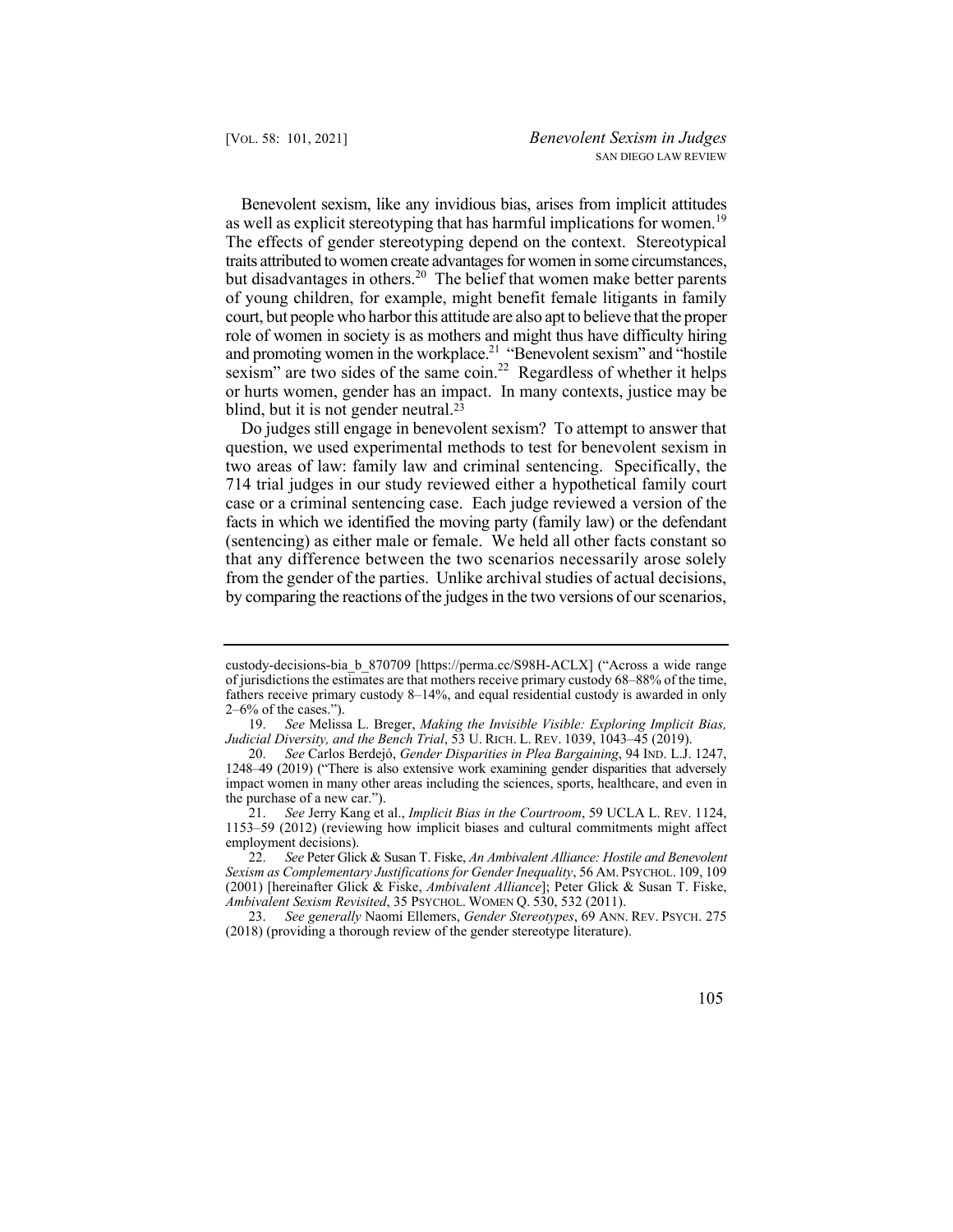as well as explicit stereotyping that has harmful implications for women.<sup>19</sup> and promoting women in the workplace.<sup>21</sup> "Benevolent sexism" and "hostile Benevolent sexism, like any invidious bias, arises from implicit attitudes The effects of gender stereotyping depend on the context. Stereotypical traits attributed to women create advantages for women in some circumstances, but disadvantages in [others.](https://others.20)<sup>20</sup> The belief that women make better parents of young children, for example, might benefit female litigants in family court, but people who harbor this attitude are also apt to believe that the proper role of women in society is as mothers and might thus have difficulty hiring sexism" are two sides of the same coin.<sup>22</sup> Regardless of whether it helps or hurts women, gender has an impact. In many contexts, justice may be blind, but it is not gender neutral.<sup>23</sup>

 that any difference between the two scenarios necessarily arose solely Do judges still engage in benevolent sexism? To attempt to answer that question, we used experimental methods to test for benevolent sexism in two areas of law: family law and criminal sentencing. Specifically, the 714 trial judges in our study reviewed either a hypothetical family court case or a criminal sentencing case. Each judge reviewed a version of the facts in which we identified the moving party (family law) or the defendant (sentencing) as either male or female. We held all other facts constant so from the gender of the parties. Unlike archival studies of actual decisions, by comparing the reactions of the judges in the two versions of our scenarios,

custody-decisions-bia\_b\_870709 [\[https://perma.cc/S98H-ACLX](https://perma.cc/S98H-ACLX)] ("Across a wide range of jurisdictions the estimates are that mothers receive primary custody 68–88% of the time, fathers receive primary custody 8–14%, and equal residential custody is awarded in only 2–6% of the cases.").

<sup>19.</sup> *See* Melissa L. Breger, *Making the Invisible Visible: Exploring Implicit Bias, Judicial Diversity, and the Bench Trial*, 53 U. RICH. L. REV. 1039, 1043–45 (2019).

<sup>20.</sup> *See* Carlos Berdejó, *Gender Disparities in Plea Bargaining*, 94 IND. L.J. 1247, 1248–49 (2019) ("There is also extensive work examining gender disparities that adversely impact women in many other areas including the sciences, sports, healthcare, and even in the purchase of a new car.").

<sup>21.</sup> *See* Jerry Kang et al., *Implicit Bias in the Courtroom*, 59 UCLA L. REV. 1124, 1153–59 (2012) (reviewing how implicit biases and cultural commitments might affect employment decisions).

<sup>22.</sup> *See* Peter Glick & Susan T. Fiske, *An Ambivalent Alliance: Hostile and Benevolent Sexism as Complementary Justifications for Gender Inequality*, 56 AM. PSYCHOL. 109, 109 (2001) [hereinafter Glick & Fiske, *Ambivalent Alliance*]; Peter Glick & Susan T. Fiske, *Ambivalent Sexism Revisited*, 35 PSYCHOL. WOMEN Q. 530, 532 (2011).

 23. *See generally* Naomi Ellemers, *Gender Stereotypes*, 69 ANN. REV. PSYCH. 275 (2018) (providing a thorough review of the gender stereotype literature).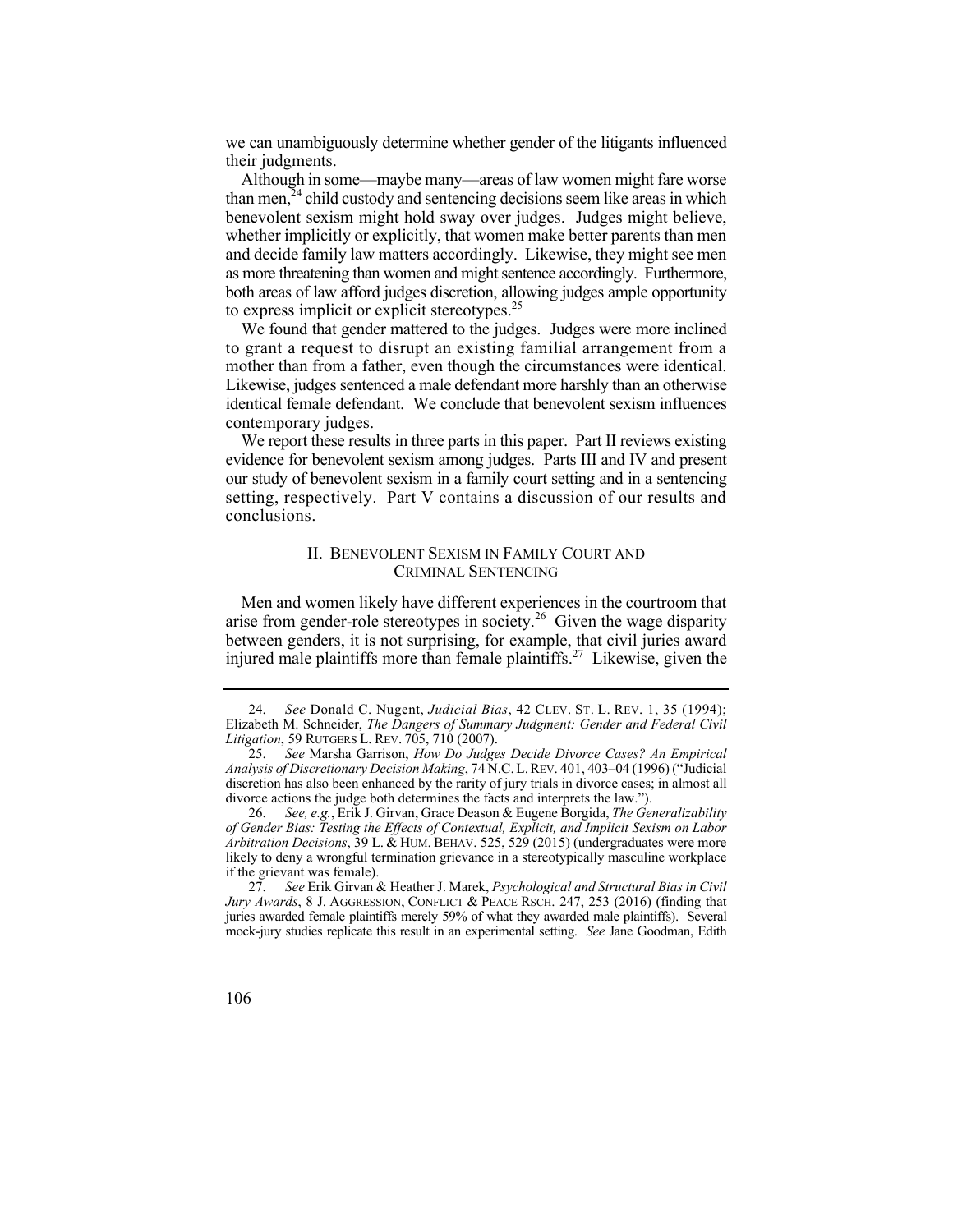we can unambiguously determine whether gender of the litigants influenced their judgments.

Although in some—maybe many—areas of law women might fare worse than men, $^{24}$  child custody and sentencing decisions seem like areas in which benevolent sexism might hold sway over judges. Judges might believe, whether implicitly or explicitly, that women make better parents than men and decide family law matters accordingly. Likewise, they might see men as more threatening than women and might sentence accordingly. Furthermore, both areas of law afford judges discretion, allowing judges ample opportunity to express implicit or explicit stereotypes.<sup>25</sup>

 Likewise, judges sentenced a male defendant more harshly than an otherwise We found that gender mattered to the judges. Judges were more inclined to grant a request to disrupt an existing familial arrangement from a mother than from a father, even though the circumstances were identical. identical female defendant. We conclude that benevolent sexism influences contemporary judges.

 our study of benevolent sexism in a family court setting and in a sentencing We report these results in three parts in this paper. Part II reviews existing evidence for benevolent sexism among judges. Parts III and IV and present setting, respectively. Part V contains a discussion of our results and conclusions.

# II. BENEVOLENT SEXISM IN FAMILY COURT AND CRIMINAL SENTENCING

Men and women likely have different experiences in the courtroom that arise from gender-role stereotypes in [society.](https://society.26)<sup>26</sup> Given the wage disparity between genders, it is not surprising, for example, that civil juries award injured male plaintiffs more than female plaintiffs.<sup>27</sup> Likewise, given the

<sup>27.</sup> *See* Erik Girvan & Heather J. Marek, *Psychological and Structural Bias in Civil Jury Awards*, 8 J. AGGRESSION, CONFLICT & PEACE RSCH. 247, 253 (2016) (finding that juries awarded female plaintiffs merely 59% of what they awarded male plaintiffs). Several mock-jury studies replicate this result in an experimental setting. *See* Jane Goodman, Edith



 24. *See* Donald C. Nugent, *Judicial Bias*, 42 CLEV. ST. L. REV. 1, 35 (1994); Elizabeth M. Schneider, *The Dangers of Summary Judgment: Gender and Federal Civil Litigation*, 59 RUTGERS L. REV. 705, 710 (2007).

<sup>25.</sup> *See* Marsha Garrison, *How Do Judges Decide Divorce Cases? An Empirical Analysis of Discretionary Decision Making*, 74 N.C. L. REV. 401, 403–04 (1996) ("Judicial discretion has also been enhanced by the rarity of jury trials in divorce cases; in almost all divorce actions the judge both determines the facts and interprets the law.").

<sup>26.</sup> *See, e.g.*, Erik J. Girvan, Grace Deason & Eugene Borgida, *The Generalizability of Gender Bias: Testing the Effects of Contextual, Explicit, and Implicit Sexism on Labor Arbitration Decisions*, 39 L. & HUM. BEHAV. 525, 529 (2015) (undergraduates were more likely to deny a wrongful termination grievance in a stereotypically masculine workplace if the grievant was female).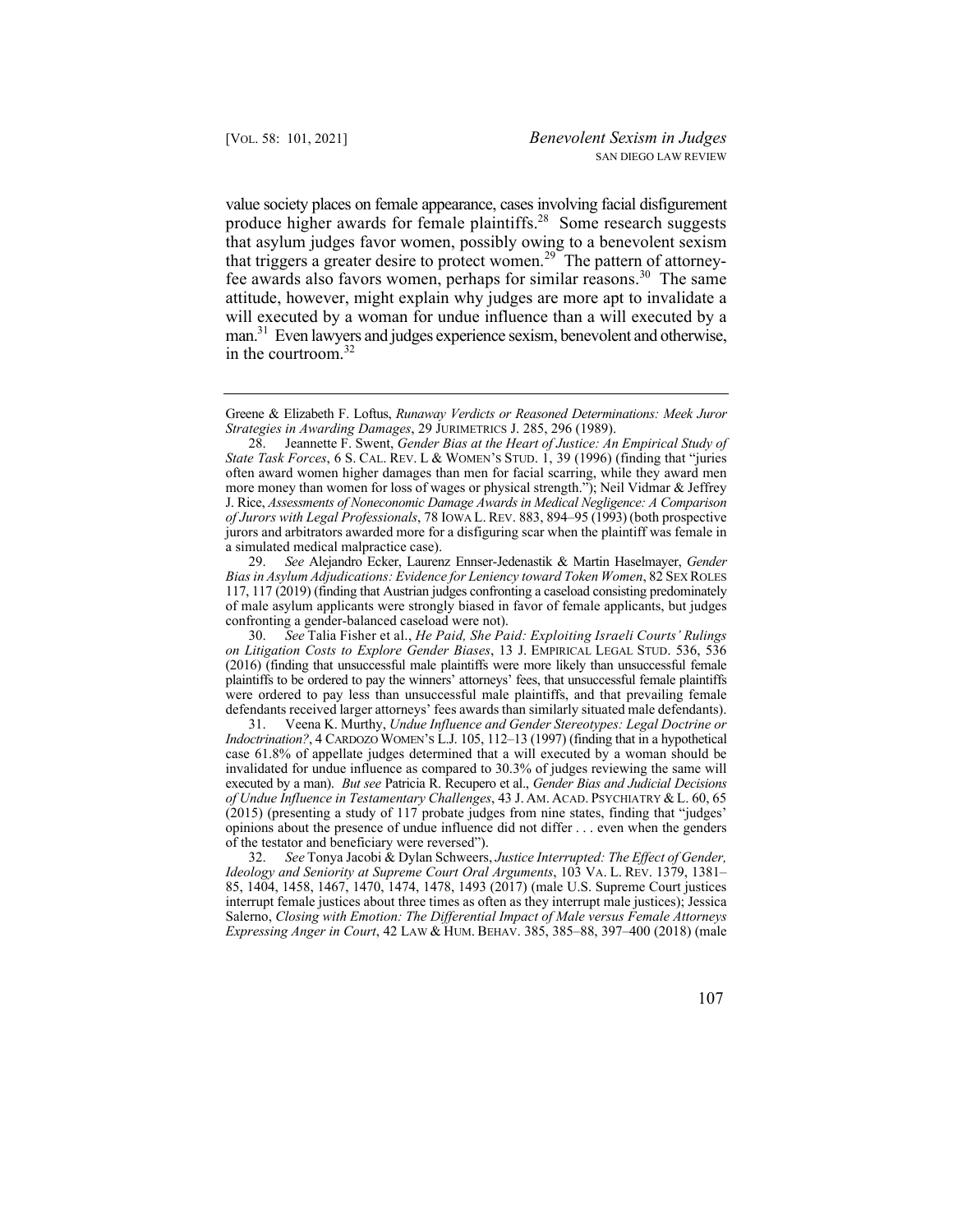value society places on female appearance, cases involving facial disfigurement produce higher awards for female plaintiffs.<sup>28</sup> Some research suggests that asylum judges favor women, possibly owing to a benevolent sexism that triggers a greater desire to protect [women.](https://women.29)<sup>29</sup> The pattern of attorneyfee awards also favors women, perhaps for similar [reasons.](https://reasons.30)<sup>30</sup> The same attitude, however, might explain why judges are more apt to invalidate a will executed by a woman for undue influence than a will executed by a man.<sup>31</sup> Even lawyers and judges experience sexism, benevolent and otherwise, in the [courtroom.](https://courtroom.32)<sup>32</sup>

Greene & Elizabeth F. Loftus, *Runaway Verdicts or Reasoned Determinations: Meek Juror Strategies in Awarding Damages*, 29 JURIMETRICS J. 285, 296 (1989).

 *of Jurors with Legal Professionals*, 78 IOWA L. REV. 883, 894–95 (1993) (both prospective jurors and arbitrators awarded more for a disfiguring scar when the plaintiff was female in a simulated medical malpractice case). 28. Jeannette F. Swent, *Gender Bias at the Heart of Justice: An Empirical Study of State Task Forces*, 6 S. CAL. REV. L & WOMEN'S STUD. 1, 39 (1996) (finding that "juries often award women higher damages than men for facial scarring, while they award men more money than women for loss of wages or physical strength."); Neil Vidmar & Jeffrey J. Rice, *Assessments of Noneconomic Damage Awards in Medical Negligence: A Comparison*

29. *See* Alejandro Ecker, Laurenz Ennser-Jedenastik & Martin Haselmayer, *Gender Bias in Asylum Adjudications: Evidence for Leniency toward Token Women*, 82 SEX ROLES 117, 117 (2019) (finding that Austrian judges confronting a caseload consisting predominately of male asylum applicants were strongly biased in favor of female applicants, but judges confronting a gender-balanced caseload were not).

30. *See* Talia Fisher et al., *He Paid, She Paid: Exploiting Israeli Courts' Rulings on Litigation Costs to Explore Gender Biases*, 13 J. EMPIRICAL LEGAL STUD. 536, 536 (2016) (finding that unsuccessful male plaintiffs were more likely than unsuccessful female plaintiffs to be ordered to pay the winners' attorneys' fees, that unsuccessful female plaintiffs were ordered to pay less than unsuccessful male plaintiffs, and that prevailing female defendants received larger attorneys' fees awards than similarly situated male defendants).

31. Veena K. Murthy, *Undue Influence and Gender Stereotypes: Legal Doctrine or Indoctrination?*, 4 CARDOZO WOMEN'S L.J. 105, 112–13 (1997) (finding that in a hypothetical case 61.8% of appellate judges determined that a will executed by a woman should be invalidated for undue influence as compared to 30.3% of judges reviewing the same will executed by a man). *But see* Patricia R. Recupero et al., *Gender Bias and Judicial Decisions of Undue Influence in Testamentary Challenges*, 43 J. AM. ACAD. PSYCHIATRY & L. 60, 65 (2015) (presenting a study of 117 probate judges from nine states, finding that "judges' opinions about the presence of undue influence did not differ . . . even when the genders of the testator and beneficiary were reversed").

32. *See* Tonya Jacobi & Dylan Schweers, *Justice Interrupted: The Effect of Gender, Ideology and Seniority at Supreme Court Oral Arguments*, 103 VA. L. REV. 1379, 1381– 85, 1404, 1458, 1467, 1470, 1474, 1478, 1493 (2017) (male U.S. Supreme Court justices interrupt female justices about three times as often as they interrupt male justices); Jessica Salerno, *Closing with Emotion: The Differential Impact of Male versus Female Attorneys Expressing Anger in Court*, 42 LAW & HUM. BEHAV. 385, 385–88, 397–400 (2018) (male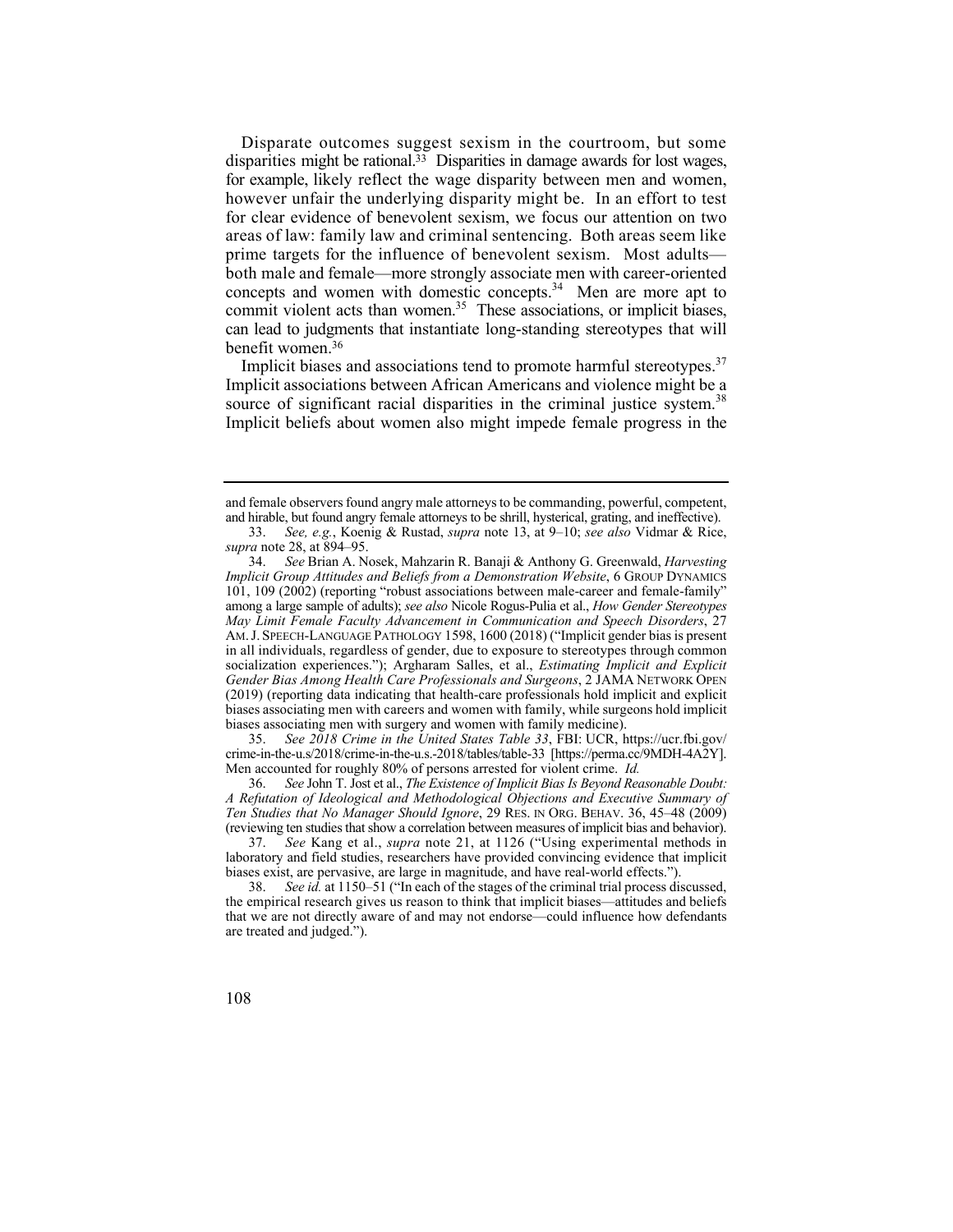Disparate outcomes suggest sexism in the courtroom, but some disparities might be rational.<sup>33</sup> Disparities in damage awards for lost wages, for example, likely reflect the wage disparity between men and women, however unfair the underlying disparity might be. In an effort to test for clear evidence of benevolent sexism, we focus our attention on two areas of law: family law and criminal sentencing. Both areas seem like prime targets for the influence of benevolent sexism. Most adults both male and female—more strongly associate men with career-oriented concepts and women with domestic concepts. $34$  Men are more apt to commit violent acts than women.<sup>35</sup> These associations, or implicit biases, can lead to judgments that instantiate long-standing stereotypes that will benefit [women.36](https://women.36) 

Implicit biases and associations tend to promote harmful stereotypes. $37$ source of significant racial disparities in the criminal justice [system.](https://system.38)<sup>38</sup> Implicit associations between African Americans and violence might be a Implicit beliefs about women also might impede female progress in the

 crime-in-the-u.s/2018/crime-in-the-u.s.-2018/tables/table-33 [<https://perma.cc/9MDH-4A2Y>]. 35. *See 2018 Crime in the United States Table 33*, FBI: UCR, [https://ucr.fbi.gov/](https://ucr.fbi.gov) Men accounted for roughly 80% of persons arrested for violent crime. *Id.* 

 36. *See* John T. Jost et al., *The Existence of Implicit Bias Is Beyond Reasonable Doubt: A Refutation of Ideological and Methodological Objections and Executive Summary of Ten Studies that No Manager Should Ignore*, 29 RES. IN ORG. BEHAV. 36, 45–48 (2009) (reviewing ten studies that show a correlation between measures of implicit bias and behavior).

and female observers found angry male attorneys to be commanding, powerful, competent, and hirable, but found angry female attorneys to be shrill, hysterical, grating, and ineffective).

<sup>33.</sup> *See, e.g.*, Koenig & Rustad, *supra* note 13, at 9–10; *see also* Vidmar & Rice, *supra* note 28, at 894–95.

<sup>34.</sup> *See* Brian A. Nosek, Mahzarin R. Banaji & Anthony G. Greenwald, *Harvesting Implicit Group Attitudes and Beliefs from a Demonstration Website*, 6 GROUP DYNAMICS 101, 109 (2002) (reporting "robust associations between male-career and female-family" among a large sample of adults); *see also* Nicole Rogus-Pulia et al., *How Gender Stereotypes May Limit Female Faculty Advancement in Communication and Speech Disorders*, 27 AM. J. SPEECH-LANGUAGE PATHOLOGY 1598, 1600 (2018) ("Implicit gender bias is present in all individuals, regardless of gender, due to exposure to stereotypes through common socialization experiences."); Argharam Salles, et al., *Estimating Implicit and Explicit Gender Bias Among Health Care Professionals and Surgeons*, 2 JAMA NETWORK OPEN (2019) (reporting data indicating that health-care professionals hold implicit and explicit biases associating men with careers and women with family, while surgeons hold implicit biases associating men with surgery and women with family medicine).

<sup>37.</sup> *See* Kang et al., *supra* note 21, at 1126 ("Using experimental methods in laboratory and field studies, researchers have provided convincing evidence that implicit biases exist, are pervasive, are large in magnitude, and have real-world effects.").

<sup>38.</sup> *See id.* at 1150–51 ("In each of the stages of the criminal trial process discussed, the empirical research gives us reason to think that implicit biases—attitudes and beliefs that we are not directly aware of and may not endorse—could influence how defendants are treated and judged.").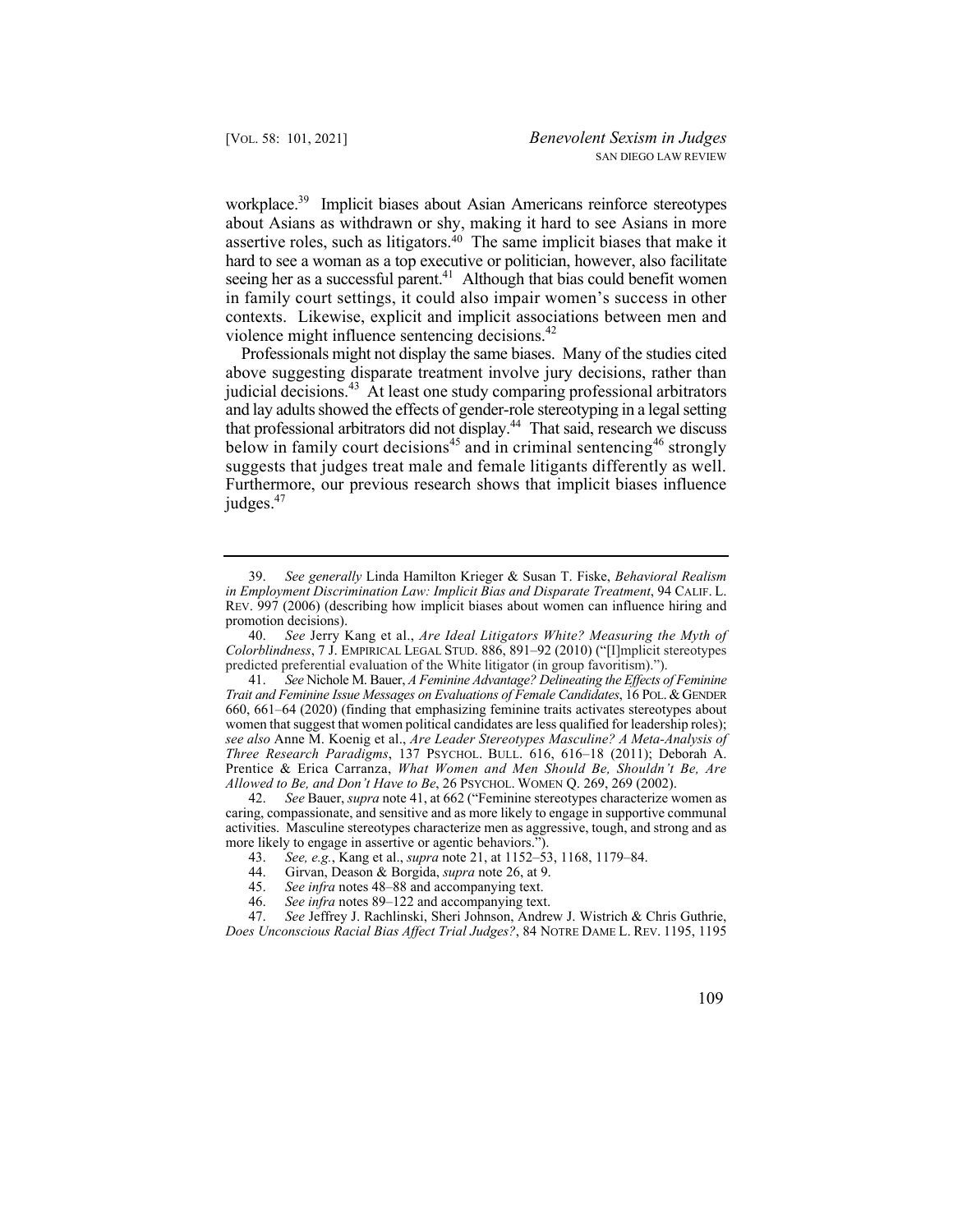workplace.<sup>39</sup> Implicit biases about Asian Americans reinforce stereotypes about Asians as withdrawn or shy, making it hard to see Asians in more assertive roles, such as litigators. $40$  The same implicit biases that make it hard to see a woman as a top executive or politician, however, also facilitate seeing her as a successful parent.<sup>41</sup> Although that bias could benefit women in family court settings, it could also impair women's success in other contexts. Likewise, explicit and implicit associations between men and violence might influence sentencing [decisions.](https://decisions.42)<sup>42</sup>

below in family court decisions<sup>45</sup> and in criminal sentencing<sup>46</sup> strongly Professionals might not display the same biases. Many of the studies cited above suggesting disparate treatment involve jury decisions, rather than judicial [decisions.](https://decisions.43)<sup>43</sup> At least one study comparing professional arbitrators and lay adults showed the effects of gender-role stereotyping in a legal setting that professional arbitrators did not display.<sup>44</sup> That said, research we discuss suggests that judges treat male and female litigants differently as well. Furthermore, our previous research shows that implicit biases influence judges.<sup>47</sup>

41. *See* Nichole M. Bauer, *A Feminine Advantage? Delineating the Effects of Feminine Trait and Feminine Issue Messages on Evaluations of Female Candidates*, 16 POL. & GENDER 660, 661–64 (2020) (finding that emphasizing feminine traits activates stereotypes about women that suggest that women political candidates are less qualified for leadership roles); *see also* Anne M. Koenig et al., *Are Leader Stereotypes Masculine? A Meta-Analysis of Three Research Paradigms*, 137 PSYCHOL. BULL. 616, 616–18 (2011); Deborah A. Prentice & Erica Carranza, *What Women and Men Should Be, Shouldn't Be, Are Allowed to Be, and Don't Have to Be*, 26 PSYCHOL. WOMEN Q. 269, 269 (2002).

42. *See* Bauer, *supra* note 41, at 662 ("Feminine stereotypes characterize women as caring, compassionate, and sensitive and as more likely to engage in supportive communal activities. Masculine stereotypes characterize men as aggressive, tough, and strong and as more likely to engage in assertive or agentic behaviors.").

- 44. Girvan, Deason & Borgida, *supra* note 26, at 9.
- 45. *See infra* notes 48–88 and accompanying text.
- 46. *See infra* notes 89–122 and accompanying text.

47. *See* Jeffrey J. Rachlinski, Sheri Johnson, Andrew J. Wistrich & Chris Guthrie, *Does Unconscious Racial Bias Affect Trial Judges?*, 84 NOTRE DAME L. REV. 1195, 1195

<sup>39.</sup> *See generally* Linda Hamilton Krieger & Susan T. Fiske, *Behavioral Realism in Employment Discrimination Law: Implicit Bias and Disparate Treatment*, 94 CALIF. L. REV. 997 (2006) (describing how implicit biases about women can influence hiring and promotion decisions).

<sup>40.</sup> *See* Jerry Kang et al., *Are Ideal Litigators White? Measuring the Myth of Colorblindness*, 7 J. EMPIRICAL LEGAL STUD. 886, 891–92 (2010) ("[I]mplicit stereotypes predicted preferential evaluation of the White litigator (in group favoritism).").

<sup>43.</sup> *See, e.g.*, Kang et al., *supra* note 21, at 1152–53, 1168, 1179–84.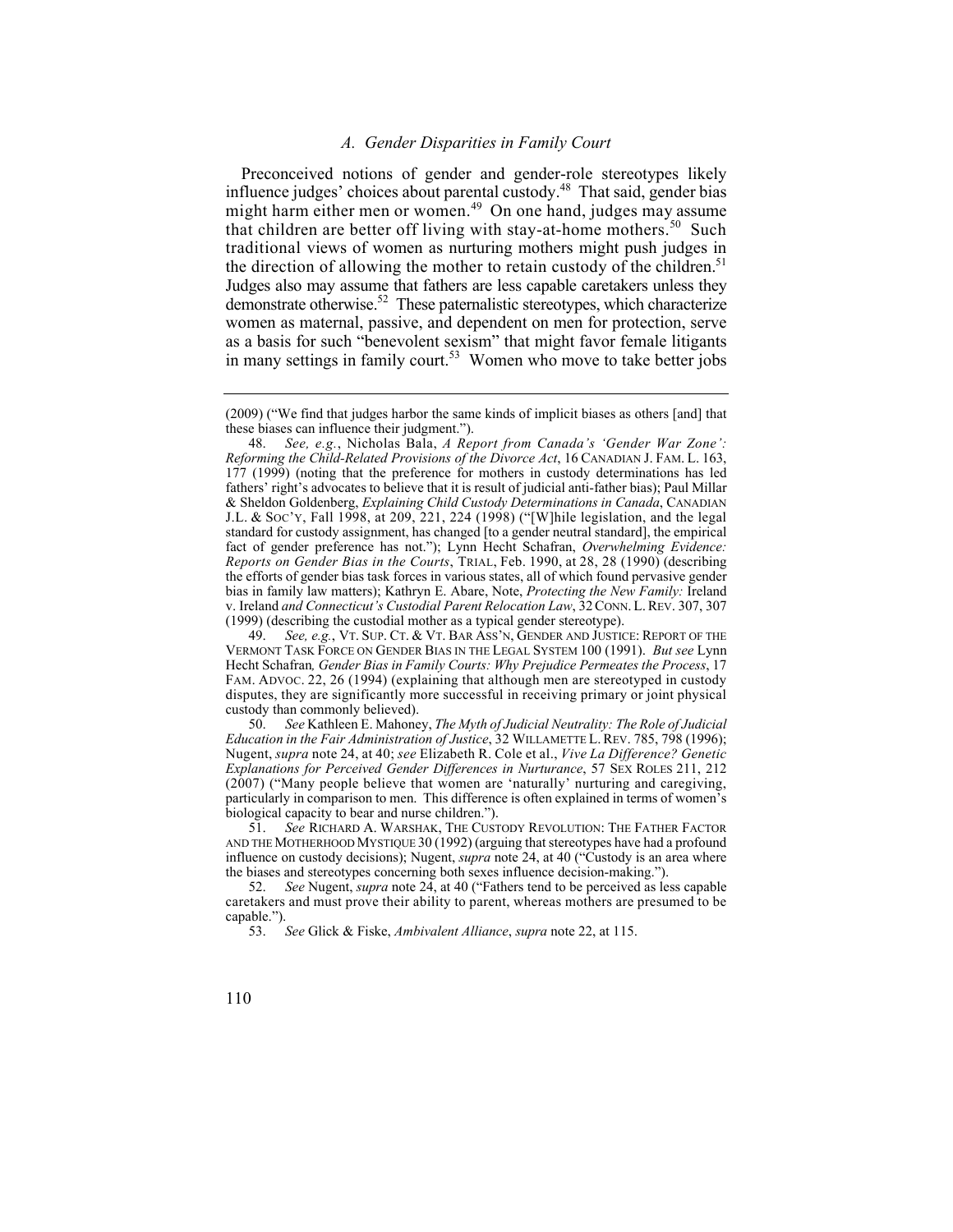## *A. Gender Disparities in Family Court*

that children are better off living with stay-at-home [mothers.](https://mothers.50)<sup>50</sup> Such the direction of allowing the mother to retain custody of the children.<sup>51</sup> Preconceived notions of gender and gender-role stereotypes likely influence judges' choices about parental [custody.48](https://custody.48) That said, gender bias might harm either men or [women.](https://women.49)<sup> $49$ </sup> On one hand, judges may assume traditional views of women as nurturing mothers might push judges in Judges also may assume that fathers are less capable caretakers unless they demonstrate otherwise.<sup>52</sup> These paternalistic stereotypes, which characterize women as maternal, passive, and dependent on men for protection, serve as a basis for such "benevolent sexism" that might favor female litigants in many settings in family court.<sup>53</sup> Women who move to take better jobs

<sup>(2009) (&</sup>quot;We find that judges harbor the same kinds of implicit biases as others [and] that these biases can influence their judgment.").

 v. Ireland *and Connecticut's Custodial Parent Relocation Law*, 32 CONN. L. REV. 307, 307 48. *See, e.g.*, Nicholas Bala, *A Report from Canada's 'Gender War Zone': Reforming the Child-Related Provisions of the Divorce Act*, 16 CANADIAN J. FAM. L. 163, 177 (1999) (noting that the preference for mothers in custody determinations has led fathers' right's advocates to believe that it is result of judicial anti-father bias); Paul Millar & Sheldon Goldenberg, *Explaining Child Custody Determinations in Canada*, CANADIAN J.L. & SOC'Y, Fall 1998, at 209, 221, 224 (1998) ("[W]hile legislation, and the legal standard for custody assignment, has changed [to a gender neutral standard], the empirical fact of gender preference has not."); Lynn Hecht Schafran, *Overwhelming Evidence: Reports on Gender Bias in the Courts*, TRIAL, Feb. 1990, at 28, 28 (1990) (describing the efforts of gender bias task forces in various states, all of which found pervasive gender bias in family law matters); Kathryn E. Abare, Note, *Protecting the New Family:* Ireland (1999) (describing the custodial mother as a typical gender stereotype).

 49. *See, e.g.*, VT. SUP. CT. & VT. BAR ASS'N, GENDER AND JUSTICE: REPORT OF THE VERMONT TASK FORCE ON GENDER BIAS IN THE LEGAL SYSTEM 100 (1991). *But see* Lynn Hecht Schafran*, Gender Bias in Family Courts: Why Prejudice Permeates the Process*, 17 FAM. ADVOC. 22, 26 (1994) (explaining that although men are stereotyped in custody disputes, they are significantly more successful in receiving primary or joint physical custody than commonly believed).

<sup>50.</sup> *See* Kathleen E. Mahoney, *The Myth of Judicial Neutrality: The Role of Judicial Education in the Fair Administration of Justice*, 32 WILLAMETTE L. REV. 785, 798 (1996); Nugent, *supra* note 24, at 40; *see* Elizabeth R. Cole et al., *Vive La Difference? Genetic Explanations for Perceived Gender Differences in Nurturance*, 57 SEX ROLES 211, 212 (2007) ("Many people believe that women are 'naturally' nurturing and caregiving, particularly in comparison to men. This difference is often explained in terms of women's biological capacity to bear and nurse children.").<br>51. See RICHARD A. WARSHAK, THE CUST

 51. *See* RICHARD A. WARSHAK, THE CUSTODY REVOLUTION: THE FATHER FACTOR AND THE MOTHERHOOD MYSTIQUE 30 (1992) (arguing that stereotypes have had a profound influence on custody decisions); Nugent, *supra* note 24, at 40 ("Custody is an area where the biases and stereotypes concerning both sexes influence decision-making.").

<sup>52.</sup> *See* Nugent, *supra* note 24, at 40 ("Fathers tend to be perceived as less capable caretakers and must prove their ability to parent, whereas mothers are presumed to be capable.").

<sup>53.</sup> *See* Glick & Fiske, *Ambivalent Alliance*, *supra* note 22, at 115.

<sup>110</sup>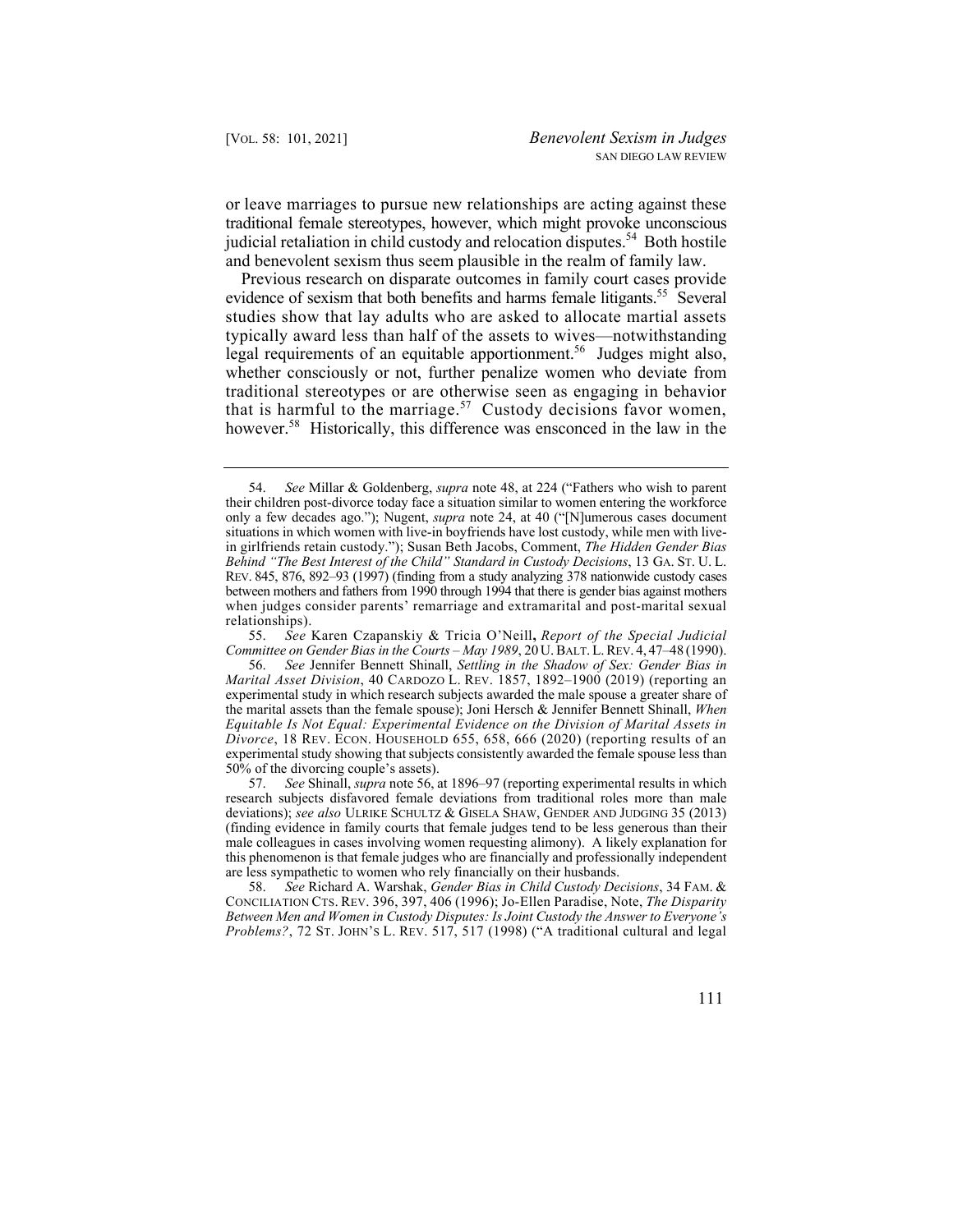or leave marriages to pursue new relationships are acting against these traditional female stereotypes, however, which might provoke unconscious judicial retaliation in child custody and relocation disputes.<sup>54</sup> Both hostile and benevolent sexism thus seem plausible in the realm of family law.

evidence of sexism that both benefits and harms female litigants.<sup>55</sup> Several that is harmful to the [marriage.](https://marriage.57)<sup>57</sup> Custody decisions favor women, [however.](https://however.58)<sup>58</sup> Historically, this difference was ensconced in the law in the Previous research on disparate outcomes in family court cases provide studies show that lay adults who are asked to allocate martial assets typically award less than half of the assets to wives—notwithstanding legal requirements of an equitable apportionment.<sup>56</sup> Judges might also, whether consciously or not, further penalize women who deviate from traditional stereotypes or are otherwise seen as engaging in behavior

55. *See* Karen Czapanskiy & Tricia O'Neill**,** *Report of the Special Judicial Committee on Gender Bias in the Courts – May 1989*, 20 U. BALT. L. REV. 4, 47–48 (1990).

<sup>54.</sup> *See* Millar & Goldenberg, *supra* note 48, at 224 ("Fathers who wish to parent their children post-divorce today face a situation similar to women entering the workforce only a few decades ago."); Nugent, *supra* note 24, at 40 ("[N]umerous cases document situations in which women with live-in boyfriends have lost custody, while men with livein girlfriends retain custody."); Susan Beth Jacobs, Comment, *The Hidden Gender Bias Behind "The Best Interest of the Child" Standard in Custody Decisions*, 13 GA. ST. U. L. REV. 845, 876, 892–93 (1997) (finding from a study analyzing 378 nationwide custody cases between mothers and fathers from 1990 through 1994 that there is gender bias against mothers when judges consider parents' remarriage and extramarital and post-marital sexual relationships).

<sup>56.</sup> *See* Jennifer Bennett Shinall, *Settling in the Shadow of Sex: Gender Bias in Marital Asset Division*, 40 CARDOZO L. REV. 1857, 1892–1900 (2019) (reporting an experimental study in which research subjects awarded the male spouse a greater share of the marital assets than the female spouse); Joni Hersch & Jennifer Bennett Shinall, *When Equitable Is Not Equal: Experimental Evidence on the Division of Marital Assets in Divorce*, 18 REV. ECON. HOUSEHOLD 655, 658, 666 (2020) (reporting results of an experimental study showing that subjects consistently awarded the female spouse less than 50% of the divorcing couple's assets).

<sup>57.</sup> *See* Shinall, *supra* note 56, at 1896–97 (reporting experimental results in which research subjects disfavored female deviations from traditional roles more than male deviations); *see also* ULRIKE SCHULTZ & GISELA SHAW, GENDER AND JUDGING 35 (2013) (finding evidence in family courts that female judges tend to be less generous than their male colleagues in cases involving women requesting alimony). A likely explanation for this phenomenon is that female judges who are financially and professionally independent are less sympathetic to women who rely financially on their husbands.

 58. *See* Richard A. Warshak, *Gender Bias in Child Custody Decisions*, 34 FAM. & CONCILIATION CTS. REV. 396, 397, 406 (1996); Jo-Ellen Paradise, Note, *The Disparity Between Men and Women in Custody Disputes: Is Joint Custody the Answer to Everyone's Problems?*, 72 ST. JOHN'S L. REV. 517, 517 (1998) ("A traditional cultural and legal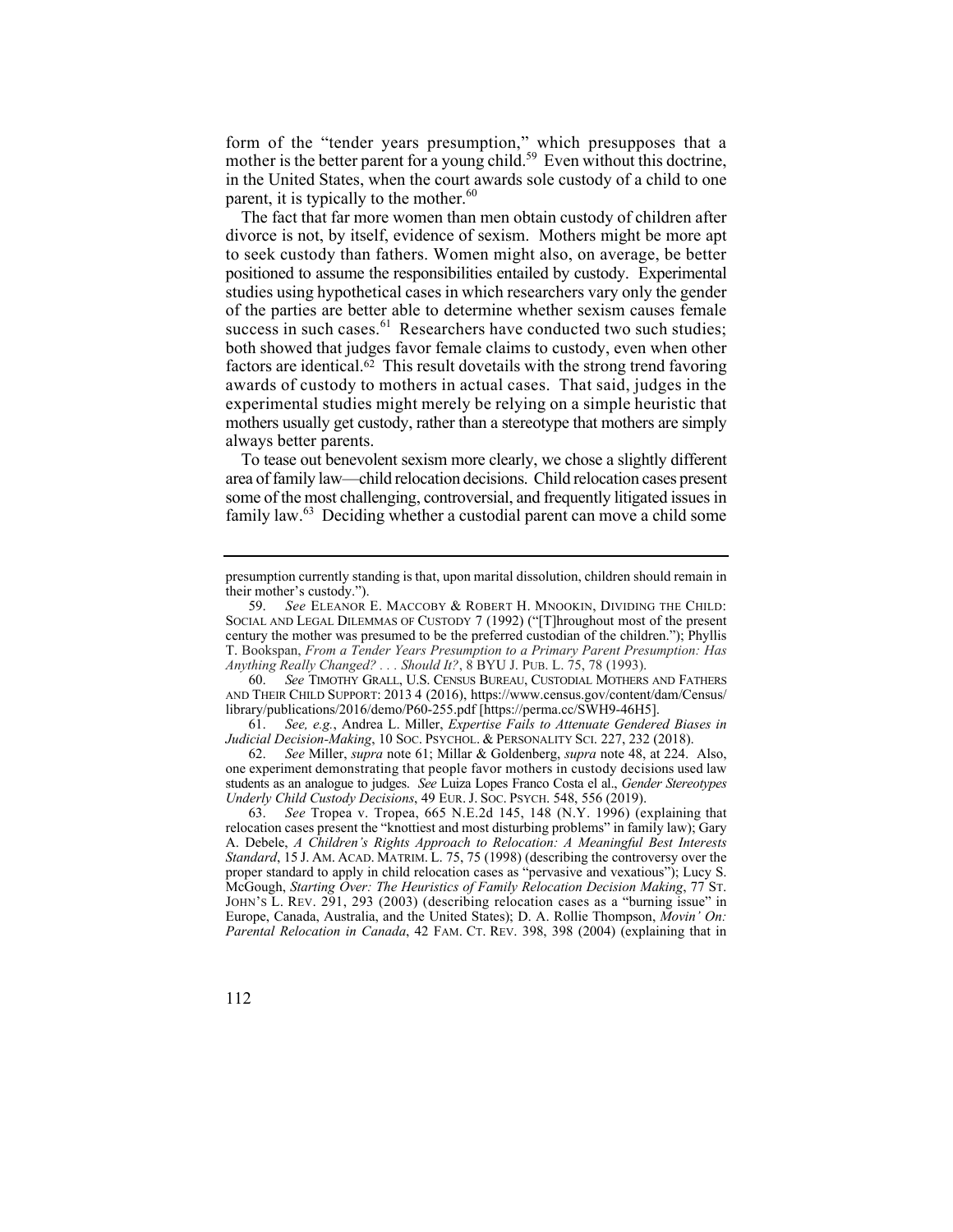form of the "tender years presumption," which presupposes that a mother is the better parent for a young child.<sup>59</sup> Even without this doctrine, in the United States, when the court awards sole custody of a child to one parent, it is typically to the mother. $60$ 

factors are identical. $62$  This result dovetails with the strong trend favoring The fact that far more women than men obtain custody of children after divorce is not, by itself, evidence of sexism. Mothers might be more apt to seek custody than fathers. Women might also, on average, be better positioned to assume the responsibilities entailed by custody. Experimental studies using hypothetical cases in which researchers vary only the gender of the parties are better able to determine whether sexism causes female success in such [cases.](https://cases.61) $61$  Researchers have conducted two such studies; both showed that judges favor female claims to custody, even when other awards of custody to mothers in actual cases. That said, judges in the experimental studies might merely be relying on a simple heuristic that mothers usually get custody, rather than a stereotype that mothers are simply always better parents.

family law.<sup>63</sup> Deciding whether a custodial parent can move a child some To tease out benevolent sexism more clearly, we chose a slightly different area of family law—child relocation decisions. Child relocation cases present some of the most challenging, controversial, and frequently litigated issues in

 AND THEIR CHILD SUPPORT: 2013 4 (2016), [https://www.census.gov/content/dam/Census/](https://www.census.gov/content/dam/Census) 60. *See* TIMOTHY GRALL, U.S. CENSUS BUREAU, CUSTODIAL MOTHERS AND FATHERS library/publications/2016/demo/P60-255.pdf [\[https://perma.cc/SWH9-46H5\]](https://perma.cc/SWH9-46H5).

61. *See, e.g.*, Andrea L. Miller, *Expertise Fails to Attenuate Gendered Biases in Judicial Decision-Making*, 10 SOC. PSYCHOL. & PERSONALITY SCI. 227, 232 (2018).

62. *See* Miller, *supra* note 61; Millar & Goldenberg, *supra* note 48, at 224. Also, one experiment demonstrating that people favor mothers in custody decisions used law students as an analogue to judges. *See* Luiza Lopes Franco Costa el al., *Gender Stereotypes Underly Child Custody Decisions*, 49 EUR. J. SOC. PSYCH. 548, 556 (2019).

63. *See* Tropea v. Tropea, 665 N.E.2d 145, 148 (N.Y. 1996) (explaining that relocation cases present the "knottiest and most disturbing problems" in family law); Gary A. Debele, *A Children's Rights Approach to Relocation: A Meaningful Best Interests Standard*, 15 J. AM. ACAD. MATRIM. L. 75, 75 (1998) (describing the controversy over the proper standard to apply in child relocation cases as "pervasive and vexatious"); Lucy S. McGough, *Starting Over: The Heuristics of Family Relocation Decision Making*, 77 ST. JOHN'S L. REV. 291, 293 (2003) (describing relocation cases as a "burning issue" in Europe, Canada, Australia, and the United States); D. A. Rollie Thompson, *Movin' On: Parental Relocation in Canada*, 42 FAM. CT. REV. 398, 398 (2004) (explaining that in

presumption currently standing is that, upon marital dissolution, children should remain in their mother's custody.").

<sup>59.</sup> *See* ELEANOR E. MACCOBY & ROBERT H. MNOOKIN, DIVIDING THE CHILD: SOCIAL AND LEGAL DILEMMAS OF CUSTODY 7 (1992) ("[T]hroughout most of the present century the mother was presumed to be the preferred custodian of the children."); Phyllis T. Bookspan, *From a Tender Years Presumption to a Primary Parent Presumption: Has Anything Really Changed? . . . Should It?*, 8 BYU J. PUB. L. 75, 78 (1993).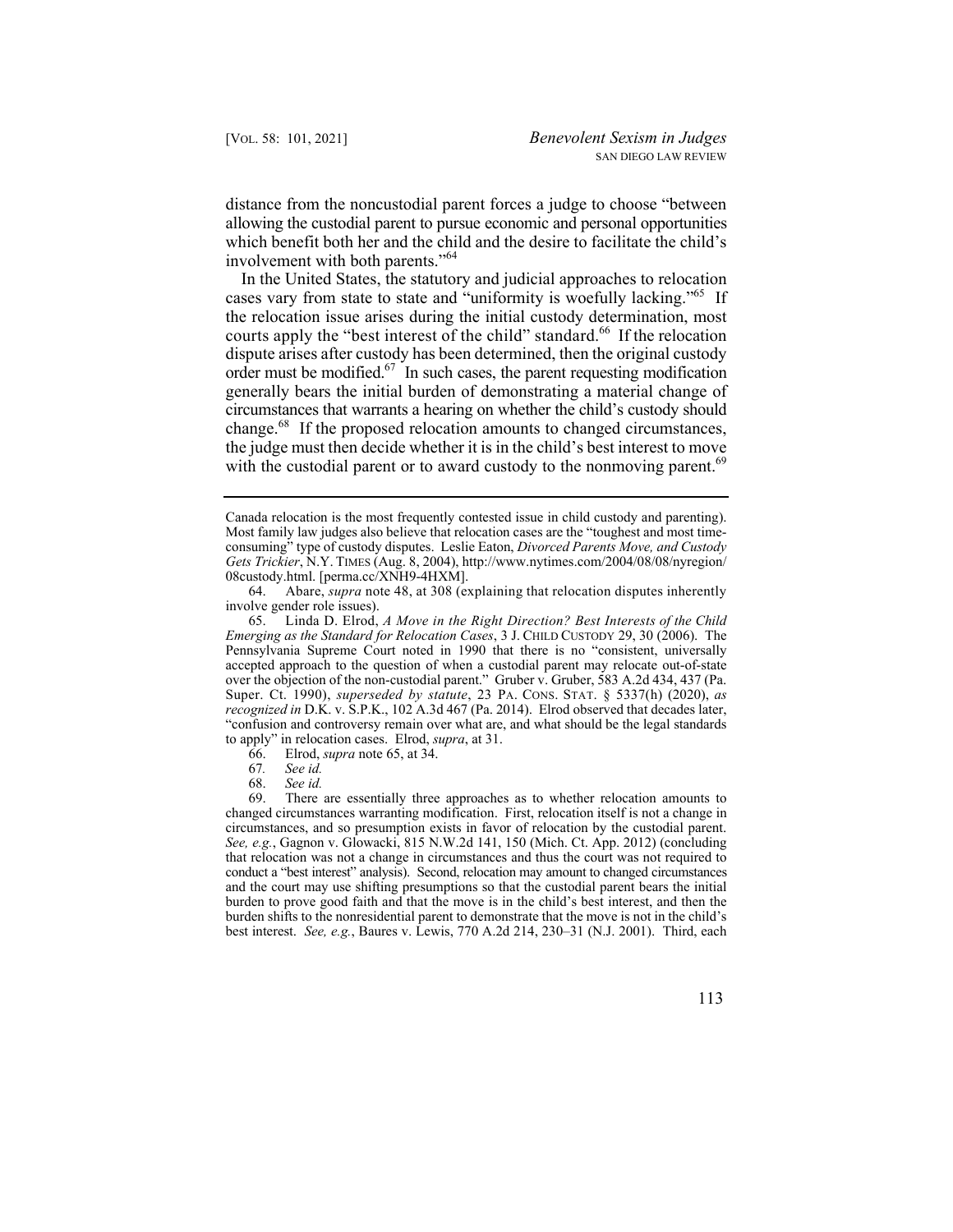distance from the noncustodial parent forces a judge to choose "between allowing the custodial parent to pursue economic and personal opportunities which benefit both her and the child and the desire to facilitate the child's involvement with both parents."<sup>64</sup>

order must be modified.<sup>67</sup> In such cases, the parent requesting modification with the custodial parent or to award custody to the nonmoving parent.<sup>69</sup> In the United States, the statutory and judicial approaches to relocation cases vary from state to state and "uniformity is woefully lacking."65 If the relocation issue arises during the initial custody determination, most courts apply the "best interest of the child" [standard.](https://standard.66)<sup>66</sup> If the relocation dispute arises after custody has been determined, then the original custody generally bears the initial burden of demonstrating a material change of circumstances that warrants a hearing on whether the child's custody should [change.](https://change.68)68 If the proposed relocation amounts to changed circumstances, the judge must then decide whether it is in the child's best interest to move

<sup>69.</sup> There are essentially three approaches as to whether relocation amounts to changed circumstances warranting modification. First, relocation itself is not a change in circumstances, and so presumption exists in favor of relocation by the custodial parent. *See, e.g.*, Gagnon v. Glowacki, 815 N.W.2d 141, 150 (Mich. Ct. App. 2012) (concluding that relocation was not a change in circumstances and thus the court was not required to conduct a "best interest" analysis). Second, relocation may amount to changed circumstances and the court may use shifting presumptions so that the custodial parent bears the initial burden to prove good faith and that the move is in the child's best interest, and then the burden shifts to the nonresidential parent to demonstrate that the move is not in the child's best interest. *See, e.g.*, Baures v. Lewis, 770 A.2d 214, 230–31 (N.J. 2001). Third, each



Canada relocation is the most frequently contested issue in child custody and parenting). Most family law judges also believe that relocation cases are the "toughest and most timeconsuming" type of custody disputes. Leslie Eaton, *Divorced Parents Move, and Custody Gets Trickier*, N.Y. TIMES (Aug. 8, 2004), [http://www.nytimes.com/2004/08/08/nyregion/](http://www.nytimes.com/2004/08/08/nyregion) 08custody.html. [perma.cc/XNH9-4HXM].

<sup>64.</sup> Abare, *supra* note 48, at 308 (explaining that relocation disputes inherently involve gender role issues).

<sup>65.</sup> Linda D. Elrod, *A Move in the Right Direction? Best Interests of the Child Emerging as the Standard for Relocation Cases*, 3 J. CHILD CUSTODY 29, 30 (2006). The Pennsylvania Supreme Court noted in 1990 that there is no "consistent, universally accepted approach to the question of when a custodial parent may relocate out-of-state over the objection of the non-custodial parent." Gruber v. Gruber, 583 A.2d 434, 437 (Pa. Super. Ct. 1990), *superseded by statute*, 23 PA. CONS. STAT. § 5337(h) (2020), *as recognized in* D.K. v. S.P.K., 102 A.3d 467 (Pa. 2014). Elrod observed that decades later, "confusion and controversy remain over what are, and what should be the legal standards to apply" in relocation cases. Elrod, *supra*, at 31.

<sup>66.</sup> Elrod, *supra* note 65, at 34.

<sup>67</sup>*. See id.*

See id.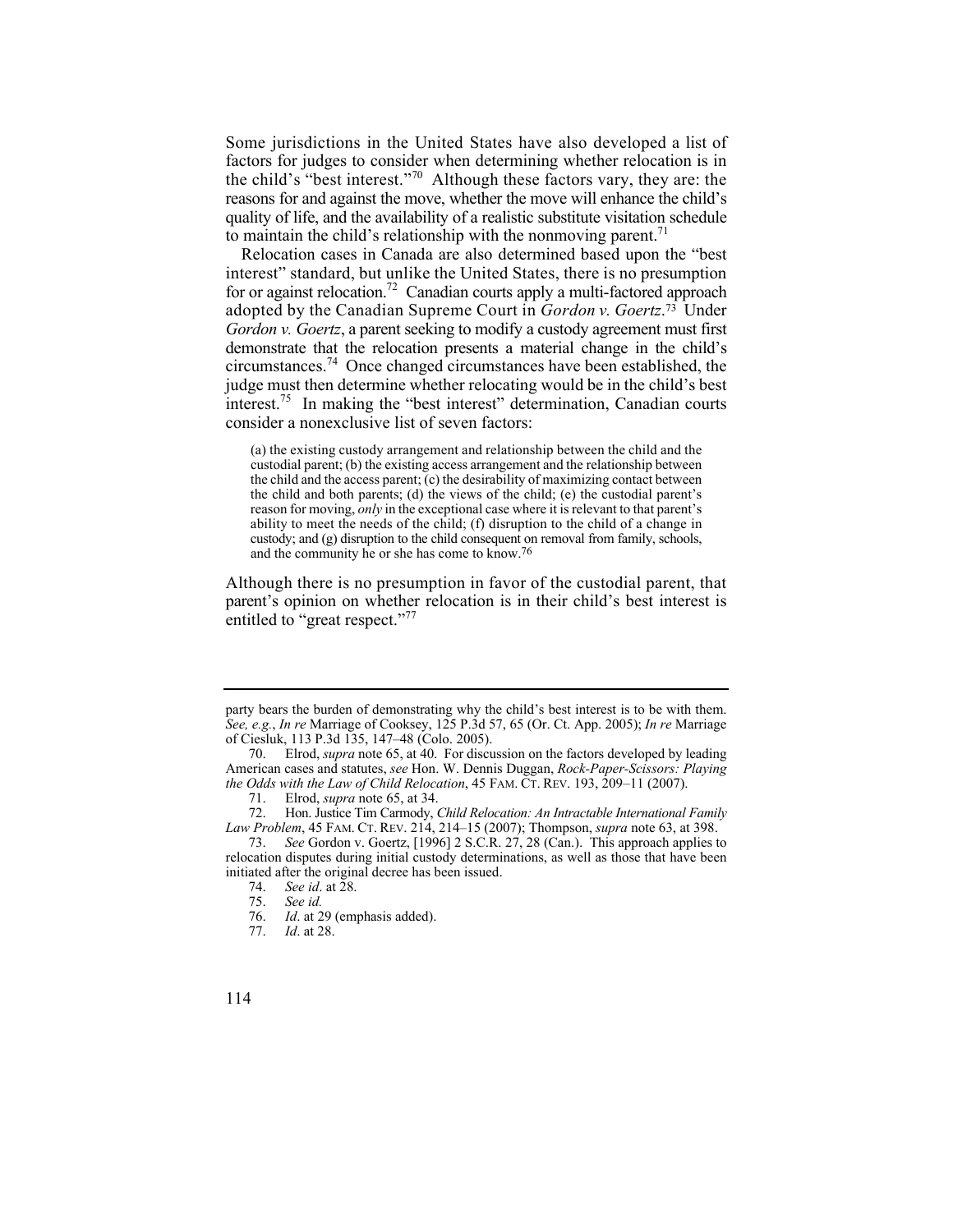Some jurisdictions in the United States have also developed a list of factors for judges to consider when determining whether relocation is in the child's "best interest."70 Although these factors vary, they are: the reasons for and against the move, whether the move will enhance the child's quality of life, and the availability of a realistic substitute visitation schedule to maintain the child's relationship with the nonmoving parent.<sup> $1$ </sup>

Relocation cases in Canada are also determined based upon the "best interest" standard, but unlike the United States, there is no presumption for or against relocation.<sup>72</sup> Canadian courts apply a multi-factored approach adopted by the Canadian Supreme Court in *Gordon v. [Goertz](https://Goertz.73)*. 73 Under *Gordon v. Goertz*, a parent seeking to modify a custody agreement must first demonstrate that the relocation presents a material change in the child's [circumstances.](https://circumstances.74)74 Once changed circumstances have been established, the judge must then determine whether relocating would be in the child's best [interest.](https://interest.75)75 In making the "best interest" determination, Canadian courts consider a nonexclusive list of seven factors:

(a) the existing custody arrangement and relationship between the child and the custodial parent; (b) the existing access arrangement and the relationship between the child and the access parent;  $(c)$  the desirability of maximizing contact between the child and both parents; (d) the views of the child; (e) the custodial parent's reason for moving, *only* in the exceptional case where it is relevant to that parent's ability to meet the needs of the child; (f) disruption to the child of a change in custody; and (g) disruption to the child consequent on removal from family, schools, and the community he or she has come to know.76

Although there is no presumption in favor of the custodial parent, that parent's opinion on whether relocation is in their child's best interest is entitled to "great respect."<sup>77</sup>

 party bears the burden of demonstrating why the child's best interest is to be with them. *See, e.g.*, *In re* Marriage of Cooksey, 125 P.3d 57, 65 (Or. Ct. App. 2005); *In re* Marriage of Ciesluk, 113 P.3d 135, 147–48 (Colo. 2005).

 70. Elrod, *supra* note 65, at 40. For discussion on the factors developed by leading American cases and statutes, *see* Hon. W. Dennis Duggan, *Rock-Paper-Scissors: Playing the Odds with the Law of Child Relocation*, 45 FAM. CT. REV. 193, 209–11 (2007).

 71. Elrod, *supra* note 65, at 34.

<sup>72.</sup> 72. Hon. Justice Tim Carmody, *Child Relocation: An Intractable International Family Law Problem*, 45 FAM. CT. REV. 214, 214–15 (2007); Thompson, *supra* note 63, at 398.

<sup>73.</sup> *See* Gordon v. Goertz, [1996] 2 S.C.R. 27, 28 (Can.). This approach applies to relocation disputes during initial custody determinations, as well as those that have been initiated after the original decree has been issued.

<sup>74.</sup> *See id*. at 28.

 <sup>75.</sup> *See id.*

Id. at 29 (emphasis added).

<sup>77.</sup> *Id*. at 28.

<sup>114</sup>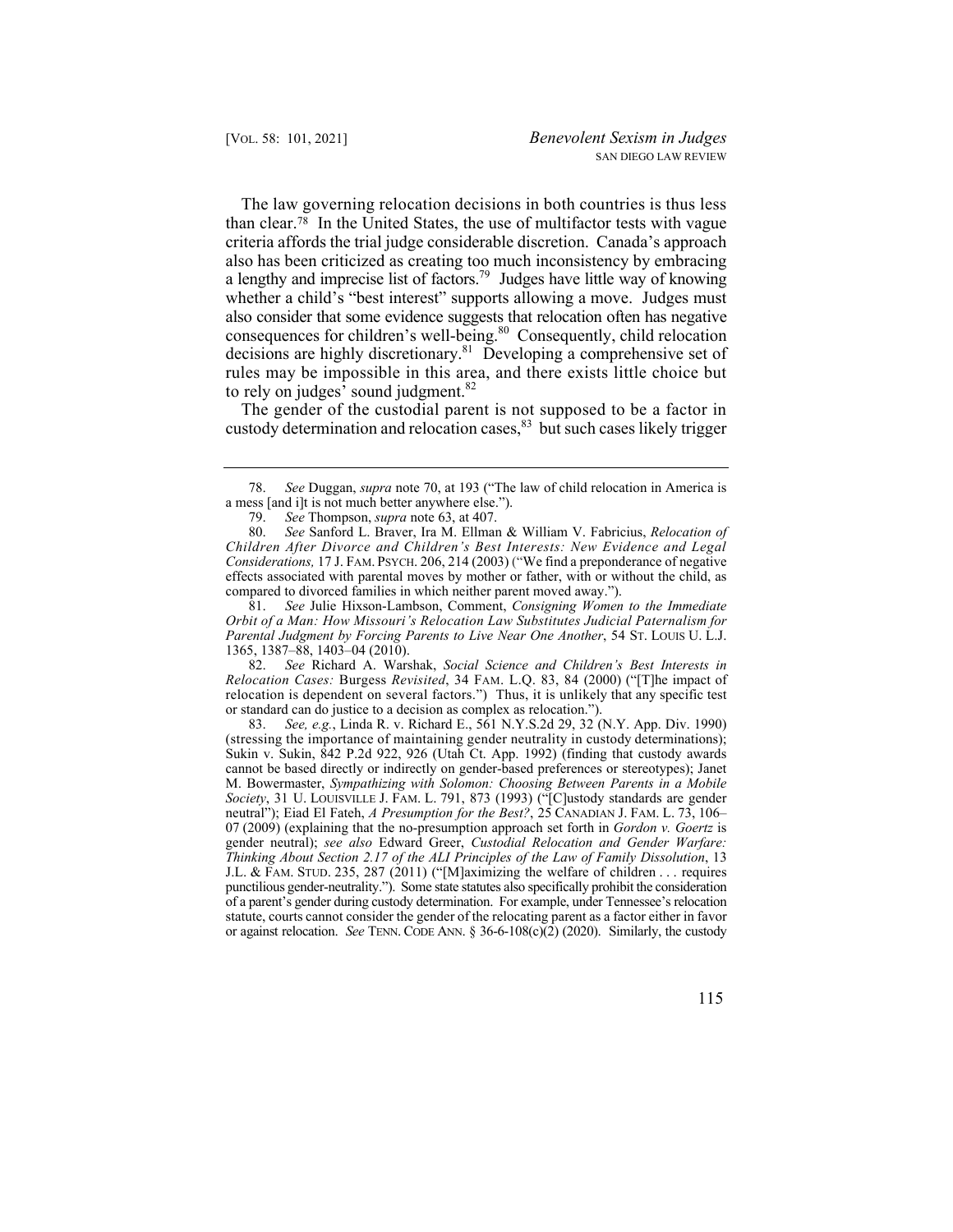a lengthy and imprecise list of factors.<sup>79</sup> Judges have little way of knowing The law governing relocation decisions in both countries is thus less than [clear.78](https://clear.78) In the United States, the use of multifactor tests with vague criteria affords the trial judge considerable discretion. Canada's approach also has been criticized as creating too much inconsistency by embracing whether a child's "best interest" supports allowing a move. Judges must also consider that some evidence suggests that relocation often has negative consequences for children's well-being.<sup>80</sup> Consequently, child relocation decisions are highly discretionary.<sup>81</sup> Developing a comprehensive set of rules may be impossible in this area, and there exists little choice but to rely on judges' sound judgment.<sup>82</sup>

The gender of the custodial parent is not supposed to be a factor in custody determination and relocation cases,<sup>83</sup> but such cases likely trigger

81. *See* Julie Hixson-Lambson, Comment, *Consigning Women to the Immediate Orbit of a Man: How Missouri's Relocation Law Substitutes Judicial Paternalism for Parental Judgment by Forcing Parents to Live Near One Another*, 54 ST. LOUIS U. L.J. 1365, 1387–88, 1403–04 (2010).

82. *See* Richard A. Warshak, *Social Science and Children's Best Interests in Relocation Cases:* Burgess *Revisited*, 34 FAM. L.Q. 83, 84 (2000) ("[T]he impact of relocation is dependent on several factors.") Thus, it is unlikely that any specific test or standard can do justice to a decision as complex as relocation.").

 J.L. & FAM. STUD. 235, 287 (2011) ("[M]aximizing the welfare of children . . . requires 83. *See, e.g.*, Linda R. v. Richard E., 561 [N.Y.S.2d](https://N.Y.S.2d) 29, 32 (N.Y. App. Div. 1990) (stressing the importance of maintaining gender neutrality in custody determinations); Sukin v. Sukin, 842 P.2d 922, 926 (Utah Ct. App. 1992) (finding that custody awards cannot be based directly or indirectly on gender-based preferences or stereotypes); Janet M. Bowermaster, *Sympathizing with Solomon: Choosing Between Parents in a Mobile Society*, 31 U. LOUISVILLE J. FAM. L. 791, 873 (1993) ("[C]ustody standards are gender neutral"); Eiad El Fateh, *A Presumption for the Best?*, 25 CANADIAN J. FAM. L. 73, 106– 07 (2009) (explaining that the no-presumption approach set forth in *Gordon v. Goertz* is gender neutral); *see also* Edward Greer, *Custodial Relocation and Gender Warfare: Thinking About Section 2.17 of the ALI Principles of the Law of Family Dissolution*, 13 punctilious gender-neutrality."). Some state statutes also specifically prohibit the consideration of a parent's gender during custody determination. For example, under Tennessee's relocation statute, courts cannot consider the gender of the relocating parent as a factor either in favor or against relocation. *See* TENN. CODE ANN. § 36-6-108(c)(2) (2020). Similarly, the custody

<sup>78.</sup> *See* Duggan, *supra* note 70, at 193 ("The law of child relocation in America is a mess [and i]t is not much better anywhere else.").<br>
79. See Thompson, *supra* note 63, at 407.

See Thompson, *supra* note 63, at 407.

<sup>80.</sup> *See* Sanford L. Braver, Ira M. Ellman & William V. Fabricius, *Relocation of Children After Divorce and Children's Best Interests: New Evidence and Legal Considerations,* 17 J. FAM. PSYCH. 206, 214 (2003) ("We find a preponderance of negative effects associated with parental moves by mother or father, with or without the child, as compared to divorced families in which neither parent moved away.").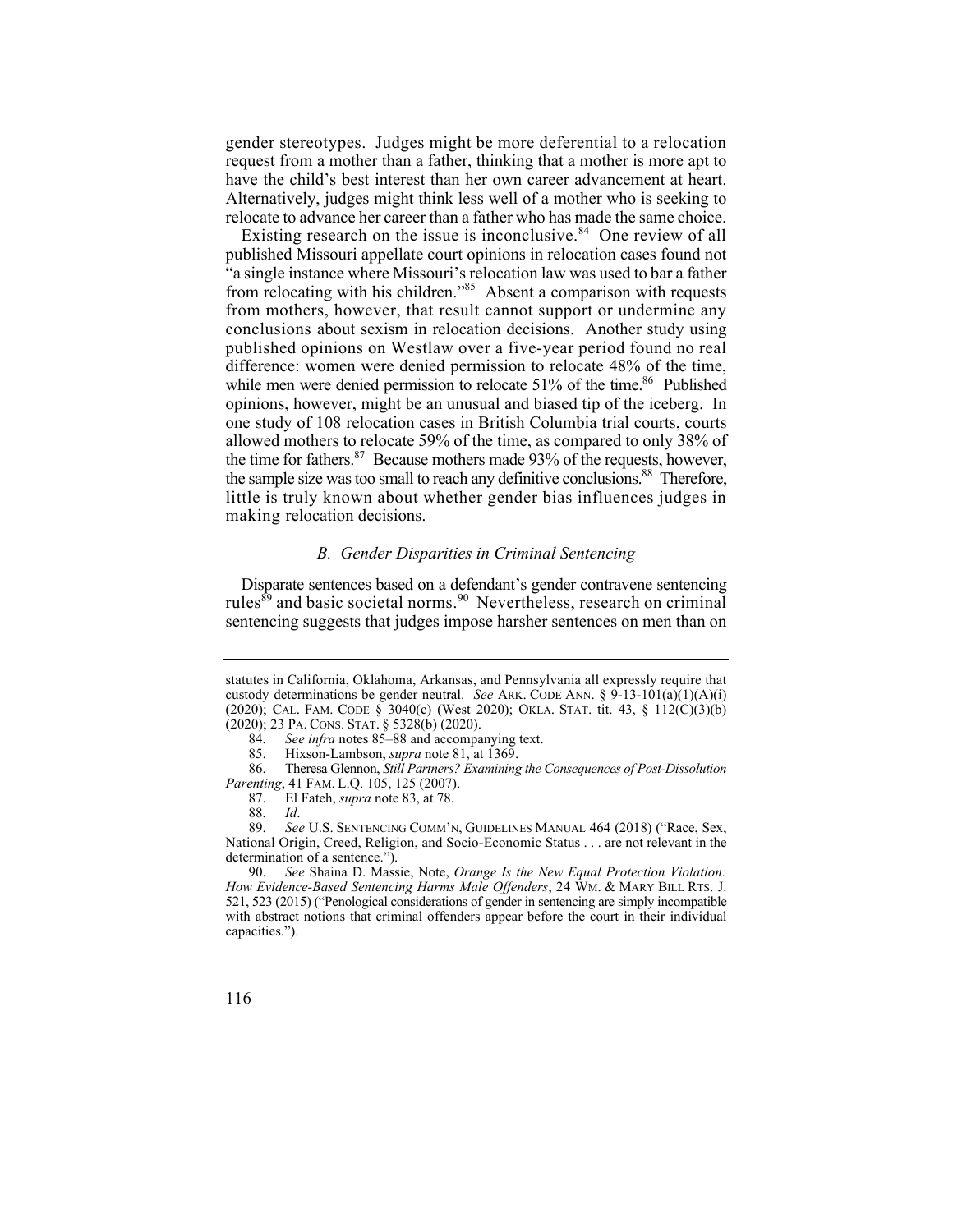have the child's best interest than her own career advancement at heart. gender stereotypes. Judges might be more deferential to a relocation request from a mother than a father, thinking that a mother is more apt to Alternatively, judges might think less well of a mother who is seeking to relocate to advance her career than a father who has made the same choice.

Existing research on the issue is [inconclusive.](https://inconclusive.84)<sup>84</sup> One review of all published Missouri appellate court opinions in relocation cases found not "a single instance where Missouri's relocation law was used to bar a father from relocating with his children."<sup>85</sup> Absent a comparison with requests from mothers, however, that result cannot support or undermine any conclusions about sexism in relocation decisions. Another study using published opinions on Westlaw over a five-year period found no real difference: women were denied permission to relocate 48% of the time, while men were denied permission to relocate  $51\%$  of the time.<sup>86</sup> Published opinions, however, might be an unusual and biased tip of the iceberg. In one study of 108 relocation cases in British Columbia trial courts, courts allowed mothers to relocate 59% of the time, as compared to only 38% of the time for fathers.<sup>87</sup> Because mothers made 93% of the requests, however, the sample size was too small to reach any definitive conclusions.<sup>88</sup> Therefore, little is truly known about whether gender bias influences judges in making relocation decisions.

## *B. Gender Disparities in Criminal Sentencing*

Disparate sentences based on a defendant's gender contravene sentencing rules<sup>89</sup> and basic societal norms.<sup>90</sup> Nevertheless, research on criminal sentencing suggests that judges impose harsher sentences on men than on

 (2020); CAL. FAM. CODE § 3040(c) (West 2020); OKLA. STAT. tit. 43, § 112(C)(3)(b) (2020); 23 PA. CONS. STAT. § 5328(b) (2020). statutes in California, Oklahoma, Arkansas, and Pennsylvania all expressly require that custody determinations be gender neutral. *See* ARK. CODE ANN. §  $9-13-101(a)(1)(A)(i)$ 

<sup>84.</sup> *See infra* notes 85–88 and accompanying text.

<sup>85.</sup> Hixson-Lambson, *supra* note 81, at 1369.

<sup>86.</sup>  86. Theresa Glennon, *Still Partners? Examining the Consequences of Post-Dissolution Parenting*, 41 FAM. L.Q. 105, 125 (2007).

<sup>87.</sup> El Fateh, *supra* note 83, at 78.

<sup>88.</sup> *Id*.

See U.S. SENTENCING COMM'N, GUIDELINES MANUAL 464 (2018) ("Race, Sex, National Origin, Creed, Religion, and Socio-Economic Status . . . are not relevant in the determination of a sentence.").<br>90. See Shaina D. Mass

<sup>90.</sup> *See* Shaina D. Massie, Note, *Orange Is the New Equal Protection Violation: How Evidence-Based Sentencing Harms Male Offenders*, 24 WM. & MARY BILL RTS. J. 521, 523 (2015) ("Penological considerations of gender in sentencing are simply incompatible with abstract notions that criminal offenders appear before the court in their individual capacities.").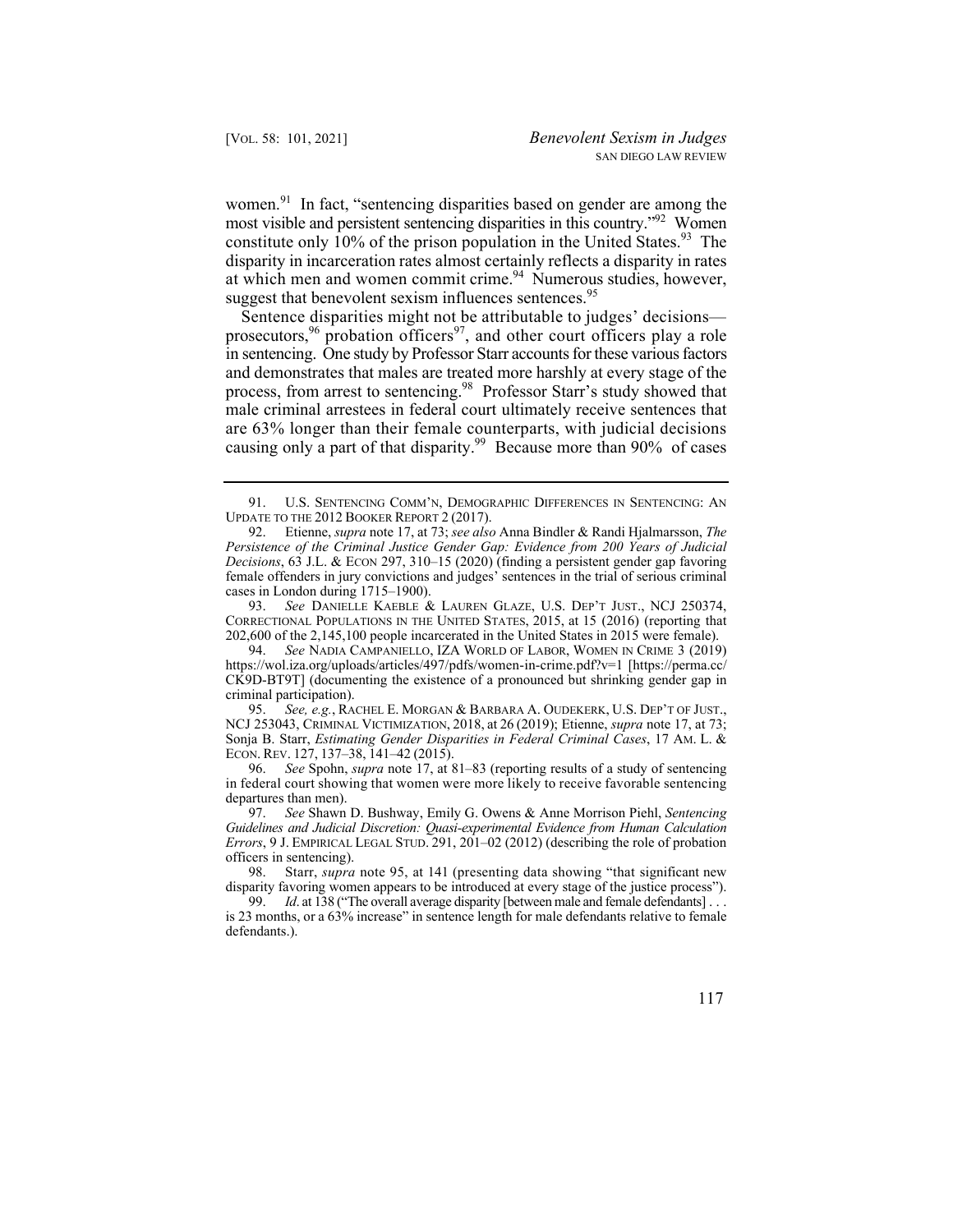most visible and persistent sentencing disparities in this country."<sup>92</sup> Women constitute only  $10\%$  of the prison population in the United States.<sup>93</sup> The [women.](https://women.91)<sup>91</sup> In fact, "sentencing disparities based on gender are among the disparity in incarceration rates almost certainly reflects a disparity in rates at which men and women commit crime.<sup>94</sup> Numerous studies, however, suggest that benevolent sexism influences sentences.<sup>95</sup>

prosecutors,  $96$  probation officers  $97$ , and other court officers play a role Sentence disparities might not be attributable to judges' decisions in sentencing. One study by Professor Starr accounts for these various factors and demonstrates that males are treated more harshly at every stage of the process, from arrest to sentencing.<sup>98</sup> Professor Starr's study showed that male criminal arrestees in federal court ultimately receive sentences that are 63% longer than their female counterparts, with judicial decisions causing only a part of that disparity.<sup>99</sup> Because more than 90% of cases

 93. *See* DANIELLE KAEBLE & LAUREN GLAZE, U.S. DEP'T JUST., NCJ 250374, CORRECTIONAL POPULATIONS IN THE UNITED STATES, 2015, at 15 (2016) (reporting that 202,600 of the 2,145,100 people incarcerated in the United States in 2015 were female).

 94. *See* NADIA CAMPANIELLO, IZA WORLD OF LABOR, WOMEN IN CRIME 3 (2019) CK9D-BT9T] (documenting the existence of a pronounced but shrinking gender gap in <https://wol.iza.org/uploads/articles/497/pdfs/women-in-crime.pdf?v=1> [[https://perma.cc/](https://perma.cc) criminal participation).

 95. *See, e.g.*, RACHEL E. MORGAN & BARBARA A. OUDEKERK, U.S. DEP'T OF JUST., NCJ 253043, CRIMINAL VICTIMIZATION, 2018, at 26 (2019); Etienne, *supra* note 17, at 73; Sonja B. Starr, *Estimating Gender Disparities in Federal Criminal Cases*, 17 AM. L. & ECON. REV. 127, 137–38, 141–42 (2015).

96. *See* Spohn, *supra* note 17, at 81–83 (reporting results of a study of sentencing in federal court showing that women were more likely to receive favorable sentencing departures than men).

97. *See* Shawn D. Bushway, Emily G. Owens & Anne Morrison Piehl, *Sentencing Guidelines and Judicial Discretion: Quasi-experimental Evidence from Human Calculation Errors*, 9 J. EMPIRICAL LEGAL STUD. 291, 201–02 (2012) (describing the role of probation officers in sentencing).<br>98. Starr, *supra* 

Starr, *supra* note 95, at 141 (presenting data showing "that significant new disparity favoring women appears to be introduced at every stage of the justice process").

 99. *Id*. at 138 ("The overall average disparity [between male and female defendants] . . . is 23 months, or a 63% increase" in sentence length for male defendants relative to female defendants.).

<sup>91.</sup> U.S. SENTENCING COMM'N, DEMOGRAPHIC DIFFERENCES IN SENTENCING: AN UPDATE TO THE 2012 BOOKER REPORT 2 (2017).

<sup>92.</sup> Etienne, *supra* note 17, at 73; *see also* Anna Bindler & Randi Hjalmarsson, *The Persistence of the Criminal Justice Gender Gap: Evidence from 200 Years of Judicial Decisions*, 63 J.L. & ECON 297, 310–15 (2020) (finding a persistent gender gap favoring female offenders in jury convictions and judges' sentences in the trial of serious criminal cases in London during 1715–1900).<br>93. See DANIELLE KAEBLE &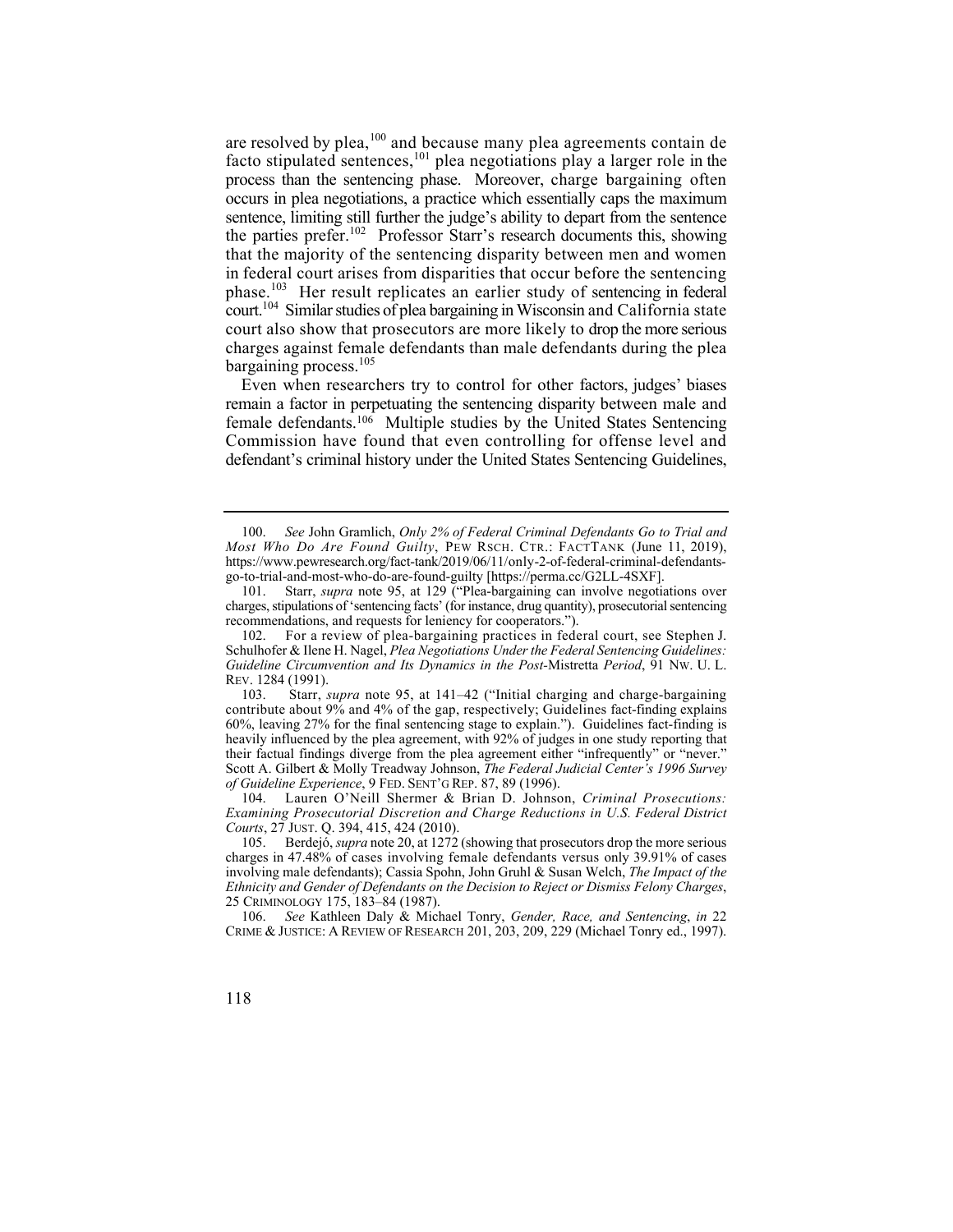the parties prefer.<sup>102</sup> Professor Starr's research documents this, showing court.104 Similar studies of plea bargaining in Wisconsin and California state are resolved by plea, <sup>100</sup> and because many plea agreements contain de facto stipulated sentences, <sup>101</sup> plea negotiations play a larger role in the process than the sentencing phase. Moreover, charge bargaining often occurs in plea negotiations, a practice which essentially caps the maximum sentence, limiting still further the judge's ability to depart from the sentence that the majority of the sentencing disparity between men and women in federal court arises from disparities that occur before the sentencing phase.<sup>103</sup> Her result replicates an earlier study of sentencing in federal court also show that prosecutors are more likely to drop the more serious charges against female defendants than male defendants during the plea bargaining process.<sup>105</sup>

 Even when researchers try to control for other factors, judges' biases female defendants.<sup>106</sup> Multiple studies by the United States Sentencing remain a factor in perpetuating the sentencing disparity between male and Commission have found that even controlling for offense level and defendant's criminal history under the United States Sentencing Guidelines,

<sup>106.</sup> *See* Kathleen Daly & Michael Tonry, *Gender, Race, and Sentencing*, *in* 22 CRIME & JUSTICE: A REVIEW OF RESEARCH 201, 203, 209, 229 (Michael Tonry ed., 1997).



<sup>100.</sup> *See* John Gramlich, *Only 2% of Federal Criminal Defendants Go to Trial and Most Who Do Are Found Guilty*, PEW RSCH. CTR.: FACTTANK (June 11, 2019), <https://www.pewresearch.org/fact-tank/2019/06/11/only-2-of-federal-criminal-defendants>go-to-trial-and-most-who-do-are-found-guilty [[https://perma.cc/G2LL-4SXF\]](https://perma.cc/G2LL-4SXF).

<sup>101.</sup> Starr, *supra* note 95, at 129 ("Plea-bargaining can involve negotiations over charges, stipulations of 'sentencing facts' (for instance, drug quantity), prosecutorial sentencing recommendations, and requests for leniency for cooperators.").

 102. For a review of plea-bargaining practices in federal court, see Stephen J. Schulhofer & Ilene H. Nagel, *Plea Negotiations Under the Federal Sentencing Guidelines: Guideline Circumvention and Its Dynamics in the Post-*Mistretta *Period*, 91 NW. U. L. REV. 1284 (1991).

<sup>103.</sup> Starr, *supra* note 95, at 141–42 ("Initial charging and charge-bargaining contribute about 9% and 4% of the gap, respectively; Guidelines fact-finding explains 60%, leaving 27% for the final sentencing stage to explain."). Guidelines fact-finding is heavily influenced by the plea agreement, with 92% of judges in one study reporting that their factual findings diverge from the plea agreement either "infrequently" or "never." Scott A. Gilbert & Molly Treadway Johnson, *The Federal Judicial Center's 1996 Survey of Guideline Experience*, 9 FED. SENT'G REP. 87, 89 (1996).

<sup>104.</sup> Lauren O'Neill Shermer & Brian D. Johnson, *Criminal Prosecutions: Examining Prosecutorial Discretion and Charge Reductions in U.S. Federal District Courts*, 27 JUST. Q. 394, 415, 424 (2010).

<sup>105.</sup> Berdejó, *supra* note 20, at 1272 (showing that prosecutors drop the more serious charges in 47.48% of cases involving female defendants versus only 39.91% of cases involving male defendants); Cassia Spohn, John Gruhl & Susan Welch, *The Impact of the Ethnicity and Gender of Defendants on the Decision to Reject or Dismiss Felony Charges*, 25 CRIMINOLOGY 175, 183–84 (1987).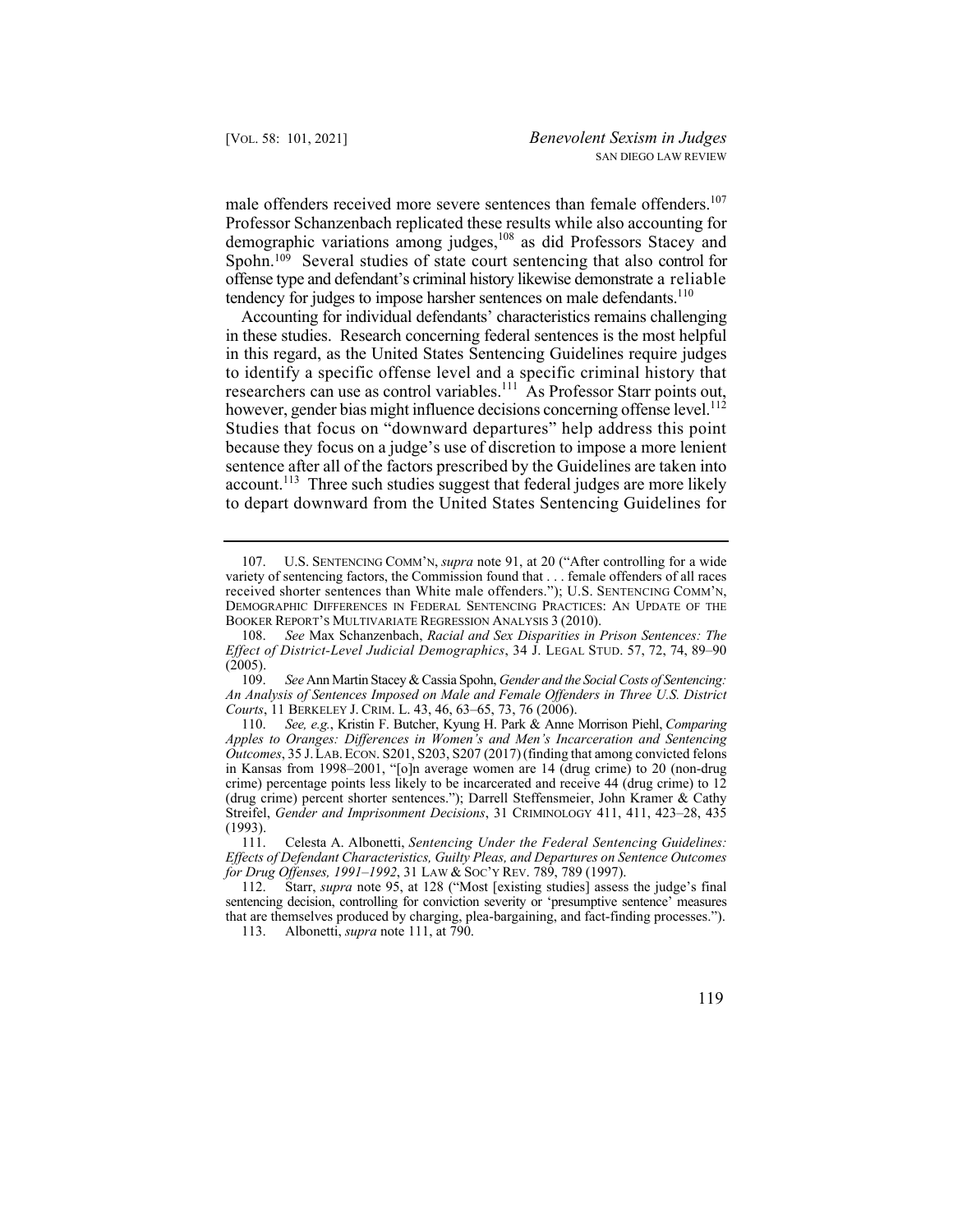male offenders received more severe sentences than female offenders.<sup>107</sup> Spohn.<sup>109</sup> Several studies of state court sentencing that also control for Professor Schanzenbach replicated these results while also accounting for demographic variations among judges,108 as did Professors Stacey and offense type and defendant's criminal history likewise demonstrate a reliable tendency for judges to impose harsher sentences on male defendants.<sup>110</sup>

however, gender bias might influence decisions concerning offense level.<sup>112</sup> Accounting for individual defendants' characteristics remains challenging in these studies. Research concerning federal sentences is the most helpful in this regard, as the United States Sentencing Guidelines require judges to identify a specific offense level and a specific criminal history that researchers can use as control variables.<sup>111</sup> As Professor Starr points out, Studies that focus on "downward departures" help address this point because they focus on a judge's use of discretion to impose a more lenient sentence after all of the factors prescribed by the Guidelines are taken into account.<sup>113</sup> Three such studies suggest that federal judges are more likely to depart downward from the United States Sentencing Guidelines for

 107. U.S. SENTENCING COMM'N, *supra* note 91, at 20 ("After controlling for a wide variety of sentencing factors, the Commission found that . . . female offenders of all races received shorter sentences than White male offenders."); U.S. SENTENCING COMM'N, DEMOGRAPHIC DIFFERENCES IN FEDERAL SENTENCING PRACTICES: AN UPDATE OF THE BOOKER REPORT'S MULTIVARIATE REGRESSION ANALYSIS 3 (2010).

<sup>108.</sup> *See* Max Schanzenbach, *Racial and Sex Disparities in Prison Sentences: The Effect of District-Level Judicial Demographics*, 34 J. LEGAL STUD. 57, 72, 74, 89–90  $(2005).$ <br>109.

 109. *See* Ann Martin Stacey & Cassia Spohn, *Gender and the Social Costs of Sentencing: An Analysis of Sentences Imposed on Male and Female Offenders in Three U.S. District Courts*, 11 BERKELEY J. CRIM. L. 43, 46, 63–65, 73, 76 (2006).

<sup>110.</sup> *See, e.g.*, Kristin F. Butcher, Kyung H. Park & Anne Morrison Piehl, *Comparing Apples to Oranges: Differences in Women's and Men's Incarceration and Sentencing Outcomes*, 35 J. LAB. ECON. S201, S203, S207 (2017) (finding that among convicted felons in Kansas from 1998–2001, "[o]n average women are 14 (drug crime) to 20 (non-drug crime) percentage points less likely to be incarcerated and receive 44 (drug crime) to 12 (drug crime) percent shorter sentences."); Darrell Steffensmeier, John Kramer & Cathy Streifel, *Gender and Imprisonment Decisions*, 31 CRIMINOLOGY 411, 411, 423–28, 435 (1993).

 111. Celesta A. Albonetti, *Sentencing Under the Federal Sentencing Guidelines: Effects of Defendant Characteristics, Guilty Pleas, and Departures on Sentence Outcomes for Drug Offenses, 1991–1992, 31 LAW & Soc't REV. 789, 789 (1997).*<br>112. Starr, *supra* note 95, at 128 ("Most [existing studies] assess

Starr, *supra* note 95, at 128 ("Most [existing studies] assess the judge's final sentencing decision, controlling for conviction severity or 'presumptive sentence' measures that are themselves produced by charging, plea-bargaining, and fact-finding processes.").

<sup>113.</sup> Albonetti, *supra* note 111, at 790.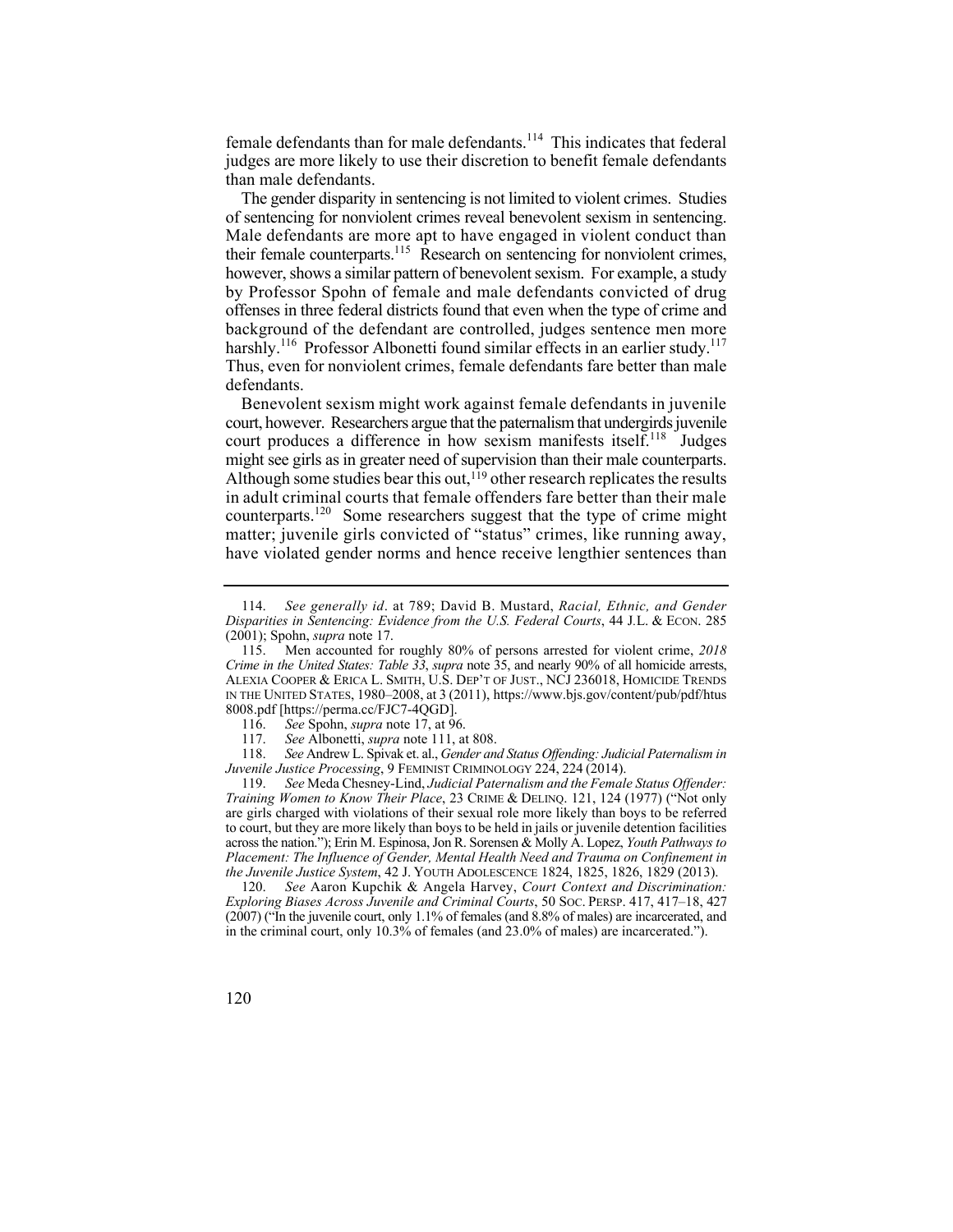female defendants than for male defendants.<sup>114</sup> This indicates that federal judges are more likely to use their discretion to benefit female defendants than male defendants.

harshly.<sup>116</sup> Professor Albonetti found similar effects in an earlier study.<sup>117</sup> The gender disparity in sentencing is not limited to violent crimes. Studies of sentencing for nonviolent crimes reveal benevolent sexism in sentencing. Male defendants are more apt to have engaged in violent conduct than their female counterparts.<sup>115</sup> Research on sentencing for nonviolent crimes, however, shows a similar pattern of benevolent sexism. For example, a study by Professor Spohn of female and male defendants convicted of drug offenses in three federal districts found that even when the type of crime and background of the defendant are controlled, judges sentence men more Thus, even for nonviolent crimes, female defendants fare better than male defendants.

Benevolent sexism might work against female defendants in juvenile court, however. Researchers argue that the paternalism that undergirds juvenile court produces a difference in how sexism manifests itself.<sup>118</sup> Judges might see girls as in greater need of supervision than their male counterparts. Although some studies bear this out, $119$  other research replicates the results in adult criminal courts that female offenders fare better than their male counterparts.<sup>120</sup> Some researchers suggest that the type of crime might matter; juvenile girls convicted of "status" crimes, like running away, have violated gender norms and hence receive lengthier sentences than

119. *See* Meda Chesney-Lind, *Judicial Paternalism and the Female Status Offender: Training Women to Know Their Place*, 23 CRIME & DELINQ. 121, 124 (1977) ("Not only are girls charged with violations of their sexual role more likely than boys to be referred to court, but they are more likely than boys to be held in jails or juvenile detention facilities across the nation."); Erin M. Espinosa, Jon R. Sorensen & Molly A. Lopez, *Youth Pathways to Placement: The Influence of Gender, Mental Health Need and Trauma on Confinement in the Juvenile Justice System*, 42 J. YOUTH ADOLESCENCE 1824, 1825, 1826, 1829 (2013).

120. *See* Aaron Kupchik & Angela Harvey, *Court Context and Discrimination: Exploring Biases Across Juvenile and Criminal Courts*, 50 SOC. PERSP. 417, 417–18, 427 (2007) ("In the juvenile court, only 1.1% of females (and 8.8% of males) are incarcerated, and in the criminal court, only 10.3% of females (and 23.0% of males) are incarcerated.").

<sup>114.</sup> *See generally id*. at 789; David B. Mustard, *Racial, Ethnic, and Gender Disparities in Sentencing: Evidence from the U.S. Federal Courts*, 44 J*.*L. & ECON. 285 (2001); Spohn, *supra* note 17.

 IN THE UNITED STATES, 1980–2008, at 3 (2011),<https://www.bjs.gov/content/pub/pdf/htus> 115. Men accounted for roughly 80% of persons arrested for violent crime, *2018 Crime in the United States: Table 33*, *supra* note 35, and nearly 90% of all homicide arrests, ALEXIA COOPER & ERICA L. SMITH, U.S. DEP'T OF JUST., NCJ 236018, HOMICIDE TRENDS 8008.pdf [[https://perma.cc/FJC7-4QGD\]](https://perma.cc/FJC7-4QGD).

<sup>116.</sup> *See* Spohn, *supra* note 17, at 96.

<sup>117.</sup> *See* Albonetti, *supra* note 111, at 808.

 118. *See* Andrew L. Spivak et. al., *Gender and Status Offending: Judicial Paternalism in Juvenile Justice Processing*, 9 FEMINIST CRIMINOLOGY 224, 224 (2014).

<sup>120</sup>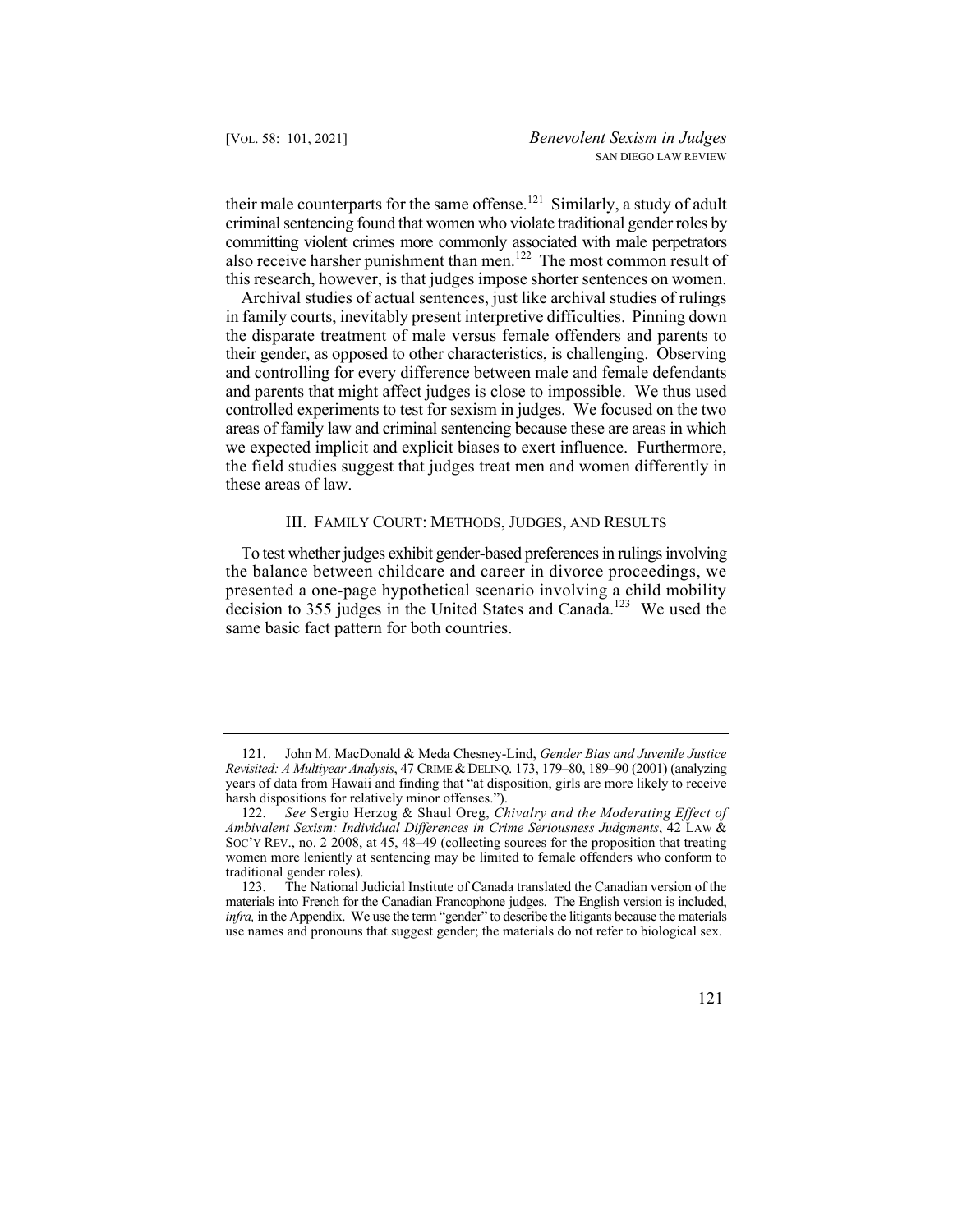their male counterparts for the same offense.<sup>121</sup> Similarly, a study of adult criminal sentencing found that women who violate traditional gender roles by committing violent crimes more commonly associated with male perpetrators also receive harsher punishment than men.<sup>122</sup> The most common result of this research, however, is that judges impose shorter sentences on women.

Archival studies of actual sentences, just like archival studies of rulings in family courts, inevitably present interpretive difficulties. Pinning down the disparate treatment of male versus female offenders and parents to their gender, as opposed to other characteristics, is challenging. Observing and controlling for every difference between male and female defendants and parents that might affect judges is close to impossible. We thus used controlled experiments to test for sexism in judges. We focused on the two areas of family law and criminal sentencing because these are areas in which we expected implicit and explicit biases to exert influence. Furthermore, the field studies suggest that judges treat men and women differently in these areas of law.

## III. FAMILY COURT: METHODS, JUDGES, AND RESULTS

To test whether judges exhibit gender-based preferences in rulings involving the balance between childcare and career in divorce proceedings, we presented a one-page hypothetical scenario involving a child mobility decision to 355 judges in the United States and Canada.<sup>123</sup> We used the same basic fact pattern for both countries.

<sup>121.</sup> John M. MacDonald & Meda Chesney-Lind, *Gender Bias and Juvenile Justice Revisited: A Multiyear Analysis*, 47 CRIME & DELINQ. 173, 179–80, 189–90 (2001) (analyzing years of data from Hawaii and finding that "at disposition, girls are more likely to receive harsh dispositions for relatively minor offenses.").

<sup>122.</sup> *See* Sergio Herzog & Shaul Oreg, *Chivalry and the Moderating Effect of Ambivalent Sexism: Individual Differences in Crime Seriousness Judgments*, 42 LAW & SOC'Y REV., no. 2 2008, at 45, 48–49 (collecting sources for the proposition that treating women more leniently at sentencing may be limited to female offenders who conform to traditional gender roles).

<sup>123.</sup> The National Judicial Institute of Canada translated the Canadian version of the materials into French for the Canadian Francophone judges. The English version is included, *infra,* in the Appendix. We use the term "gender" to describe the litigants because the materials use names and pronouns that suggest gender; the materials do not refer to biological sex.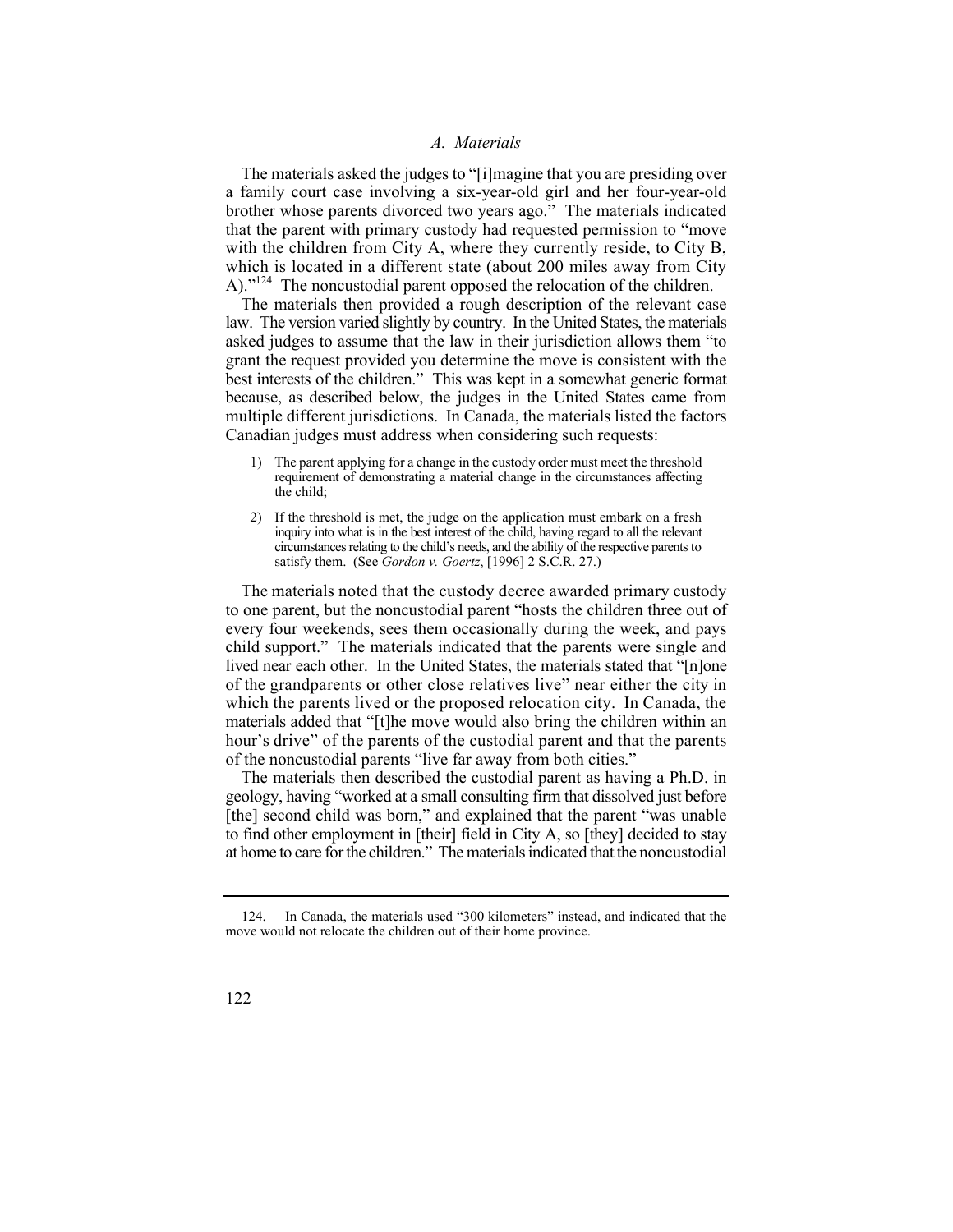#### *A. Materials*

The materials asked the judges to "[i]magine that you are presiding over a family court case involving a six-year-old girl and her four-year-old brother whose parents divorced two years ago." The materials indicated that the parent with primary custody had requested permission to "move with the children from City A, where they currently reside, to City B, which is located in a different state (about 200 miles away from City A)."<sup>124</sup> The noncustodial parent opposed the relocation of the children.

The materials then provided a rough description of the relevant case law. The version varied slightly by country. In the United States, the materials asked judges to assume that the law in their jurisdiction allows them "to grant the request provided you determine the move is consistent with the best interests of the children." This was kept in a somewhat generic format because, as described below, the judges in the United States came from multiple different jurisdictions. In Canada, the materials listed the factors Canadian judges must address when considering such requests:

- 1) The parent applying for a change in the custody order must meet the threshold requirement of demonstrating a material change in the circumstances affecting the child;
- 2) If the threshold is met, the judge on the application must embark on a fresh inquiry into what is in the best interest of the child, having regard to all the relevant circumstances relating to the child's needs, and the ability of the respective parents to satisfy them. (See *Gordon v. Goertz*, [1996] 2 S.C.R. 27.)

 The materials noted that the custody decree awarded primary custody of the grandparents or other close relatives live" near either the city in to one parent, but the noncustodial parent "hosts the children three out of every four weekends, sees them occasionally during the week, and pays child support." The materials indicated that the parents were single and lived near each other. In the United States, the materials stated that "Inlone" which the parents lived or the proposed relocation city. In Canada, the materials added that "[t]he move would also bring the children within an hour's drive" of the parents of the custodial parent and that the parents of the noncustodial parents "live far away from both cities."

 geology, having "worked at a small consulting firm that dissolved just before The materials then described the custodial parent as having a Ph.D. in [the] second child was born," and explained that the parent "was unable to find other employment in [their] field in City A, so [they] decided to stay at home to care for the children." The materials indicated that the noncustodial

In Canada, the materials used "300 kilometers" instead, and indicated that the move would not relocate the children out of their home province.

<sup>122</sup>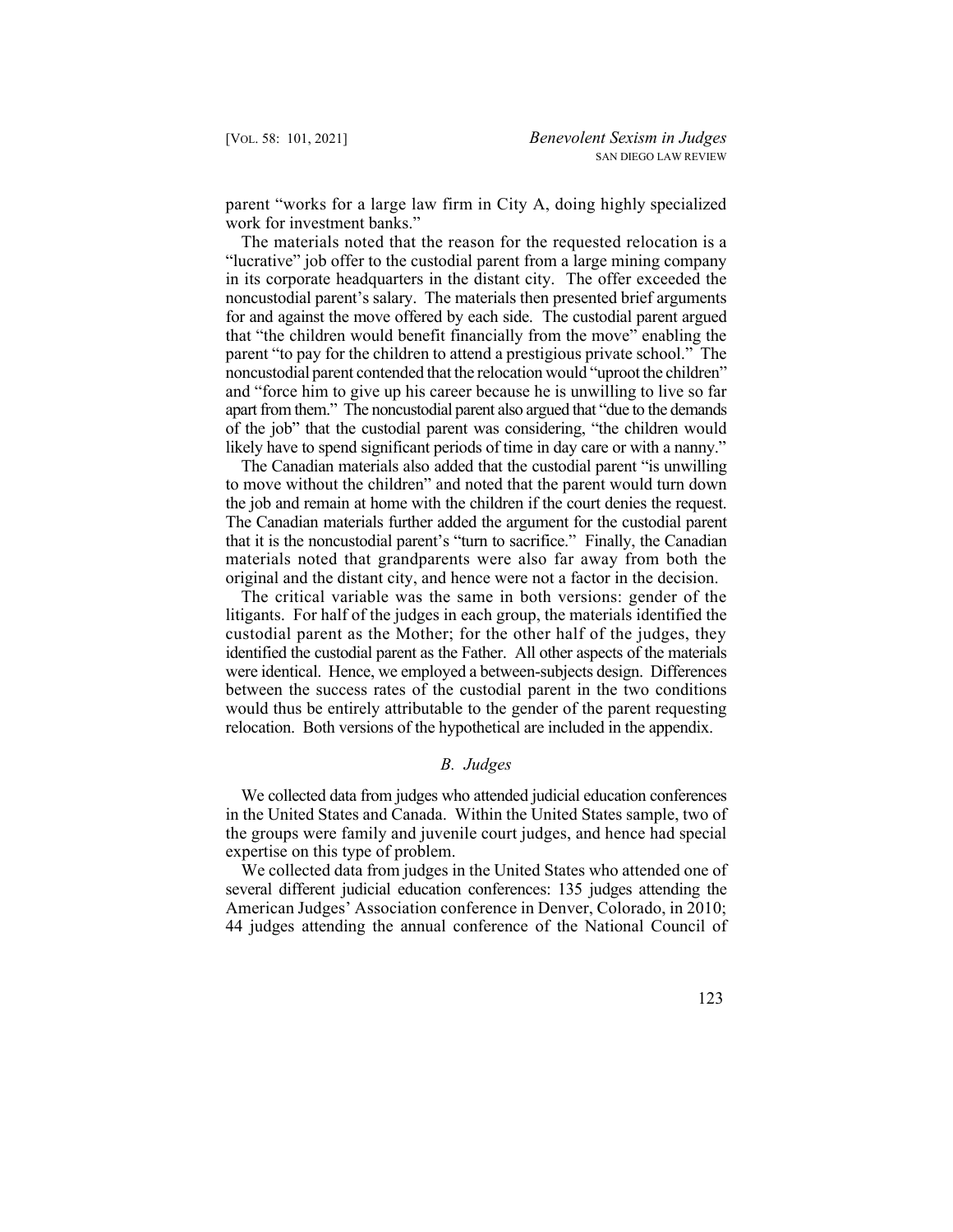parent "works for a large law firm in City A, doing highly specialized work for investment banks."

 The materials noted that the reason for the requested relocation is a of the job" that the custodial parent was considering, "the children would likely have to spend significant periods of time in day care or with a nanny." "lucrative" job offer to the custodial parent from a large mining company in its corporate headquarters in the distant city. The offer exceeded the noncustodial parent's salary. The materials then presented brief arguments for and against the move offered by each side. The custodial parent argued that "the children would benefit financially from the move" enabling the parent "to pay for the children to attend a prestigious private school." The noncustodial parent contended that the relocation would "uproot the children" and "force him to give up his career because he is unwilling to live so far apart from them." The noncustodial parent also argued that "due to the demands

 The Canadian materials further added the argument for the custodial parent The Canadian materials also added that the custodial parent "is unwilling to move without the children" and noted that the parent would turn down the job and remain at home with the children if the court denies the request. that it is the noncustodial parent's "turn to sacrifice." Finally, the Canadian materials noted that grandparents were also far away from both the original and the distant city, and hence were not a factor in the decision.

 The critical variable was the same in both versions: gender of the litigants. For half of the judges in each group, the materials identified the custodial parent as the Mother; for the other half of the judges, they identified the custodial parent as the Father. All other aspects of the materials were identical. Hence, we employed a between-subjects design. Differences between the success rates of the custodial parent in the two conditions would thus be entirely attributable to the gender of the parent requesting relocation. Both versions of the hypothetical are included in the appendix.

#### *B. Judges*

 the groups were family and juvenile court judges, and hence had special We collected data from judges who attended judicial education conferences in the United States and Canada. Within the United States sample, two of expertise on this type of problem.

We collected data from judges in the United States who attended one of several different judicial education conferences: 135 judges attending the American Judges' Association conference in Denver, Colorado, in 2010; 44 judges attending the annual conference of the National Council of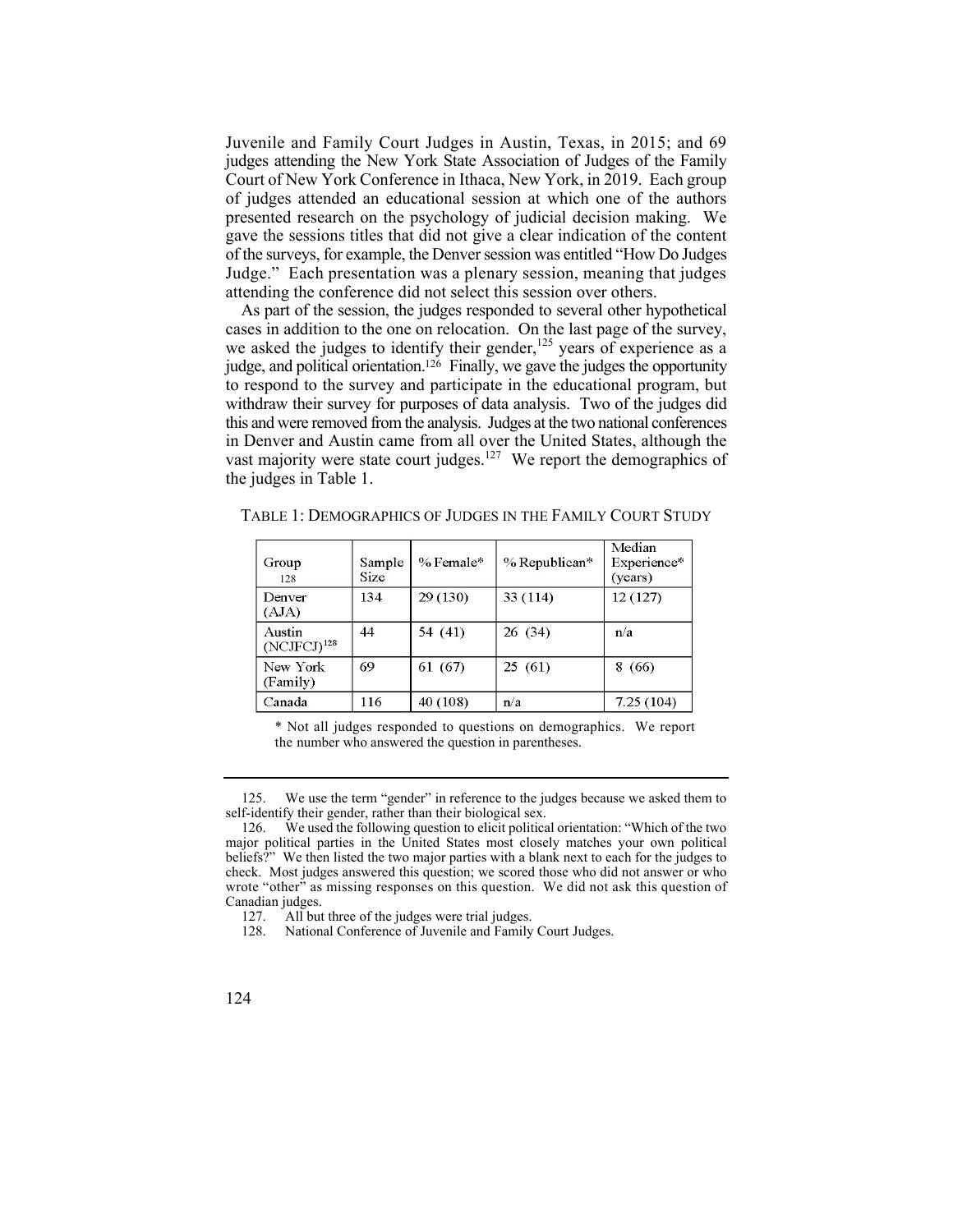Juvenile and Family Court Judges in Austin, Texas, in 2015; and 69 judges attending the New York State Association of Judges of the Family Court of New York Conference in Ithaca, New York, in 2019. Each group of judges attended an educational session at which one of the authors presented research on the psychology of judicial decision making. We gave the sessions titles that did not give a clear indication of the content of the surveys, for example, the Denver session was entitled "How Do Judges Judge." Each presentation was a plenary session, meaning that judges attending the conference did not select this session over others.

As part of the session, the judges responded to several other hypothetical cases in addition to the one on relocation. On the last page of the survey, we asked the judges to identify their gender,<sup>125</sup> years of experience as a judge, and political orientation.<sup>126</sup> Finally, we gave the judges the opportunity to respond to the survey and participate in the educational program, but withdraw their survey for purposes of data analysis. Two of the judges did this and were removed from the analysis. Judges at the two national conferences in Denver and Austin came from all over the United States, although the vast majority were state court judges.<sup>127</sup> We report the demographics of the judges in Table 1.

| Group<br>128                      | Sample<br>Size | $%$ Female* | $%$ Republican* | Median<br>Experience*<br>(years) |
|-----------------------------------|----------------|-------------|-----------------|----------------------------------|
| Denver<br>(AJA)                   | 134            | 29(130)     | 33(114)         | 12(127)                          |
| Austin<br>(NCIFCJ) <sup>128</sup> | 44             | 54 (41)     | 26(34)          | n/a                              |
| New York<br>(Family)              | 69             | 61 (67)     | 25(61)          | 8(66)                            |
| Canada                            | 116            | 40 (108)    | n/a             | 7.25(104)                        |

TABLE 1: DEMOGRAPHICS OF JUDGES IN THE FAMILY COURT STUDY

\* Not all judges responded to questions on demographics. We report the number who answered the question in parentheses.

<sup>125.</sup> We use the term "gender" in reference to the judges because we asked them to self-identify their gender, rather than their biological sex.

<sup>126.</sup> We used the following question to elicit political orientation: "Which of the two major political parties in the United States most closely matches your own political beliefs?" We then listed the two major parties with a blank next to each for the judges to check. Most judges answered this question; we scored those who did not answer or who wrote "other" as missing responses on this question. We did not ask this question of Canadian judges.<br>127. All but

 127. All but three of the judges were trial judges.

<sup>128.</sup> National Conference of Juvenile and Family Court Judges.

<sup>124</sup>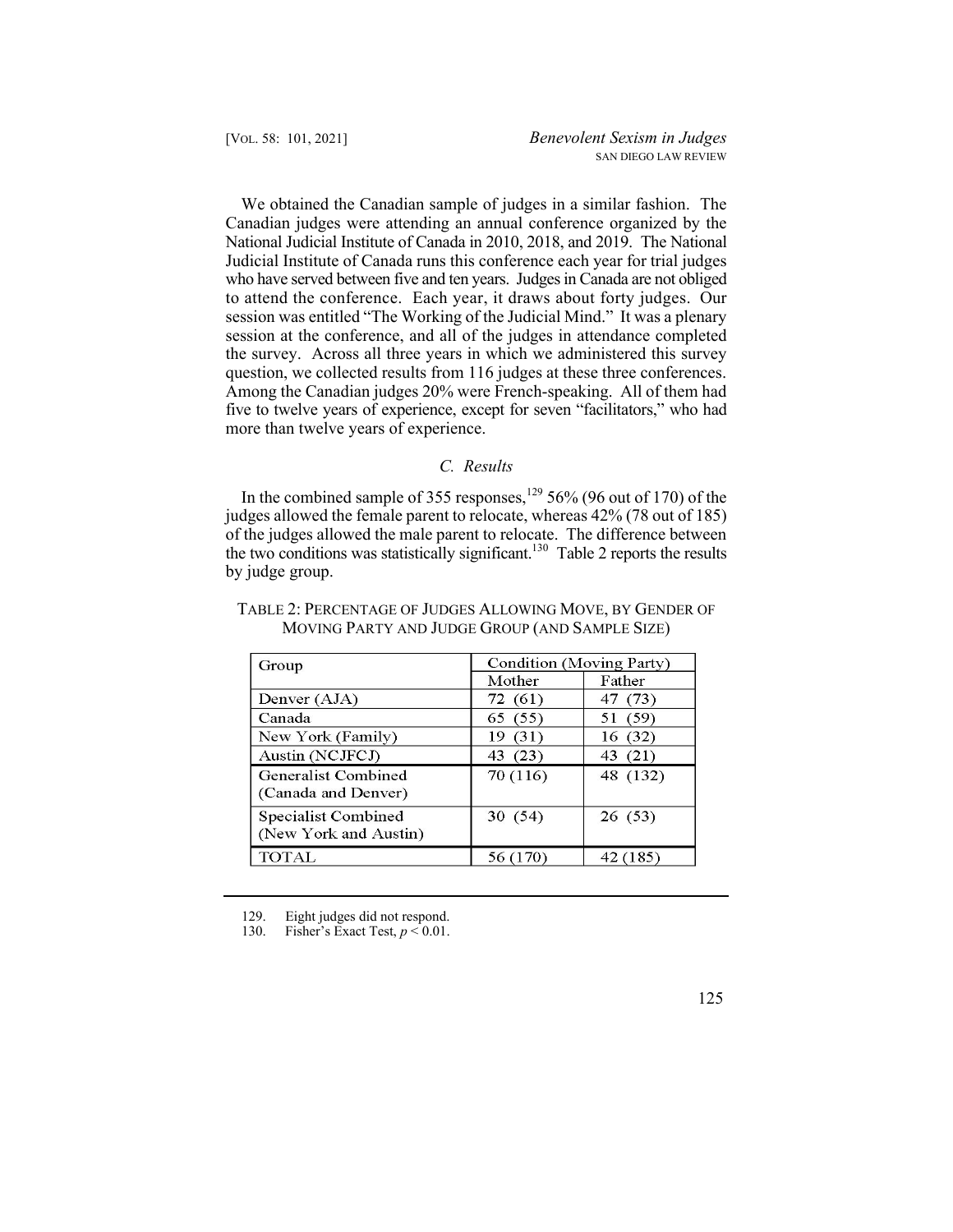National Judicial Institute of Canada in 2010, 2018, and 2019. The National to attend the conference. Each year, it draws about forty judges. Our question, we collected results from 116 judges at these three conferences. We obtained the Canadian sample of judges in a similar fashion. The Canadian judges were attending an annual conference organized by the Judicial Institute of Canada runs this conference each year for trial judges who have served between five and ten years. Judges in Canada are not obliged session was entitled "The Working of the Judicial Mind." It was a plenary session at the conference, and all of the judges in attendance completed the survey. Across all three years in which we administered this survey Among the Canadian judges 20% were French-speaking. All of them had five to twelve years of experience, except for seven "facilitators," who had more than twelve years of experience.

## *C. Results*

In the combined sample of 355 responses, $129$  56% (96 out of 170) of the judges allowed the female parent to relocate, whereas 42% (78 out of 185) of the judges allowed the male parent to relocate. The difference between the two conditions was statistically significant.<sup>130</sup> Table 2 reports the results by judge group.

| Group                                        | Condition (Moving Party) |          |  |  |
|----------------------------------------------|--------------------------|----------|--|--|
|                                              | Mother                   | Father   |  |  |
| Denver (AJA)                                 | 72 (61)                  | 47 (73)  |  |  |
| Canada                                       | 65 (55)                  | 51 (59)  |  |  |
| New York (Family)                            | 19 (31)                  | 16 (32)  |  |  |
| Austin (NCJFCJ)                              | 43 (23)                  | 43 (21)  |  |  |
| Generalist Combined<br>(Canada and Denver)   | 70 (116)                 | 48 (132) |  |  |
| Specialist Combined<br>(New York and Austin) | 30(54)                   | 26(53)   |  |  |
| <b>TOTAL</b>                                 |                          | (185)    |  |  |

# TABLE 2: PERCENTAGE OF JUDGES ALLOWING MOVE, BY GENDER OF MOVING PARTY AND JUDGE GROUP (AND SAMPLE SIZE)

Fisher's Exact Test,  $p < 0.01$ .

<sup>129.</sup> Eight judges did not respond.<br>130. Fisher's Exact Test,  $p < 0.01$ .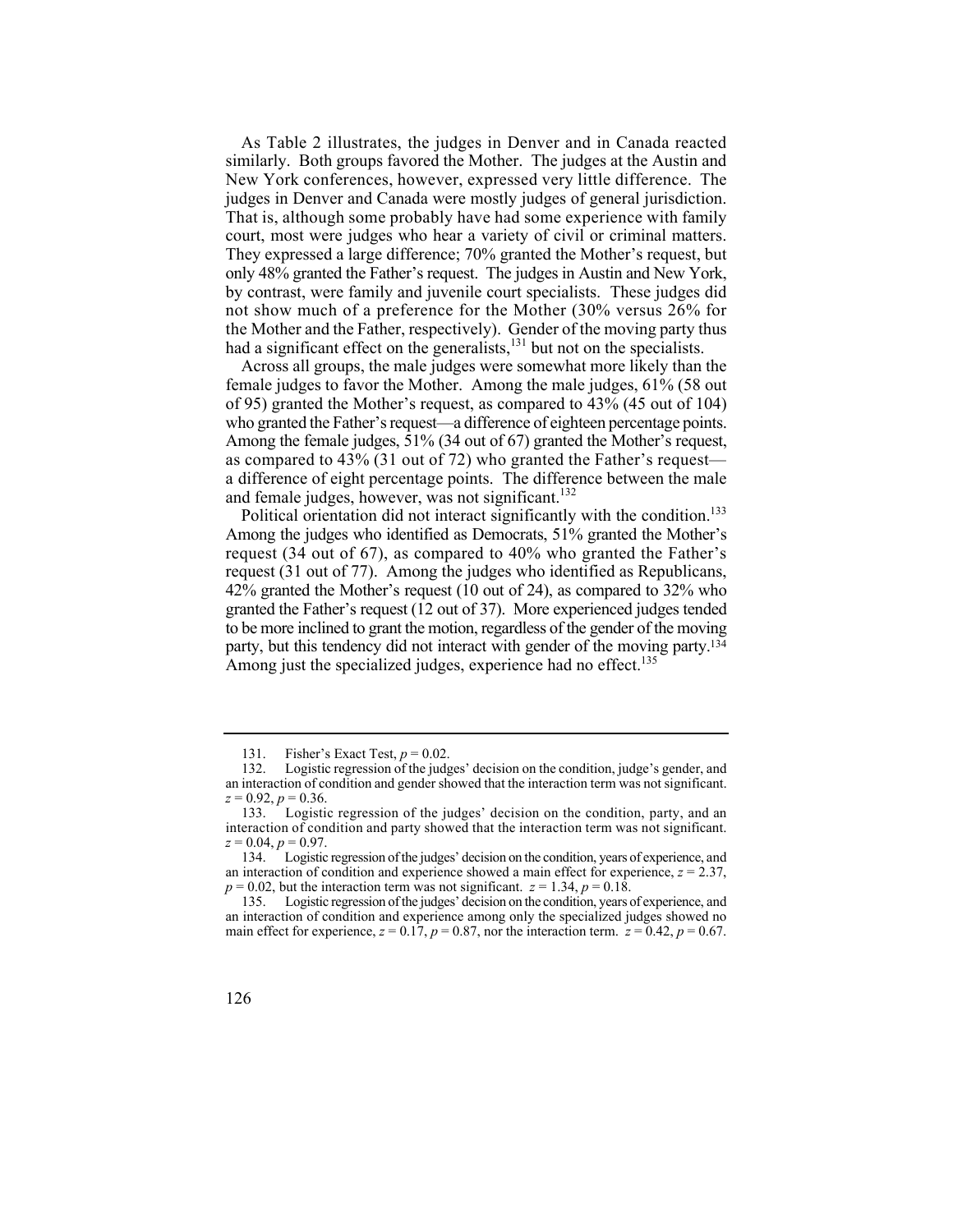As Table 2 illustrates, the judges in Denver and in Canada reacted similarly. Both groups favored the Mother. The judges at the Austin and New York conferences, however, expressed very little difference. The judges in Denver and Canada were mostly judges of general jurisdiction. That is, although some probably have had some experience with family court, most were judges who hear a variety of civil or criminal matters. They expressed a large difference; 70% granted the Mother's request, but only 48% granted the Father's request. The judges in Austin and New York, by contrast, were family and juvenile court specialists. These judges did not show much of a preference for the Mother (30% versus 26% for the Mother and the Father, respectively). Gender of the moving party thus had a significant effect on the generalists,<sup>131</sup> but not on the specialists.

Across all groups, the male judges were somewhat more likely than the female judges to favor the Mother. Among the male judges, 61% (58 out of 95) granted the Mother's request, as compared to 43% (45 out of 104) who granted the Father's request—a difference of eighteen percentage points. Among the female judges, 51% (34 out of 67) granted the Mother's request, as compared to 43% (31 out of 72) who granted the Father's request a difference of eight percentage points. The difference between the male and female judges, however, was not significant.<sup>132</sup>

party, but this tendency did not interact with gender of the moving party.<sup>134</sup> Political orientation did not interact significantly with the condition.<sup>133</sup> Among the judges who identified as Democrats, 51% granted the Mother's request (34 out of 67), as compared to 40% who granted the Father's request (31 out of 77). Among the judges who identified as Republicans, 42% granted the Mother's request (10 out of 24), as compared to 32% who granted the Father's request (12 out of 37). More experienced judges tended to be more inclined to grant the motion, regardless of the gender of the moving Among just the specialized judges, experience had no effect.<sup>135</sup>

<sup>135.</sup> Logistic regression of the judges' decision on the condition, years of experience, and an interaction of condition and experience among only the specialized judges showed no main effect for experience,  $z = 0.17$ ,  $p = 0.87$ , nor the interaction term.  $z = 0.42$ ,  $p = 0.67$ .



<sup>131.</sup> Fisher's Exact Test,  $p = 0.02$ .<br>132. Logistic regression of the judg

Logistic regression of the judges' decision on the condition, judge's gender, and an interaction of condition and gender showed that the interaction term was not significant.  $z = 0.92, p = 0.36.$ 

<sup>133.</sup> Logistic regression of the judges' decision on the condition, party, and an interaction of condition and party showed that the interaction term was not significant.  $z = 0.04, p = 0.97.$ 

<sup>134.</sup> Logistic regression of the judges' decision on the condition, years of experience, and an interaction of condition and experience showed a main effect for experience,  $z = 2.37$ ,  $p = 0.02$ , but the interaction term was not significant.  $z = 1.34$ ,  $p = 0.18$ .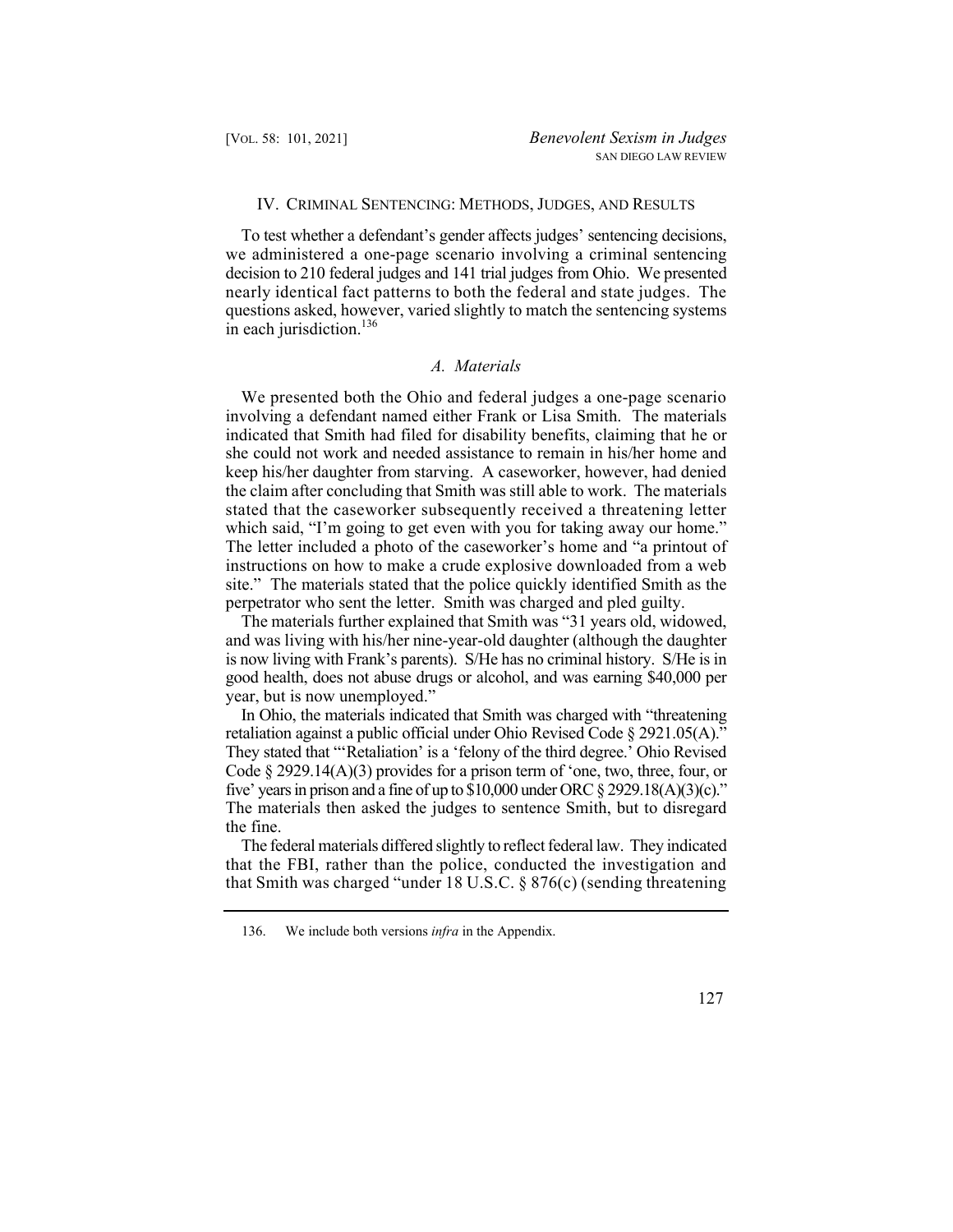## IV. CRIMINAL SENTENCING: METHODS, JUDGES, AND RESULTS

 we administered a one-page scenario involving a criminal sentencing To test whether a defendant's gender affects judges' sentencing decisions, decision to 210 federal judges and 141 trial judges from Ohio. We presented nearly identical fact patterns to both the federal and state judges. The questions asked, however, varied slightly to match the sentencing systems in each jurisdiction. $136$ 

# *A. Materials*

We presented both the Ohio and federal judges a one-page scenario involving a defendant named either Frank or Lisa Smith. The materials indicated that Smith had filed for disability benefits, claiming that he or she could not work and needed assistance to remain in his/her home and keep his/her daughter from starving. A caseworker, however, had denied the claim after concluding that Smith was still able to work. The materials stated that the caseworker subsequently received a threatening letter which said, "I'm going to get even with you for taking away our home." The letter included a photo of the caseworker's home and "a printout of instructions on how to make a crude explosive downloaded from a web site." The materials stated that the police quickly identified Smith as the perpetrator who sent the letter. Smith was charged and pled guilty.

 is now living with Frank's parents). S/He has no criminal history. S/He is in The materials further explained that Smith was "31 years old, widowed, and was living with his/her nine-year-old daughter (although the daughter good health, does not abuse drugs or alcohol, and was earning \$40,000 per year, but is now unemployed."

 retaliation against a public official under Ohio Revised Code § 2921.05(A)." In Ohio, the materials indicated that Smith was charged with "threatening They stated that "'Retaliation' is a 'felony of the third degree.' Ohio Revised Code  $\S$  2929.14(A)(3) provides for a prison term of 'one, two, three, four, or five' years in prison and a fine of up to  $$10,000$  under ORC  $$2929.18(A)(3)(c)$ ." The materials then asked the judges to sentence Smith, but to disregard the fine.

The federal materials differed slightly to reflect federal law. They indicated that the FBI, rather than the police, conducted the investigation and that Smith was charged "under 18 U.S.C. § 876(c) (sending threatening

<sup>136.</sup> We include both versions *infra* in the Appendix.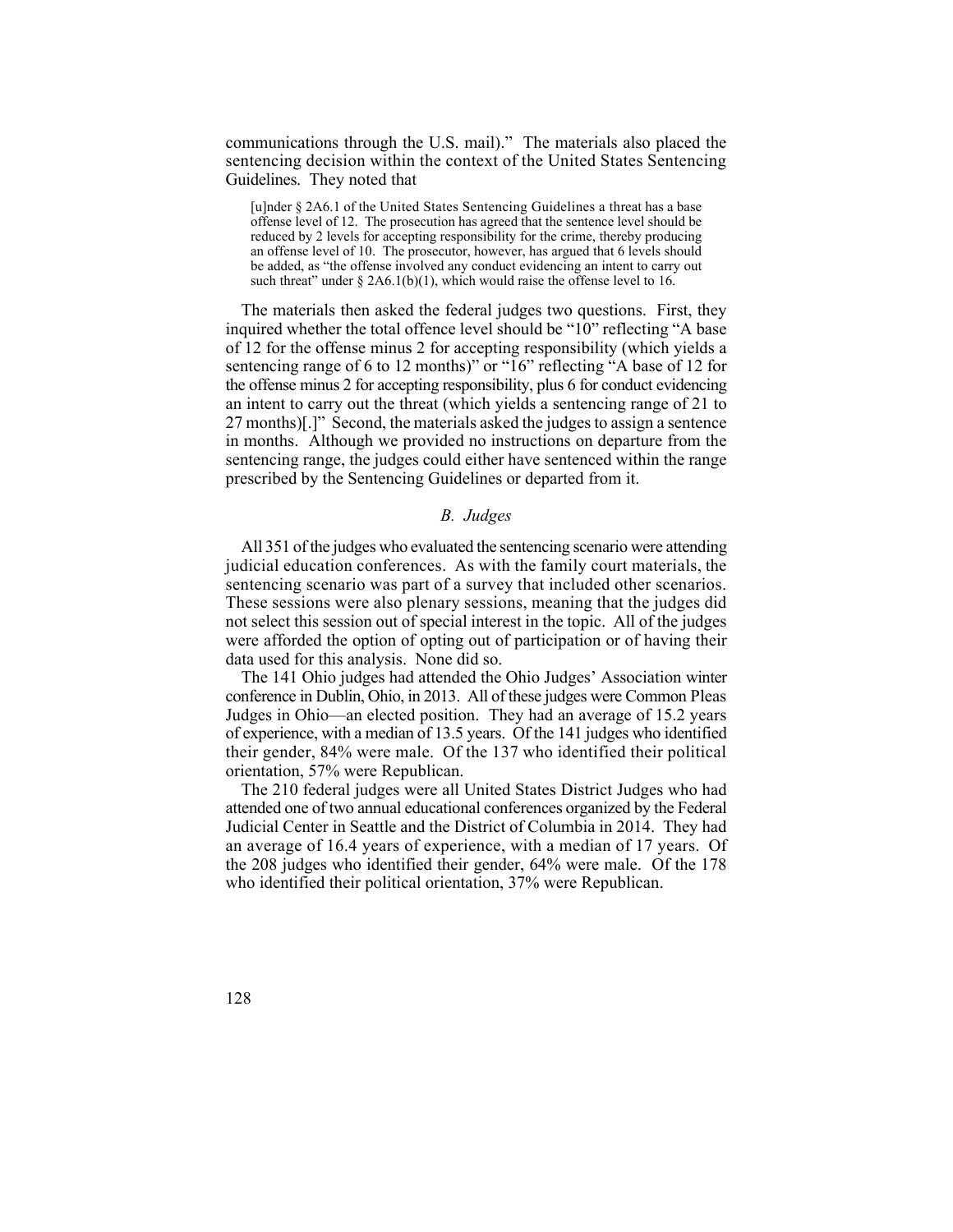communications through the U.S. mail)." The materials also placed the sentencing decision within the context of the United States Sentencing Guidelines. They noted that

 [u]nder § 2A6.1 of the United States Sentencing Guidelines a threat has a base offense level of 12. The prosecution has agreed that the sentence level should be reduced by 2 levels for accepting responsibility for the crime, thereby producing an offense level of 10. The prosecutor, however, has argued that 6 levels should be added, as "the offense involved any conduct evidencing an intent to carry out such threat" under  $\S 2A6.1(b)(1)$ , which would raise the offense level to 16.

The materials then asked the federal judges two questions. First, they inquired whether the total offence level should be "10" reflecting "A base of 12 for the offense minus 2 for accepting responsibility (which yields a sentencing range of 6 to 12 months)" or "16" reflecting "A base of 12 for the offense minus 2 for accepting responsibility, plus 6 for conduct evidencing an intent to carry out the threat (which yields a sentencing range of 21 to 27 months)[.]" Second, the materials asked the judges to assign a sentence in months. Although we provided no instructions on departure from the sentencing range, the judges could either have sentenced within the range prescribed by the Sentencing Guidelines or departed from it.

#### *B. Judges*

 judicial education conferences. As with the family court materials, the sentencing scenario was part of a survey that included other scenarios. All 351 of the judges who evaluated the sentencing scenario were attending These sessions were also plenary sessions, meaning that the judges did not select this session out of special interest in the topic. All of the judges were afforded the option of opting out of participation or of having their data used for this analysis. None did so.

 of experience, with a median of 13.5 years. Of the 141 judges who identified their gender, 84% were male. Of the 137 who identified their political The 141 Ohio judges had attended the Ohio Judges' Association winter conference in Dublin, Ohio, in 2013. All of these judges were Common Pleas Judges in Ohio—an elected position. They had an average of 15.2 years orientation, 57% were Republican.

 an average of 16.4 years of experience, with a median of 17 years. Of The 210 federal judges were all United States District Judges who had attended one of two annual educational conferences organized by the Federal Judicial Center in Seattle and the District of Columbia in 2014. They had the 208 judges who identified their gender, 64% were male. Of the 178 who identified their political orientation, 37% were Republican.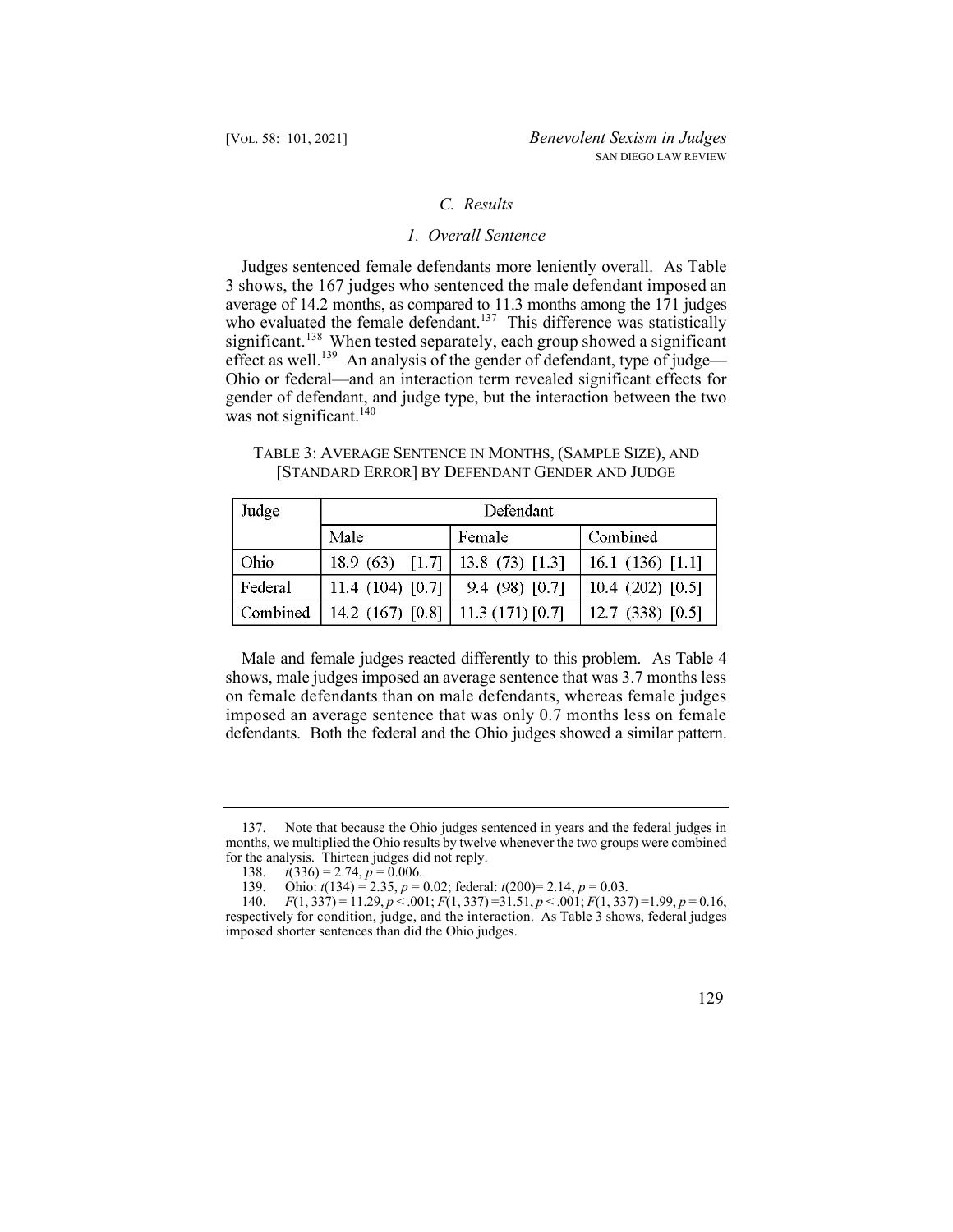# *C. Results*

# *1. Overall Sentence*

Judges sentenced female defendants more leniently overall. As Table 3 shows, the 167 judges who sentenced the male defendant imposed an average of 14.2 months, as compared to 11.3 months among the 171 judges who evaluated the female defendant.<sup>137</sup> This difference was statistically significant.<sup>138</sup> When tested separately, each group showed a significant effect as well.<sup>139</sup> An analysis of the gender of defendant, type of judge— Ohio or federal—and an interaction term revealed significant effects for gender of defendant, and judge type, but the interaction between the two was not significant.<sup>140</sup>

| Judge    | Defendant          |                  |                    |  |
|----------|--------------------|------------------|--------------------|--|
|          | Male               | Female           |                    |  |
| Ohio     | 18.9 (63) $[1.7]$  | $13.8(73)$ [1.3] | 16.1 $(136)$ [1.1] |  |
| Federal  | 11.4 $(104)$ [0.7] | 9.4(98)[0.7]     | 10.4(202)[0.5]     |  |
| Combined | 14.2 (167) $[0.8]$ | 11.3(171)[0.7]   | 12.7 (338) $[0.5]$ |  |

TABLE 3: AVERAGE SENTENCE IN MONTHS, (SAMPLE SIZE), AND [STANDARD ERROR] BY DEFENDANT GENDER AND JUDGE

 defendants. Both the federal and the Ohio judges showed a similar pattern. Male and female judges reacted differently to this problem. As Table 4 shows, male judges imposed an average sentence that was 3.7 months less on female defendants than on male defendants, whereas female judges imposed an average sentence that was only 0.7 months less on female

<sup>140.</sup> *F*(1, 337) = 11.29, *p* < .001; *F*(1, 337) =31.51, *p* < .001; *F*(1, 337) =1.99, *p* = 0.16, respectively for condition, judge, and the interaction. As Table 3 shows, federal judges imposed shorter sentences than did the Ohio judges.



<sup>137.</sup> Note that because the Ohio judges sentenced in years and the federal judges in months, we multiplied the Ohio results by twelve whenever the two groups were combined for the analysis. Thirteen judges did not reply.<br>138.  $t(336) = 2.74$ ,  $p = 0.006$ .

 $t(336) = 2.74, p = 0.006.$ 

<sup>139.</sup> Ohio: *t*(134) = 2.35, *p* = 0.02; federal: *t*(200)= 2.14, *p* = 0.03.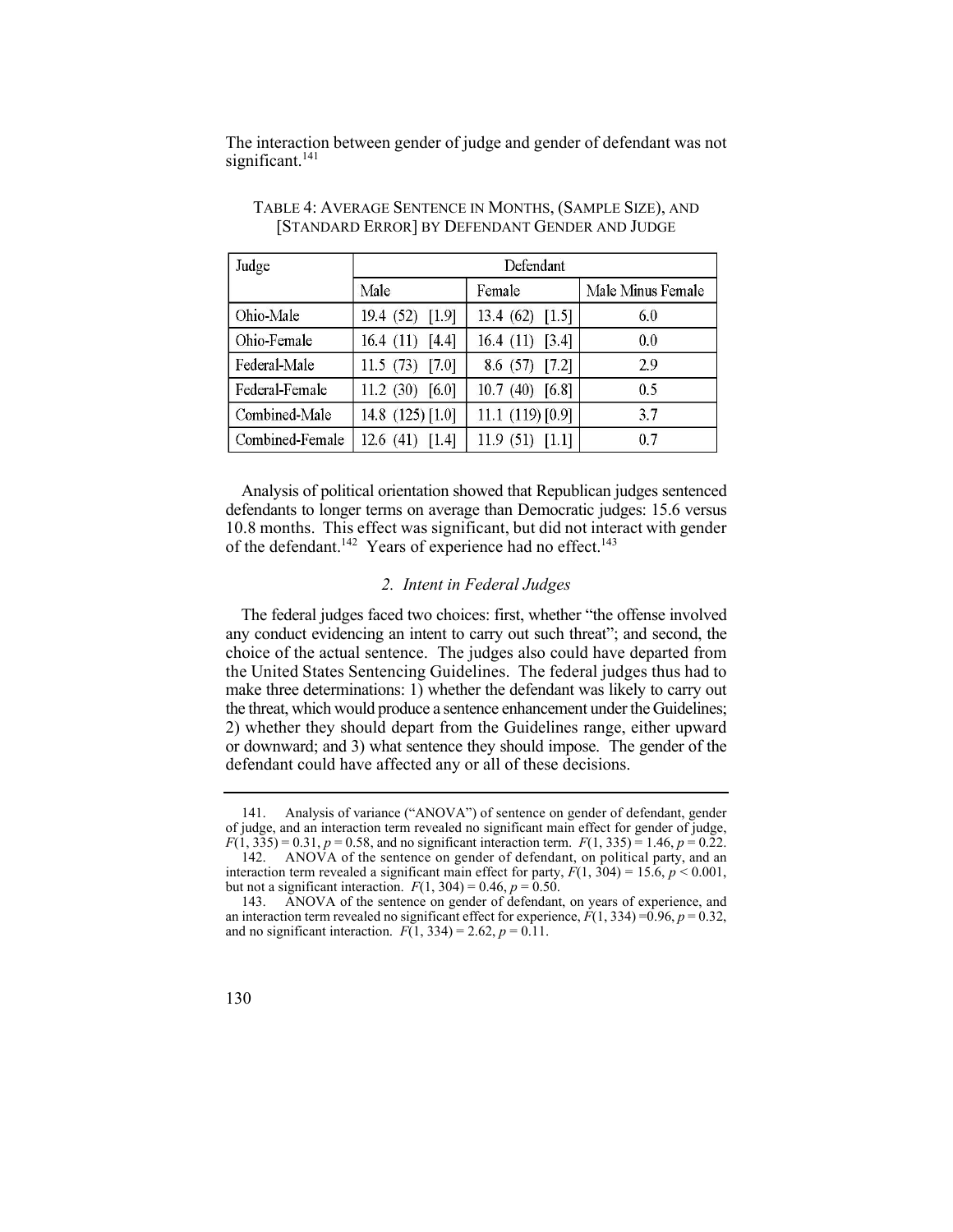The interaction between gender of judge and gender of defendant was not significant.<sup>141</sup>

| Judge           | Defendant          |                    |                   |  |  |
|-----------------|--------------------|--------------------|-------------------|--|--|
|                 | Male               | Female             | Male Minus Female |  |  |
| Ohio-Male       | 19.4 (52) [1.9]    | 13.4 $(62)$ [1.5]  | 6.0               |  |  |
| Ohio-Female     | 16.4(11)[4.4]      | 16.4 $(11)$ [3.4]  | 0.0               |  |  |
| Federal-Male    | 11.5(73)[7.0]      | 8.6(57)[7.2]       | 2.9               |  |  |
| Federal-Female  | 11.2 $(30)$ [6.0]  | $10.7(40)$ [6.8]   | 0.5               |  |  |
| Combined-Male   | 14.8 $(125)$ [1.0] | 11.1 $(119)$ [0.9] | 3.7               |  |  |
| Combined-Female | 12.6(41)[1.4]      | 11.9(51)[1.1]      | 0.7               |  |  |

TABLE 4: AVERAGE SENTENCE IN MONTHS, (SAMPLE SIZE), AND [STANDARD ERROR] BY DEFENDANT GENDER AND JUDGE

Analysis of political orientation showed that Republican judges sentenced defendants to longer terms on average than Democratic judges: 15.6 versus 10.8 months. This effect was significant, but did not interact with gender of the defendant.<sup>142</sup> Years of experience had no effect.<sup>143</sup>

## *2. Intent in Federal Judges*

 the United States Sentencing Guidelines. The federal judges thus had to The federal judges faced two choices: first, whether "the offense involved any conduct evidencing an intent to carry out such threat"; and second, the choice of the actual sentence. The judges also could have departed from make three determinations: 1) whether the defendant was likely to carry out the threat, which would produce a sentence enhancement under the Guidelines; 2) whether they should depart from the Guidelines range, either upward or downward; and 3) what sentence they should impose. The gender of the defendant could have affected any or all of these decisions.

<sup>143.</sup> ANOVA of the sentence on gender of defendant, on years of experience, and an interaction term revealed no significant effect for experience,  $F(1, 334) = 0.96$ ,  $p = 0.32$ , and no significant interaction.  $F(1, 334) = 2.62$ ,  $p = 0.11$ .



<sup>141.</sup> Analysis of variance ("ANOVA") of sentence on gender of defendant, gender of judge, and an interaction term revealed no significant main effect for gender of judge,  $F(1, 335) = 0.31$ ,  $p = 0.58$ , and no significant interaction term.  $F(1, 335) = 1.46$ ,  $p = 0.22$ .

<sup>142.</sup> ANOVA of the sentence on gender of defendant, on political party, and an interaction term revealed a significant main effect for party,  $F(1, 304) = 15.6$ ,  $p < 0.001$ , but not a significant interaction.  $F(1, 304) = 0.46$ ,  $p = 0.50$ .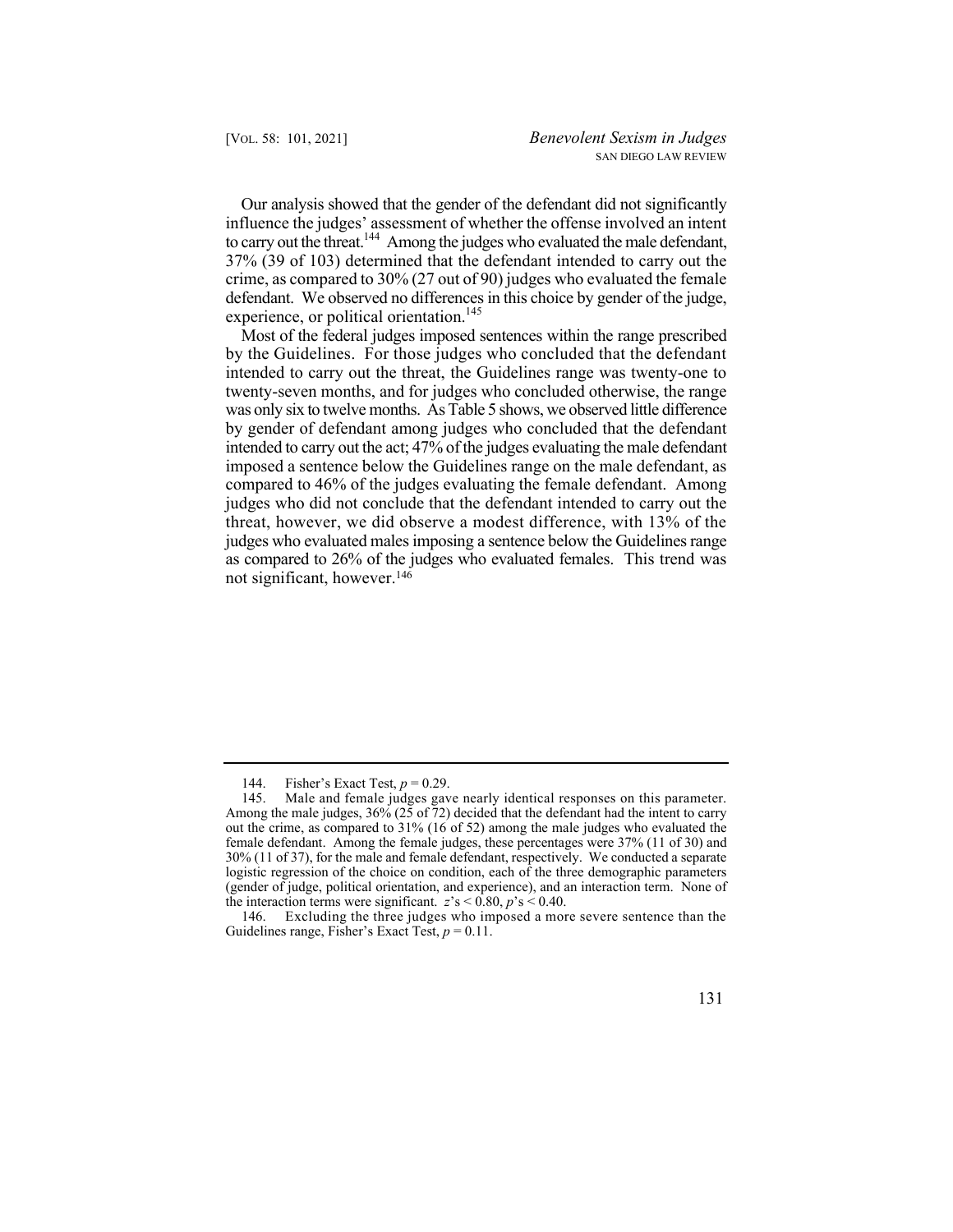Our analysis showed that the gender of the defendant did not significantly influence the judges' assessment of whether the offense involved an intent to carry out the threat.<sup>144</sup> Among the judges who evaluated the male defendant, 37% (39 of 103) determined that the defendant intended to carry out the crime, as compared to 30% (27 out of 90) judges who evaluated the female defendant. We observed no differences in this choice by gender of the judge, experience, or political orientation.<sup>145</sup>

 as compared to 26% of the judges who evaluated females. This trend was Most of the federal judges imposed sentences within the range prescribed by the Guidelines. For those judges who concluded that the defendant intended to carry out the threat, the Guidelines range was twenty-one to twenty-seven months, and for judges who concluded otherwise, the range was only six to twelve months. As Table 5 shows, we observed little difference by gender of defendant among judges who concluded that the defendant intended to carry out the act; 47% of the judges evaluating the male defendant imposed a sentence below the Guidelines range on the male defendant, as compared to 46% of the judges evaluating the female defendant. Among judges who did not conclude that the defendant intended to carry out the threat, however, we did observe a modest difference, with 13% of the judges who evaluated males imposing a sentence below the Guidelines range not significant, however.146

<sup>144.</sup> Fisher's Exact Test, *p* = 0.29.

<sup>145.</sup> Male and female judges gave nearly identical responses on this parameter. Among the male judges, 36% (25 of 72) decided that the defendant had the intent to carry out the crime, as compared to 31% (16 of 52) among the male judges who evaluated the female defendant. Among the female judges, these percentages were 37% (11 of 30) and 30% (11 of 37), for the male and female defendant, respectively. We conducted a separate logistic regression of the choice on condition, each of the three demographic parameters (gender of judge, political orientation, and experience), and an interaction term. None of the interaction terms were significant.  $z's < 0.80$ ,  $p's < 0.40$ .

<sup>146.</sup> Excluding the three judges who imposed a more severe sentence than the Guidelines range, Fisher's Exact Test, *p* = 0.11.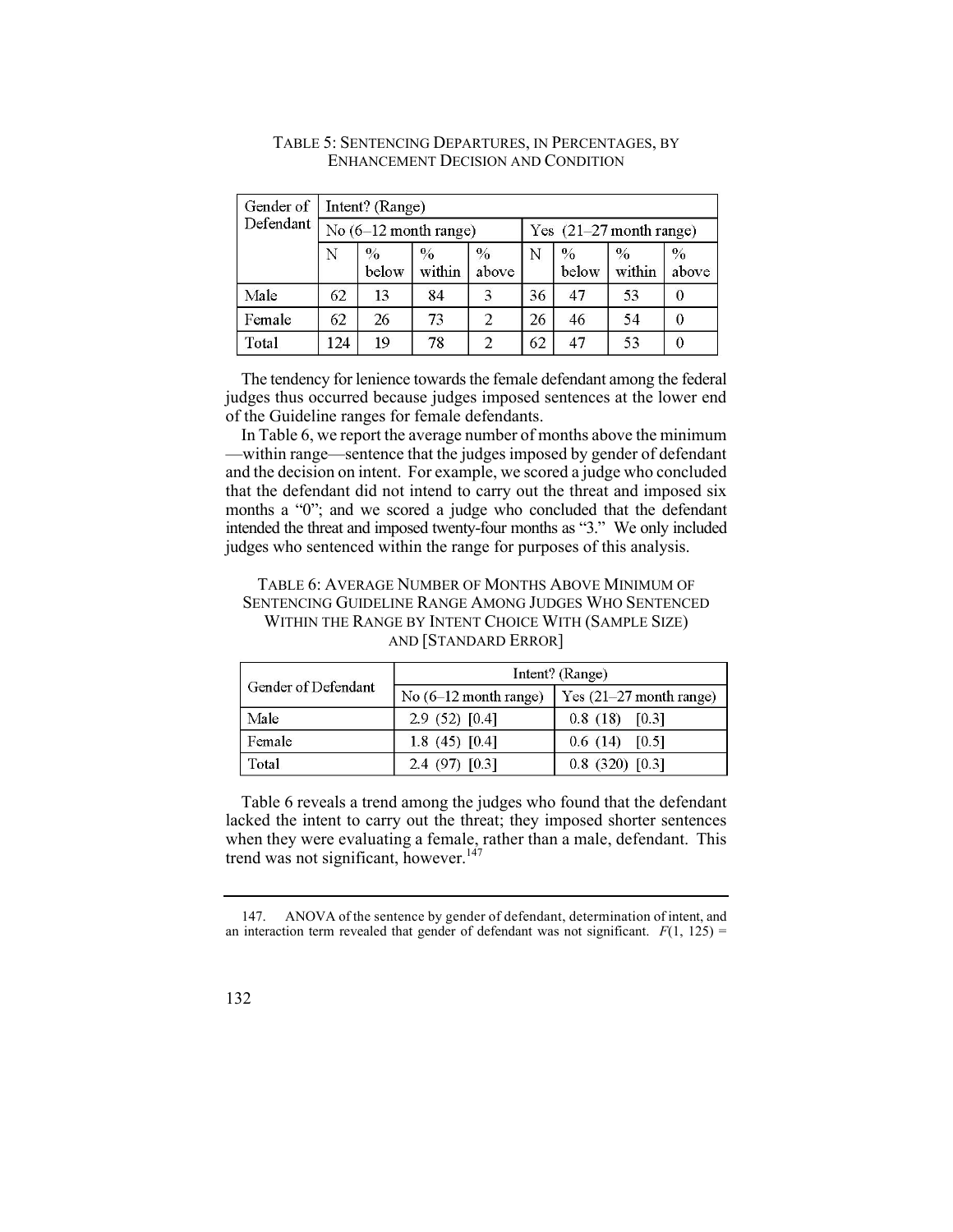| Gender of | Intent? (Range)       |               |                |                           |    |                        |                |                        |
|-----------|-----------------------|---------------|----------------|---------------------------|----|------------------------|----------------|------------------------|
| Defendant | No (6-12 month range) |               |                | Yes $(21-27$ month range) |    |                        |                |                        |
|           | Ν                     | $\%$<br>below | $\%$<br>within | $\frac{0}{0}$<br>above    | N  | $\frac{0}{0}$<br>below | $\%$<br>within | $\frac{0}{0}$<br>above |
| Male      | 62                    | 13            | 84             | 3                         | 36 | 47                     | 53             |                        |
| Female    | 62                    | 26            | 73             | 2                         | 26 | 46                     | 54             |                        |
| Total     | 124                   | 19            | 78             | $\overline{2}$            | 62 | 47                     | 53             |                        |

# TABLE 5: SENTENCING DEPARTURES, IN PERCENTAGES, BY ENHANCEMENT DECISION AND CONDITION

The tendency for lenience towards the female defendant among the federal judges thus occurred because judges imposed sentences at the lower end of the Guideline ranges for female defendants.

In Table 6, we report the average number of months above the minimum —within range—sentence that the judges imposed by gender of defendant and the decision on intent. For example, we scored a judge who concluded that the defendant did not intend to carry out the threat and imposed six months a "0"; and we scored a judge who concluded that the defendant intended the threat and imposed twenty-four months as "3." We only included judges who sentenced within the range for purposes of this analysis.

# TABLE 6: AVERAGE NUMBER OF MONTHS ABOVE MINIMUM OF SENTENCING GUIDELINE RANGE AMONG JUDGES WHO SENTENCED WITHIN THE RANGE BY INTENT CHOICE WITH (SAMPLE SIZE) AND [STANDARD ERROR]

|                     | Intent? (Range)                 |                         |  |  |
|---------------------|---------------------------------|-------------------------|--|--|
| Gender of Defendant | No $(6-12 \text{ month range})$ | Yes (21–27 month range) |  |  |
| Male                | 2.9(52)[0.4]                    | $0.8(18)$ [0.3]         |  |  |
| Female              | 1.8 (45) $[0.4]$                | $0.6(14)$ [0.5]         |  |  |
| Total               | $2.4(97)$ [0.3]                 | $0.8$ (320) [0.3]       |  |  |

 when they were evaluating a female, rather than a male, defendant. This Table 6 reveals a trend among the judges who found that the defendant lacked the intent to carry out the threat; they imposed shorter sentences trend was not significant, however. $147$ 

<sup>147.</sup> ANOVA of the sentence by gender of defendant, determination of intent, and an interaction term revealed that gender of defendant was not significant.  $F(1, 125)$  =

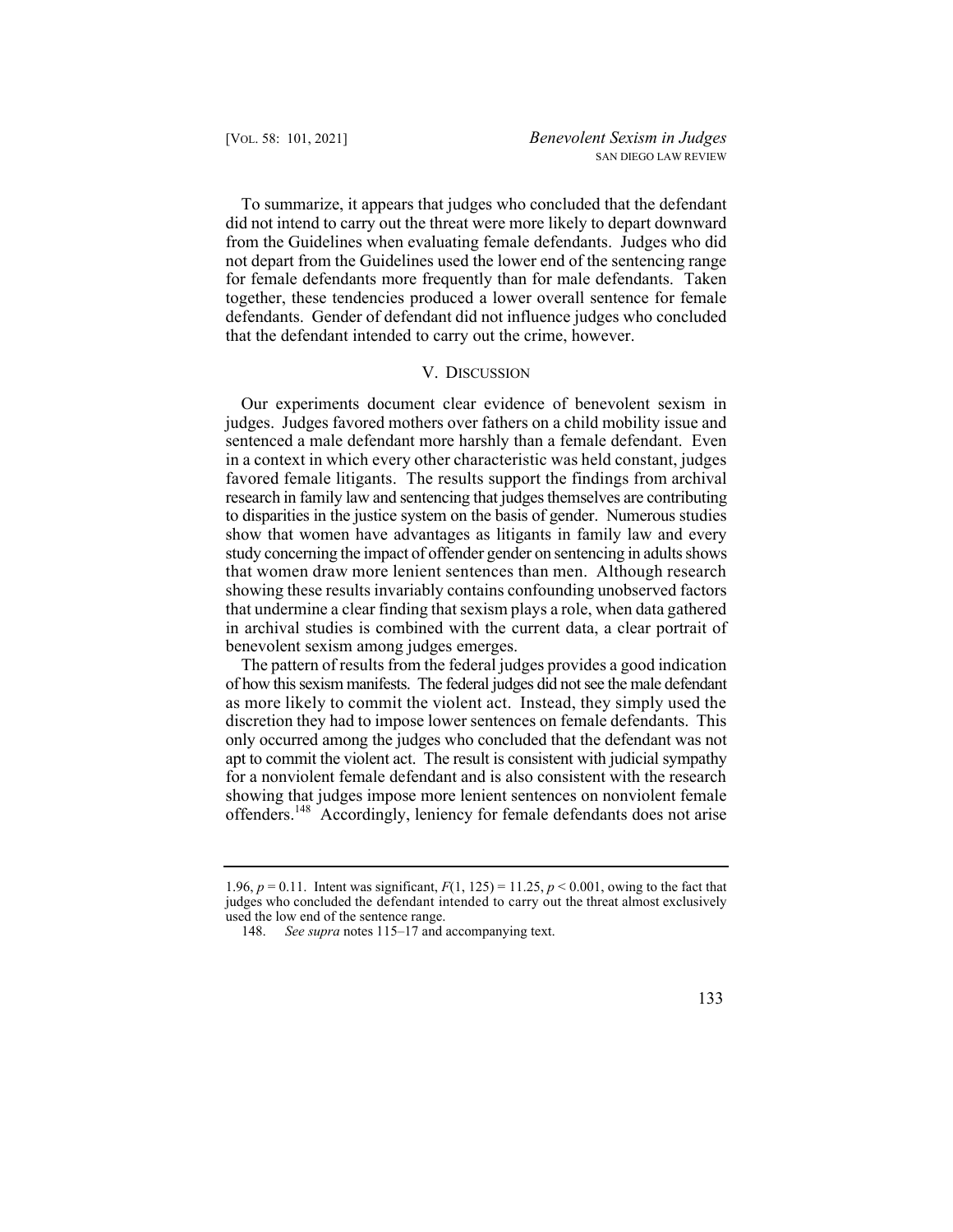To summarize, it appears that judges who concluded that the defendant did not intend to carry out the threat were more likely to depart downward from the Guidelines when evaluating female defendants. Judges who did not depart from the Guidelines used the lower end of the sentencing range for female defendants more frequently than for male defendants. Taken together, these tendencies produced a lower overall sentence for female defendants. Gender of defendant did not influence judges who concluded that the defendant intended to carry out the crime, however.

## V. DISCUSSION

Our experiments document clear evidence of benevolent sexism in judges. Judges favored mothers over fathers on a child mobility issue and sentenced a male defendant more harshly than a female defendant. Even in a context in which every other characteristic was held constant, judges favored female litigants. The results support the findings from archival research in family law and sentencing that judges themselves are contributing to disparities in the justice system on the basis of gender. Numerous studies show that women have advantages as litigants in family law and every study concerning the impact of offender gender on sentencing in adults shows that women draw more lenient sentences than men. Although research showing these results invariably contains confounding unobserved factors that undermine a clear finding that sexism plays a role, when data gathered in archival studies is combined with the current data, a clear portrait of benevolent sexism among judges emerges.

The pattern of results from the federal judges provides a good indication of how this sexism manifests. The federal judges did not see the male defendant as more likely to commit the violent act. Instead, they simply used the discretion they had to impose lower sentences on female defendants. This only occurred among the judges who concluded that the defendant was not apt to commit the violent act. The result is consistent with judicial sympathy for a nonviolent female defendant and is also consistent with the research showing that judges impose more lenient sentences on nonviolent female offenders.148 Accordingly, leniency for female defendants does not arise

<sup>1.96,</sup>  $p = 0.11$ . Intent was significant,  $F(1, 125) = 11.25$ ,  $p < 0.001$ , owing to the fact that judges who concluded the defendant intended to carry out the threat almost exclusively used the low end of the sentence range.

<sup>148.</sup> *See supra* notes 115–17 and accompanying text.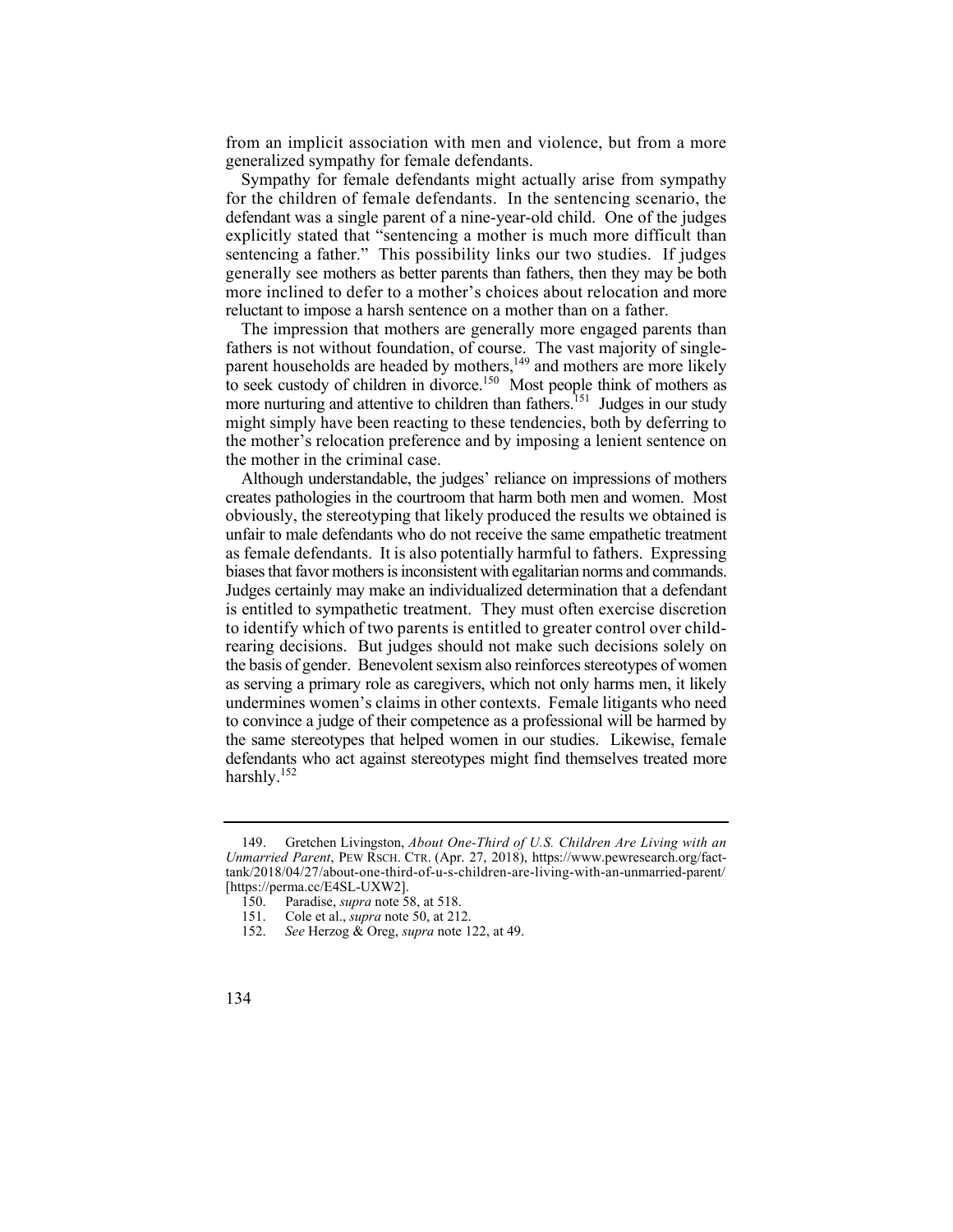from an implicit association with men and violence, but from a more generalized sympathy for female defendants.

 for the children of female defendants. In the sentencing scenario, the sentencing a father." This possibility links our two studies. If judges generally see mothers as better parents than fathers, then they may be both more inclined to defer to a mother's choices about relocation and more reluctant to impose a harsh sentence on a mother than on a father. Sympathy for female defendants might actually arise from sympathy defendant was a single parent of a nine-year-old child. One of the judges explicitly stated that "sentencing a mother is much more difficult than

The impression that mothers are generally more engaged parents than fathers is not without foundation, of course. The vast majority of singleparent households are headed by mothers,<sup>149</sup> and mothers are more likely to seek custody of children in divorce.<sup>150</sup> Most people think of mothers as more nurturing and attentive to children than fathers.<sup>151</sup> Judges in our study might simply have been reacting to these tendencies, both by deferring to the mother's relocation preference and by imposing a lenient sentence on the mother in the criminal case.

 biases that favor mothers is inconsistent with egalitarian norms and commands. Although understandable, the judges' reliance on impressions of mothers creates pathologies in the courtroom that harm both men and women. Most obviously, the stereotyping that likely produced the results we obtained is unfair to male defendants who do not receive the same empathetic treatment as female defendants. It is also potentially harmful to fathers. Expressing Judges certainly may make an individualized determination that a defendant is entitled to sympathetic treatment. They must often exercise discretion to identify which of two parents is entitled to greater control over childrearing decisions. But judges should not make such decisions solely on the basis of gender. Benevolent sexism also reinforces stereotypes of women as serving a primary role as caregivers, which not only harms men, it likely undermines women's claims in other contexts. Female litigants who need to convince a judge of their competence as a professional will be harmed by the same stereotypes that helped women in our studies. Likewise, female defendants who act against stereotypes might find themselves treated more harshly.<sup>152</sup>

 149. Gretchen Livingston, *About One-Third of U.S. Children Are Living with an Unmarried Parent*, PEW RSCH. CTR. (Apr. 27, 2018), <https://www.pewresearch.org/fact>tank/2018/04/27/about-one-third-of-u-s-children-are-living-with-an-unmarried-parent/ [\[https://perma.cc/E4SL-UXW2\]](https://perma.cc/E4SL-UXW2).

<sup>150.</sup> Paradise, *supra* note 58, at 518. Cole et al., *supra* note 50, at 212.

<sup>152.</sup> *See* Herzog & Oreg, *supra* note 122, at 49.

<sup>134</sup>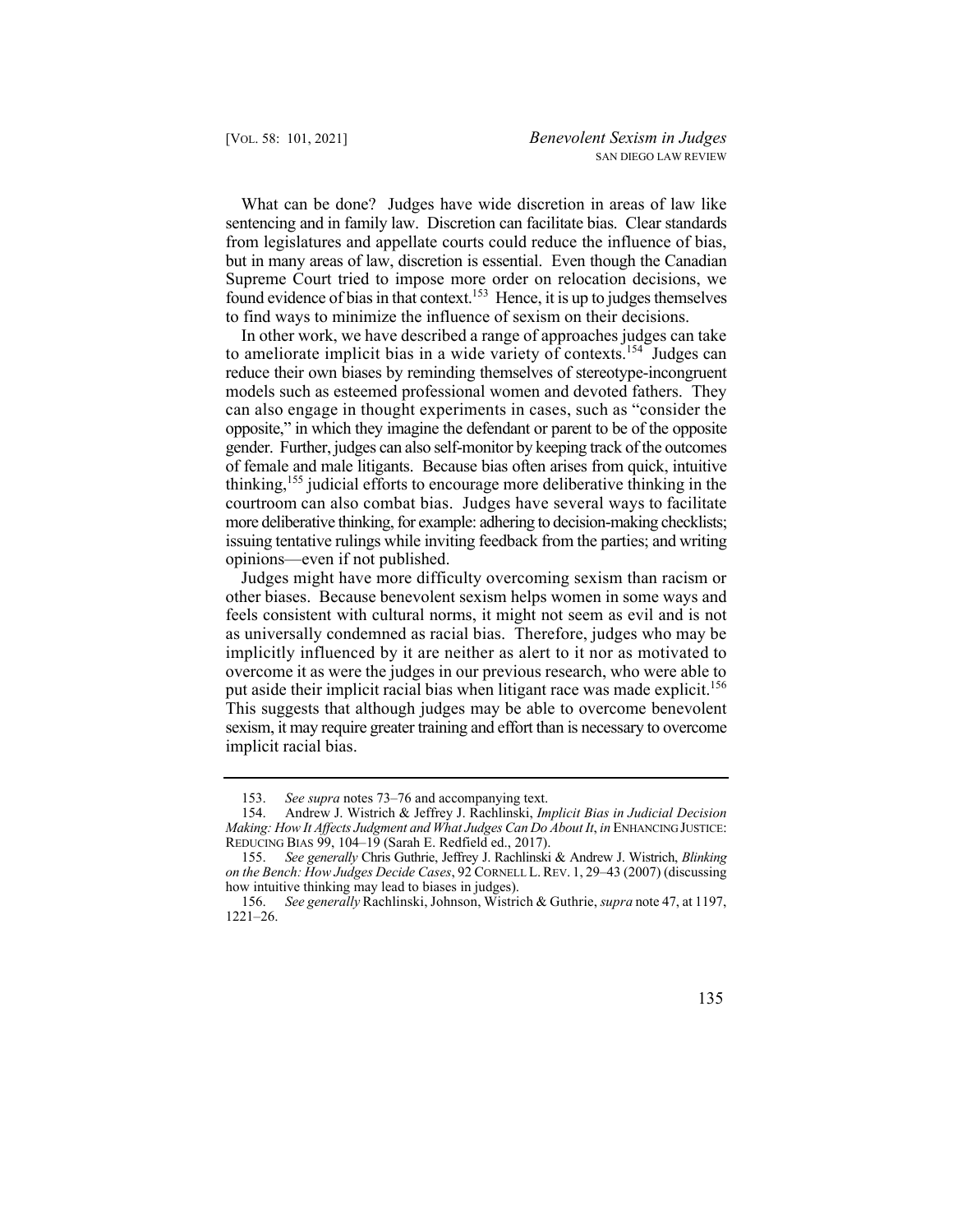What can be done? Judges have wide discretion in areas of law like sentencing and in family law. Discretion can facilitate bias. Clear standards from legislatures and appellate courts could reduce the influence of bias, but in many areas of law, discretion is essential. Even though the Canadian Supreme Court tried to impose more order on relocation decisions, we found evidence of bias in that context.<sup>153</sup> Hence, it is up to judges themselves to find ways to minimize the influence of sexism on their decisions.

In other work, we have described a range of approaches judges can take to ameliorate implicit bias in a wide variety of contexts.<sup>154</sup> Judges can reduce their own biases by reminding themselves of stereotype-incongruent models such as esteemed professional women and devoted fathers. They can also engage in thought experiments in cases, such as "consider the opposite," in which they imagine the defendant or parent to be of the opposite gender. Further, judges can also self-monitor by keeping track of the outcomes of female and male litigants. Because bias often arises from quick, intuitive thinking,<sup>155</sup> judicial efforts to encourage more deliberative thinking in the courtroom can also combat bias. Judges have several ways to facilitate more deliberative thinking, for example: adhering to decision-making checklists; issuing tentative rulings while inviting feedback from the parties; and writing opinions—even if not published.

 Judges might have more difficulty overcoming sexism than racism or implicitly influenced by it are neither as alert to it nor as motivated to put aside their implicit racial bias when litigant race was made explicit.<sup>156</sup> other biases. Because benevolent sexism helps women in some ways and feels consistent with cultural norms, it might not seem as evil and is not as universally condemned as racial bias. Therefore, judges who may be overcome it as were the judges in our previous research, who were able to This suggests that although judges may be able to overcome benevolent sexism, it may require greater training and effort than is necessary to overcome implicit racial bias.

<sup>153.</sup> *See supra* notes 73–76 and accompanying text.

<sup>154.</sup> Andrew J. Wistrich & Jeffrey J. Rachlinski, *Implicit Bias in Judicial Decision Making: How It Affects Judgment and What Judges Can Do About It*, *in* ENHANCING JUSTICE: REDUCING BIAS 99, 104–19 (Sarah E. Redfield ed., 2017).

<sup>155.</sup> *See generally* Chris Guthrie, Jeffrey J. Rachlinski & Andrew J. Wistrich, *Blinking on the Bench: How Judges Decide Cases*, 92 CORNELL L. REV. 1, 29–43 (2007) (discussing how intuitive thinking may lead to biases in judges).

 156. *See generally* Rachlinski, Johnson, Wistrich & Guthrie, *supra* note 47, at 1197, 1221–26.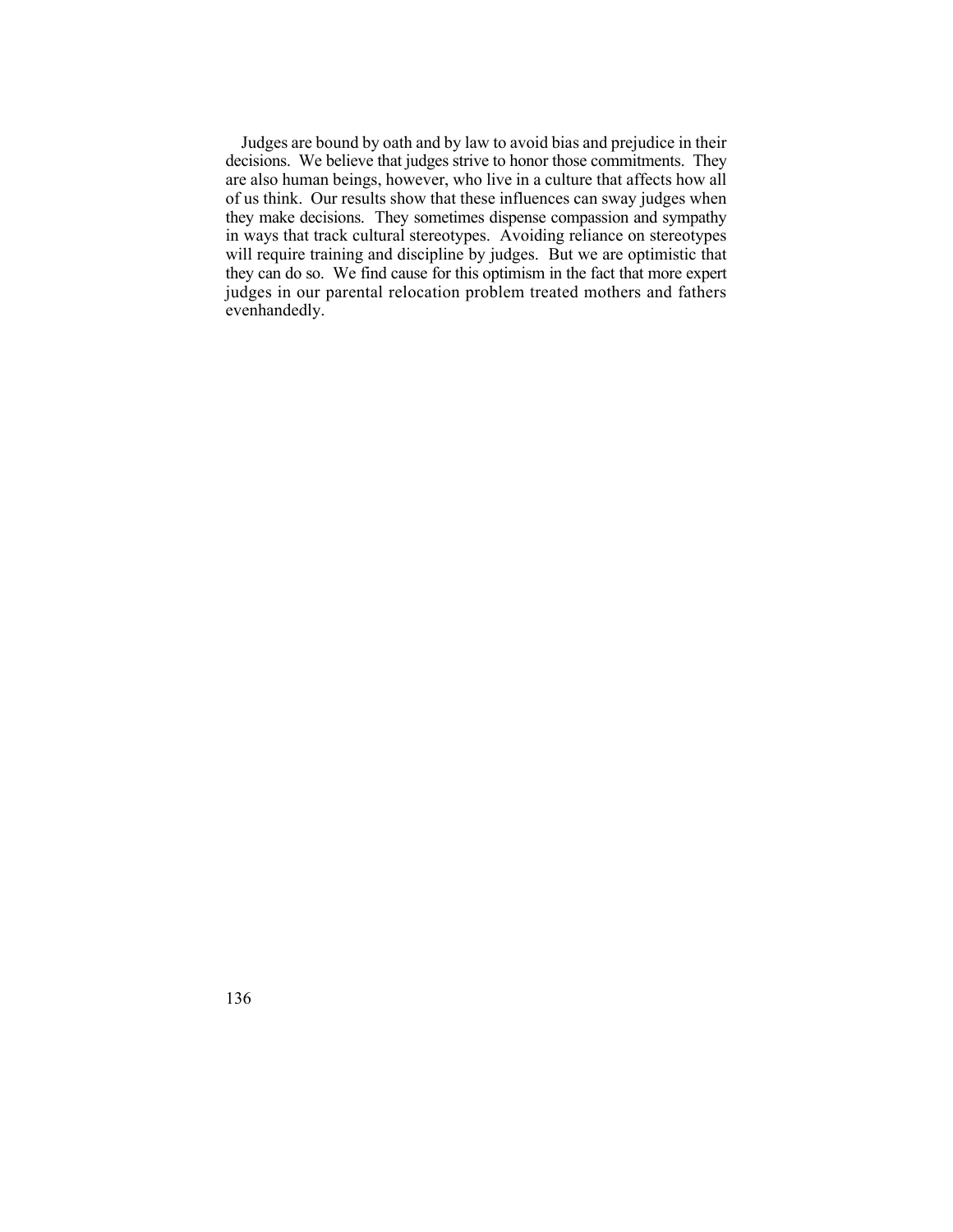decisions. We believe that judges strive to honor those commitments. They evenhandedly. Judges are bound by oath and by law to avoid bias and prejudice in their are also human beings, however, who live in a culture that affects how all of us think. Our results show that these influences can sway judges when they make decisions. They sometimes dispense compassion and sympathy in ways that track cultural stereotypes. Avoiding reliance on stereotypes will require training and discipline by judges. But we are optimistic that they can do so. We find cause for this optimism in the fact that more expert judges in our parental relocation problem treated mothers and fathers evenhandedly.<br>136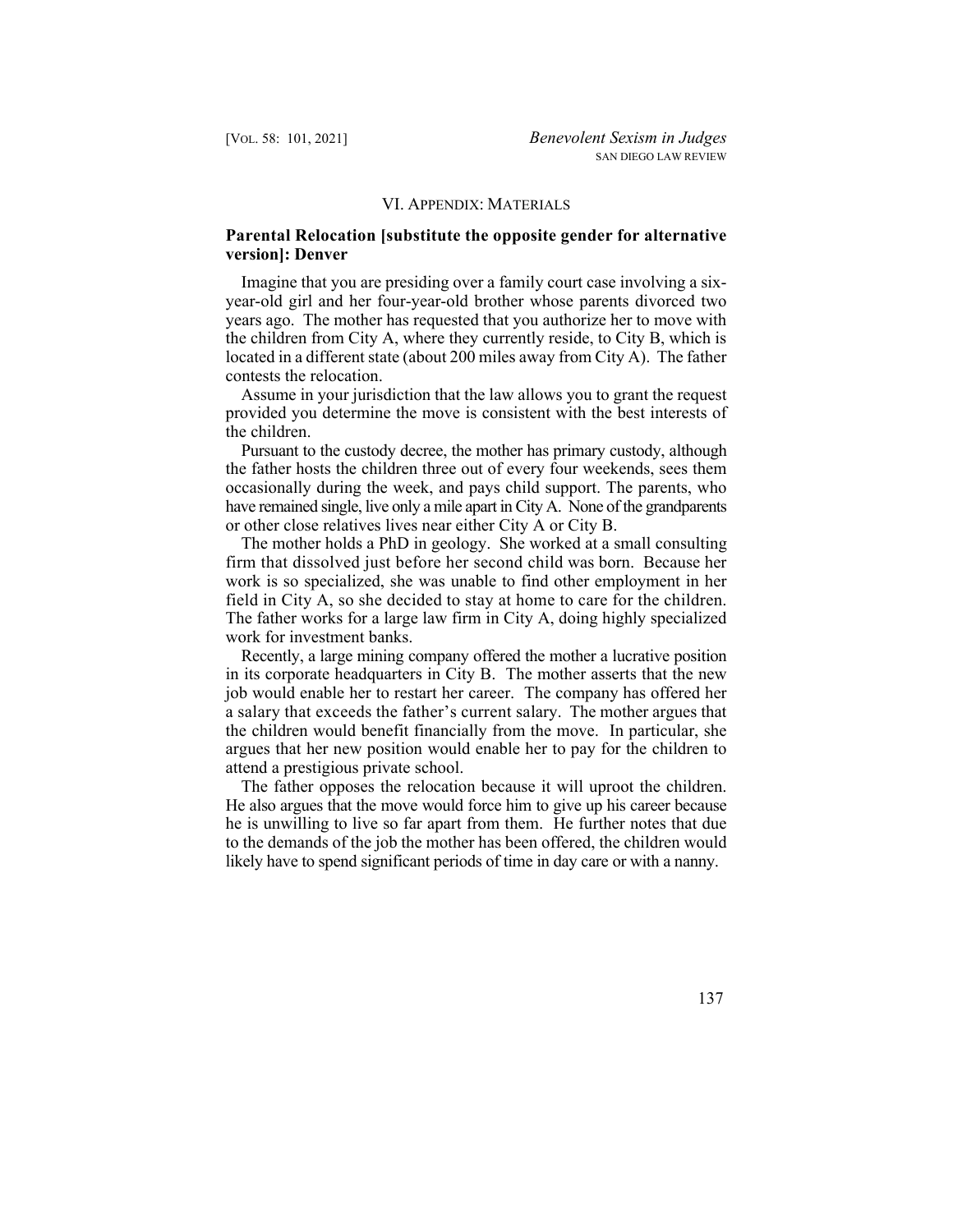#### VI. APPENDIX: MATERIALS

## **Parental Relocation [substitute the opposite gender for alternative version]: Denver**

Imagine that you are presiding over a family court case involving a sixyear-old girl and her four-year-old brother whose parents divorced two years ago. The mother has requested that you authorize her to move with the children from City A, where they currently reside, to City B, which is located in a different state (about 200 miles away from City A). The father contests the relocation.

Assume in your jurisdiction that the law allows you to grant the request provided you determine the move is consistent with the best interests of the children.

 have remained single, live only a mile apart in City A. None of the grandparents Pursuant to the custody decree, the mother has primary custody, although the father hosts the children three out of every four weekends, sees them occasionally during the week, and pays child support. The parents, who or other close relatives lives near either City A or City B.

 firm that dissolved just before her second child was born. Because her field in City A, so she decided to stay at home to care for the children. The mother holds a PhD in geology. She worked at a small consulting work is so specialized, she was unable to find other employment in her The father works for a large law firm in City A, doing highly specialized. work for investment banks.

 a salary that exceeds the father's current salary. The mother argues that Recently, a large mining company offered the mother a lucrative position in its corporate headquarters in City B. The mother asserts that the new job would enable her to restart her career. The company has offered her the children would benefit financially from the move. In particular, she argues that her new position would enable her to pay for the children to attend a prestigious private school.

 likely have to spend significant periods of time in day care or with a nanny. The father opposes the relocation because it will uproot the children. He also argues that the move would force him to give up his career because he is unwilling to live so far apart from them. He further notes that due to the demands of the job the mother has been offered, the children would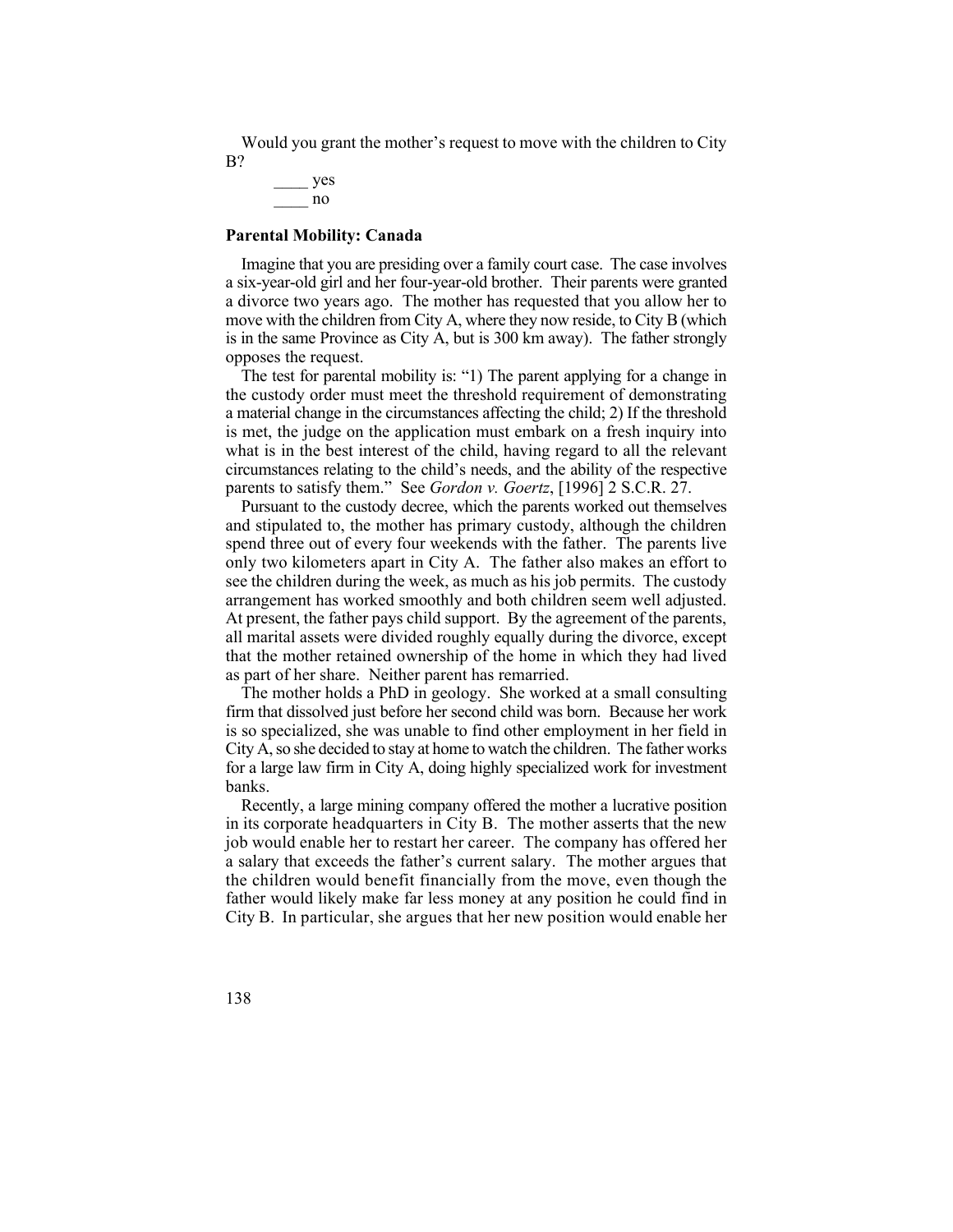Would you grant the mother's request to move with the children to City B?

 $\frac{1}{\sqrt{1-\frac{1}{2}}}\log \frac{1}{2}$ \_\_\_\_ yes

#### **Parental Mobility: Canada**

 a six-year-old girl and her four-year-old brother. Their parents were granted Imagine that you are presiding over a family court case. The case involves a divorce two years ago. The mother has requested that you allow her to move with the children from City A, where they now reside, to City B (which is in the same Province as City A, but is 300 km away). The father strongly opposes the request.

 circumstances relating to the child's needs, and the ability of the respective The test for parental mobility is: "1) The parent applying for a change in the custody order must meet the threshold requirement of demonstrating a material change in the circumstances affecting the child; 2) If the threshold is met, the judge on the application must embark on a fresh inquiry into what is in the best interest of the child, having regard to all the relevant parents to satisfy them." See *Gordon v. Goertz*, [1996] 2 S.C.R. 27.

Pursuant to the custody decree, which the parents worked out themselves and stipulated to, the mother has primary custody, although the children spend three out of every four weekends with the father. The parents live only two kilometers apart in City A. The father also makes an effort to see the children during the week, as much as his job permits. The custody arrangement has worked smoothly and both children seem well adjusted. At present, the father pays child support. By the agreement of the parents, all marital assets were divided roughly equally during the divorce, except that the mother retained ownership of the home in which they had lived as part of her share. Neither parent has remarried.

The mother holds a PhD in geology. She worked at a small consulting firm that dissolved just before her second child was born. Because her work is so specialized, she was unable to find other employment in her field in City A, so she decided to stay at home to watch the children. The father works for a large law firm in City A, doing highly specialized work for investment banks.

 in its corporate headquarters in City B. The mother asserts that the new the children would benefit financially from the move, even though the City B. In particular, she argues that her new position would enable her Recently, a large mining company offered the mother a lucrative position job would enable her to restart her career. The company has offered her a salary that exceeds the father's current salary. The mother argues that father would likely make far less money at any position he could find in

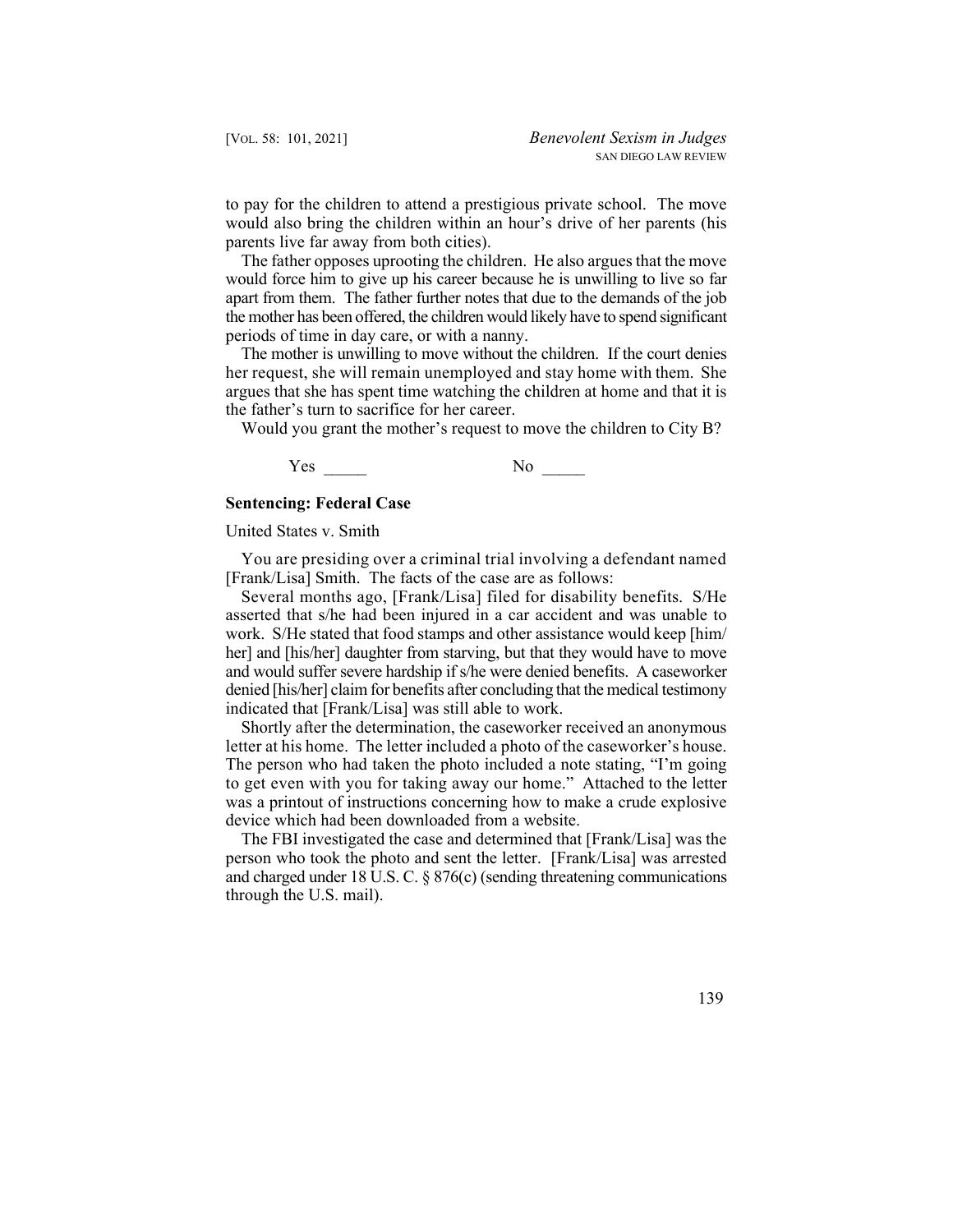to pay for the children to attend a prestigious private school. The move would also bring the children within an hour's drive of her parents (his parents live far away from both cities).

 would force him to give up his career because he is unwilling to live so far The father opposes uprooting the children. He also argues that the move apart from them. The father further notes that due to the demands of the job the mother has been offered, the children would likely have to spend significant periods of time in day care, or with a nanny.

 her request, she will remain unemployed and stay home with them. She The mother is unwilling to move without the children. If the court denies argues that she has spent time watching the children at home and that it is the father's turn to sacrifice for her career.

Would you grant the mother's request to move the children to City B?

Yes \_\_\_\_ No \_\_\_\_

#### **Sentencing: Federal Case**

United States v. Smith

You are presiding over a criminal trial involving a defendant named [Frank/Lisa] Smith. The facts of the case are as follows:

 Several months ago, [Frank/Lisa] filed for disability benefits. S/He asserted that s/he had been injured in a car accident and was unable to work. S/He stated that food stamps and other assistance would keep [him/ her] and [his/her] daughter from starving, but that they would have to move and would suffer severe hardship if s/he were denied benefits. A caseworker denied [his/her] claim for benefits after concluding that the medical testimony indicated that [Frank/Lisa] was still able to work.

 letter at his home. The letter included a photo of the caseworker's house. to get even with you for taking away our home." Attached to the letter Shortly after the determination, the caseworker received an anonymous The person who had taken the photo included a note stating, "I'm going was a printout of instructions concerning how to make a crude explosive device which had been downloaded from a website.

The FBI investigated the case and determined that [Frank/Lisa] was the person who took the photo and sent the letter. [Frank/Lisa] was arrested and charged under 18 U.S. C. § 876(c) (sending threatening communications through the U.S. mail).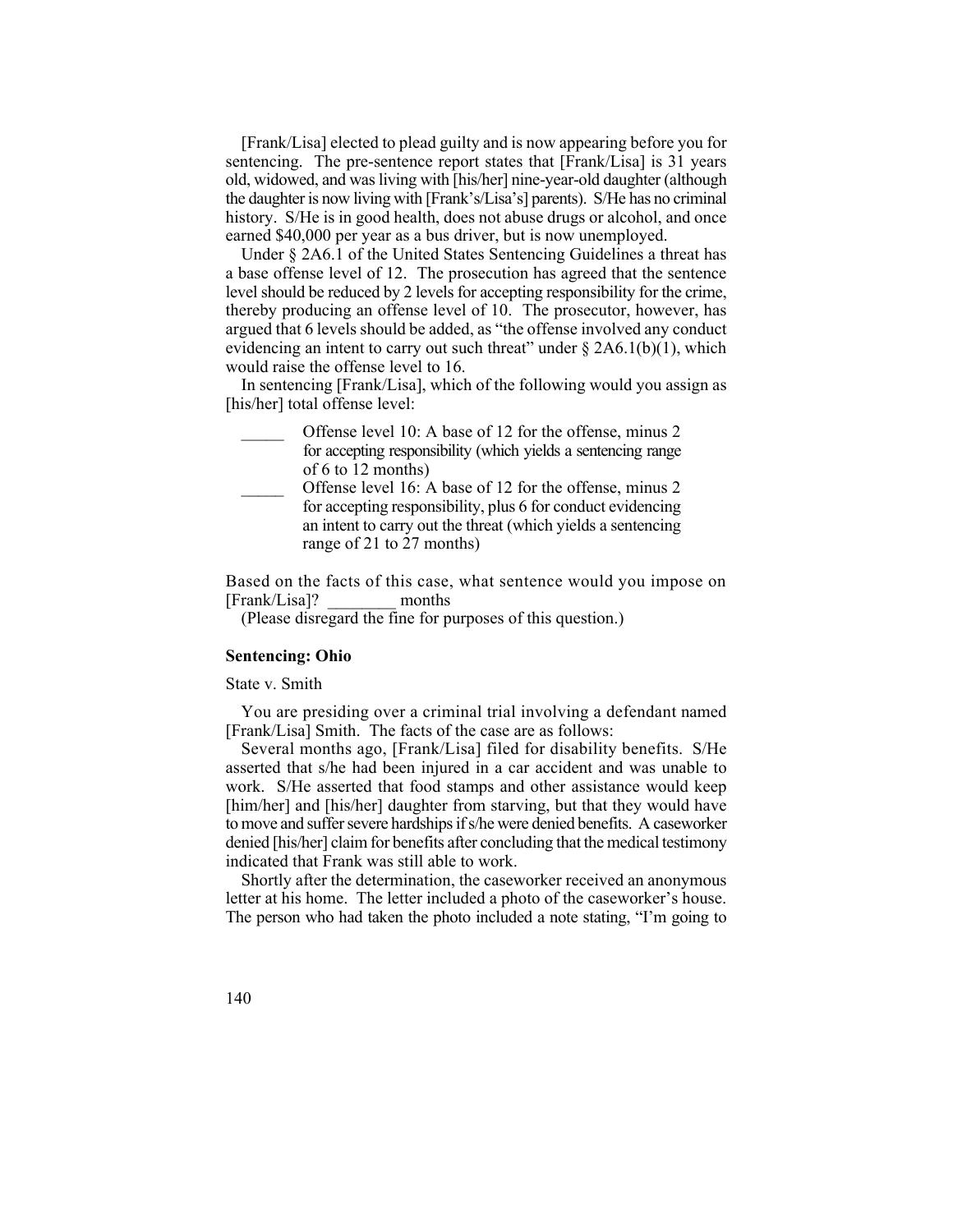old, widowed, and was living with [his/her] nine-year-old daughter (although [Frank/Lisa] elected to plead guilty and is now appearing before you for sentencing. The pre-sentence report states that [Frank/Lisa] is 31 years the daughter is now living with [Frank's/Lisa's] parents). S/He has no criminal history. S/He is in good health, does not abuse drugs or alcohol, and once earned \$40,000 per year as a bus driver, but is now unemployed.

 level should be reduced by 2 levels for accepting responsibility for the crime, evidencing an intent to carry out such threat" under  $\S 2A6.1(b)(1)$ , which Under § 2A6.1 of the United States Sentencing Guidelines a threat has a base offense level of 12. The prosecution has agreed that the sentence thereby producing an offense level of 10. The prosecutor, however, has argued that 6 levels should be added, as "the offense involved any conduct would raise the offense level to 16.

In sentencing [Frank/Lisa], which of the following would you assign as [his/her] total offense level:

- Offense level 10: A base of 12 for the offense, minus 2 for accepting responsibility (which yields a sentencing range of 6 to 12 months)
- Offense level 16: A base of 12 for the offense, minus 2 for accepting responsibility, plus 6 for conduct evidencing an intent to carry out the threat (which yields a sentencing range of 21 to 27 months)

 Based on the facts of this case, what sentence would you impose on [Frank/Lisa]? \_\_\_\_\_\_\_\_ months

(Please disregard the fine for purposes of this question.)

#### **Sentencing: Ohio**

State v. Smith

 You are presiding over a criminal trial involving a defendant named [Frank/Lisa] Smith. The facts of the case are as follows:

 Several months ago, [Frank/Lisa] filed for disability benefits. S/He asserted that s/he had been injured in a car accident and was unable to work. S/He asserted that food stamps and other assistance would keep [him/her] and [his/her] daughter from starving, but that they would have to move and suffer severe hardships if s/he were denied benefits. A caseworker denied [his/her] claim for benefits after concluding that the medical testimony indicated that Frank was still able to work.

Shortly after the determination, the caseworker received an anonymous letter at his home. The letter included a photo of the caseworker's house. The person who had taken the photo included a note stating, "I'm going to